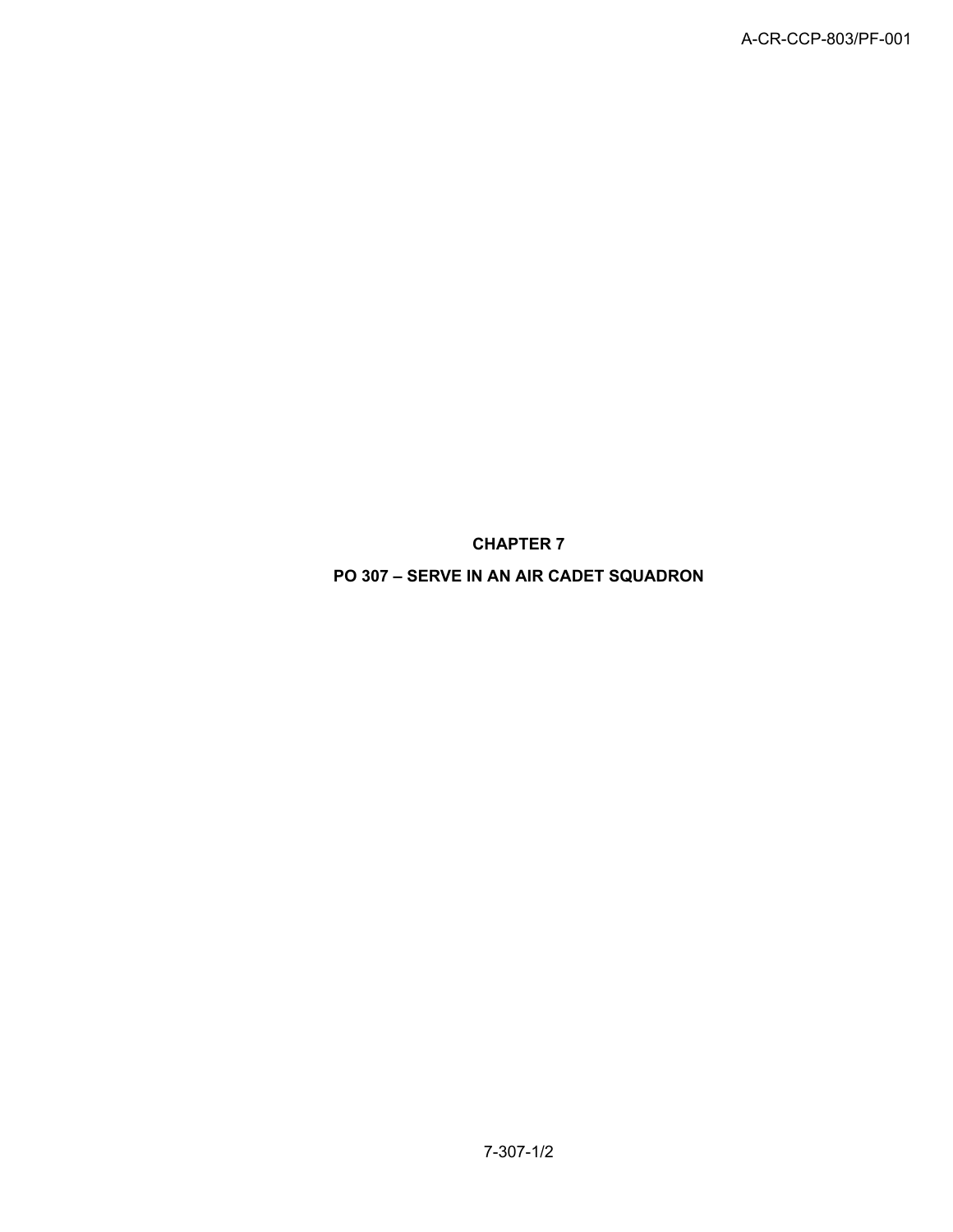**CHAPTER 7**

**PO 307 – SERVE IN AN AIR CADET SQUADRON**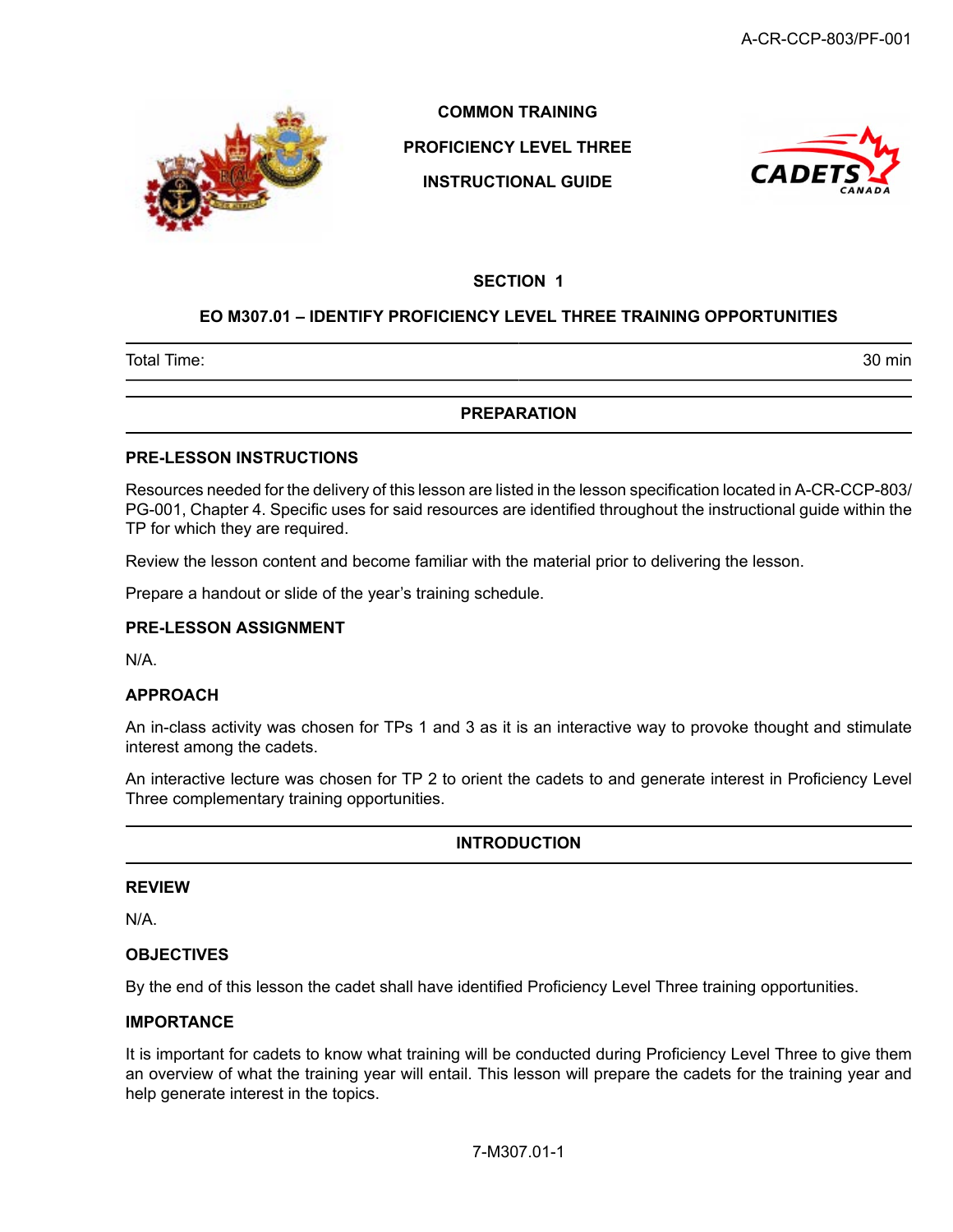

**COMMON TRAINING**

**PROFICIENCY LEVEL THREE**

**INSTRUCTIONAL GUIDE**



### **SECTION 1**

## **EO M307.01 – IDENTIFY PROFICIENCY LEVEL THREE TRAINING OPPORTUNITIES**

Total Time: 30 min

# **PREPARATION**

#### **PRE-LESSON INSTRUCTIONS**

Resources needed for the delivery of this lesson are listed in the lesson specification located in A-CR-CCP-803/ PG-001, Chapter 4. Specific uses for said resources are identified throughout the instructional guide within the TP for which they are required.

Review the lesson content and become familiar with the material prior to delivering the lesson.

Prepare a handout or slide of the year's training schedule.

# **PRE-LESSON ASSIGNMENT**

N/A.

#### **APPROACH**

An in-class activity was chosen for TPs 1 and 3 as it is an interactive way to provoke thought and stimulate interest among the cadets.

An interactive lecture was chosen for TP 2 to orient the cadets to and generate interest in Proficiency Level Three complementary training opportunities.

# **INTRODUCTION**

#### **REVIEW**

N/A.

#### **OBJECTIVES**

By the end of this lesson the cadet shall have identified Proficiency Level Three training opportunities.

## **IMPORTANCE**

It is important for cadets to know what training will be conducted during Proficiency Level Three to give them an overview of what the training year will entail. This lesson will prepare the cadets for the training year and help generate interest in the topics.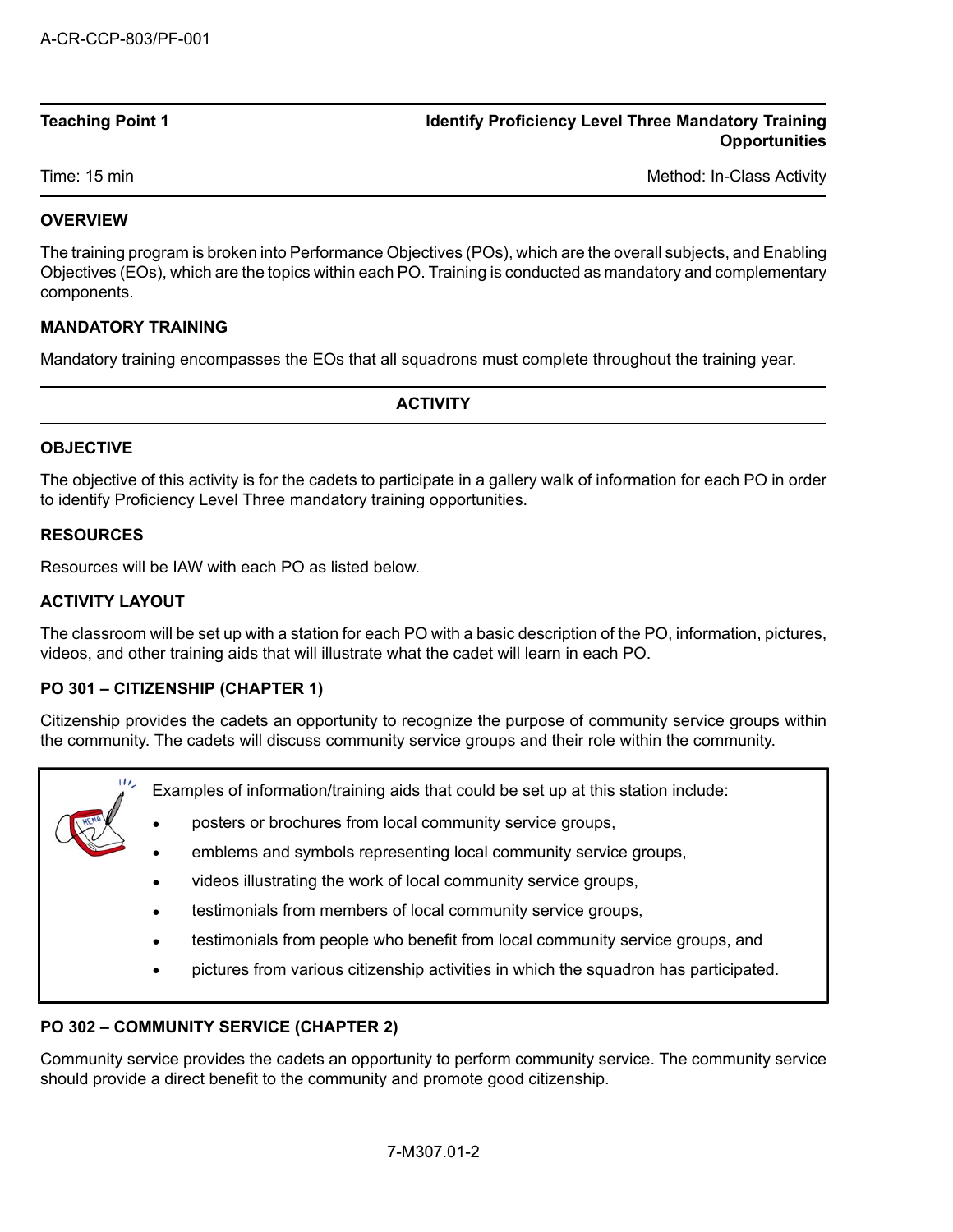| Teaching Point 1 |  |  |  |
|------------------|--|--|--|
|                  |  |  |  |

# **Identify Proficiency Level Three Mandatory Training Opportunities**

Time: 15 min Method: In-Class Activity

# **OVERVIEW**

The training program is broken into Performance Objectives (POs), which are the overall subjects, and Enabling Objectives (EOs), which are the topics within each PO. Training is conducted as mandatory and complementary components.

# **MANDATORY TRAINING**

Mandatory training encompasses the EOs that all squadrons must complete throughout the training year.

**ACTIVITY**

# **OBJECTIVE**

The objective of this activity is for the cadets to participate in a gallery walk of information for each PO in order to identify Proficiency Level Three mandatory training opportunities.

# **RESOURCES**

Resources will be IAW with each PO as listed below.

# **ACTIVITY LAYOUT**

The classroom will be set up with a station for each PO with a basic description of the PO, information, pictures, videos, and other training aids that will illustrate what the cadet will learn in each PO.

# **PO 301 – CITIZENSHIP (CHAPTER 1)**

Citizenship provides the cadets an opportunity to recognize the purpose of community service groups within the community. The cadets will discuss community service groups and their role within the community.



Examples of information/training aids that could be set up at this station include:

- posters or brochures from local community service groups,
- emblems and symbols representing local community service groups,
- videos illustrating the work of local community service groups,
- testimonials from members of local community service groups,
- testimonials from people who benefit from local community service groups, and
- pictures from various citizenship activities in which the squadron has participated.

# **PO 302 – COMMUNITY SERVICE (CHAPTER 2)**

Community service provides the cadets an opportunity to perform community service. The community service should provide a direct benefit to the community and promote good citizenship.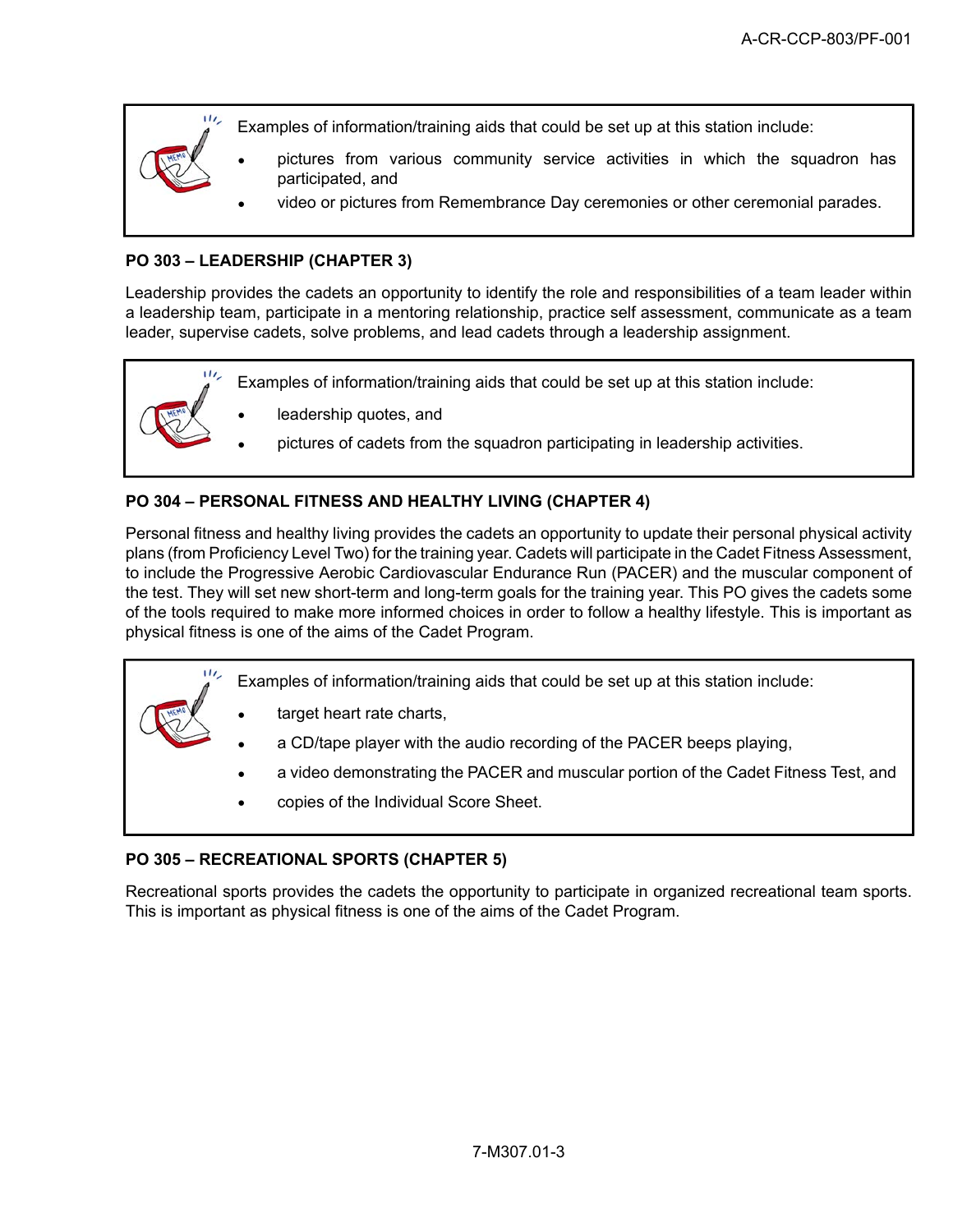

- Examples of information/training aids that could be set up at this station include:
- pictures from various community service activities in which the squadron has participated, and
- video or pictures from Remembrance Day ceremonies or other ceremonial parades.

# **PO 303 – LEADERSHIP (CHAPTER 3)**

Leadership provides the cadets an opportunity to identify the role and responsibilities of a team leader within a leadership team, participate in a mentoring relationship, practice self assessment, communicate as a team leader, supervise cadets, solve problems, and lead cadets through a leadership assignment.

 $111,$ Examples of information/training aids that could be set up at this station include: • leadership quotes, and • pictures of cadets from the squadron participating in leadership activities.

# **PO 304 – PERSONAL FITNESS AND HEALTHY LIVING (CHAPTER 4)**

Personal fitness and healthy living provides the cadets an opportunity to update their personal physical activity plans (from Proficiency Level Two) for the training year. Cadets will participate in the Cadet Fitness Assessment, to include the Progressive Aerobic Cardiovascular Endurance Run (PACER) and the muscular component of the test. They will set new short-term and long-term goals for the training year. This PO gives the cadets some of the tools required to make more informed choices in order to follow a healthy lifestyle. This is important as physical fitness is one of the aims of the Cadet Program.

- Examples of information/training aids that could be set up at this station include:
	- target heart rate charts,
	- a CD/tape player with the audio recording of the PACER beeps playing,
	- a video demonstrating the PACER and muscular portion of the Cadet Fitness Test, and
	- copies of the Individual Score Sheet.

## **PO 305 – RECREATIONAL SPORTS (CHAPTER 5)**

Recreational sports provides the cadets the opportunity to participate in organized recreational team sports. This is important as physical fitness is one of the aims of the Cadet Program.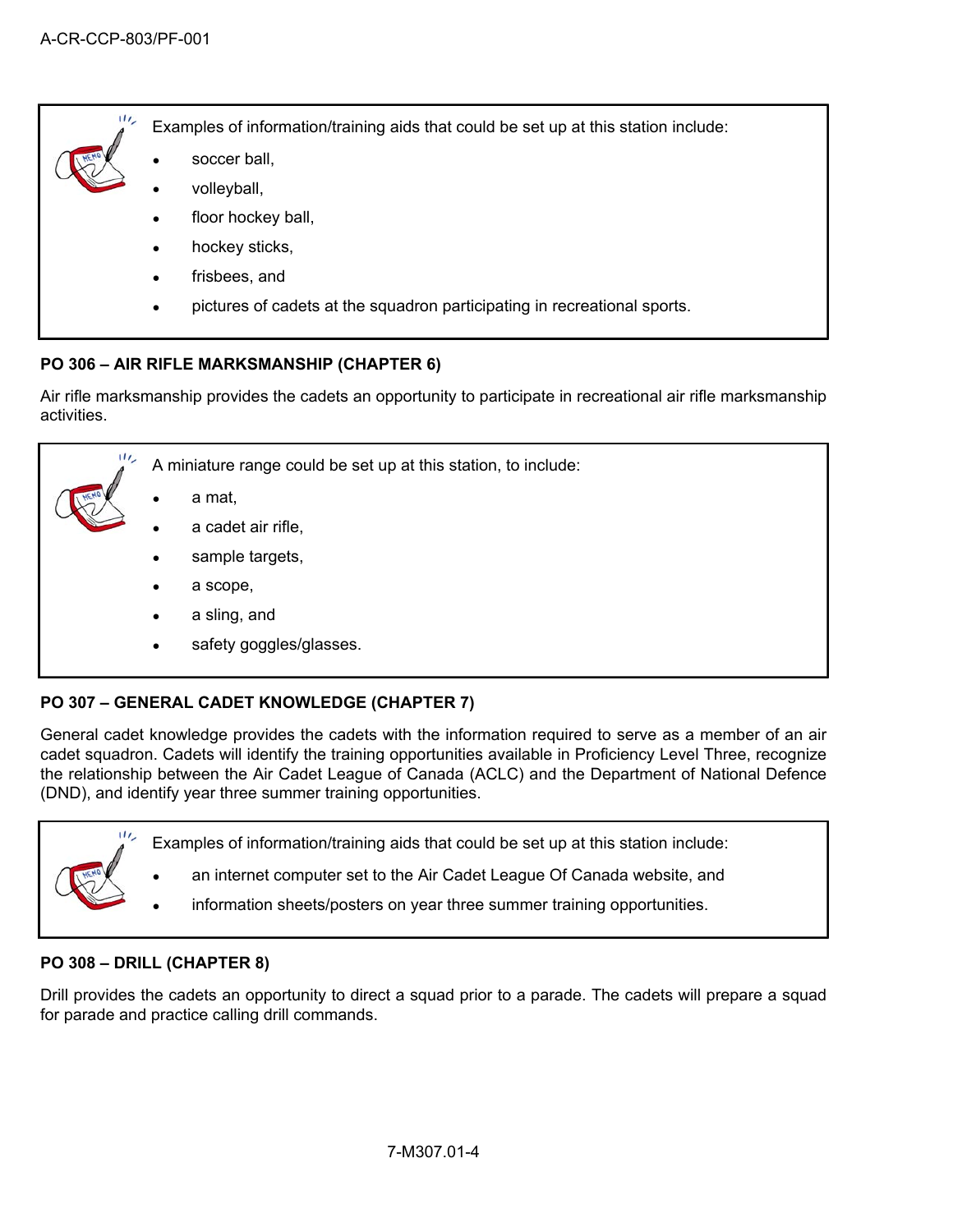$111$ 

Examples of information/training aids that could be set up at this station include:

- soccer ball,
- volleyball,
- floor hockey ball,
- hockey sticks,
- frisbees, and
- pictures of cadets at the squadron participating in recreational sports.

# **PO 306 – AIR RIFLE MARKSMANSHIP (CHAPTER 6)**

Air rifle marksmanship provides the cadets an opportunity to participate in recreational air rifle marksmanship activities.

| 1112 | A miniature range could be set up at this station, to include: |
|------|----------------------------------------------------------------|
|      | a mat,<br>$\bullet$                                            |
|      | a cadet air rifle,<br>$\bullet$                                |
|      | sample targets,<br>$\bullet$                                   |
|      | a scope,<br>$\bullet$                                          |
|      | a sling, and<br>$\bullet$                                      |
|      | safety goggles/glasses.<br>$\bullet$                           |
|      |                                                                |

# **PO 307 – GENERAL CADET KNOWLEDGE (CHAPTER 7)**

General cadet knowledge provides the cadets with the information required to serve as a member of an air cadet squadron. Cadets will identify the training opportunities available in Proficiency Level Three, recognize the relationship between the Air Cadet League of Canada (ACLC) and the Department of National Defence (DND), and identify year three summer training opportunities.



- an internet computer set to the Air Cadet League Of Canada website, and
- information sheets/posters on year three summer training opportunities.

## **PO 308 – DRILL (CHAPTER 8)**

•

Drill provides the cadets an opportunity to direct a squad prior to a parade. The cadets will prepare a squad for parade and practice calling drill commands.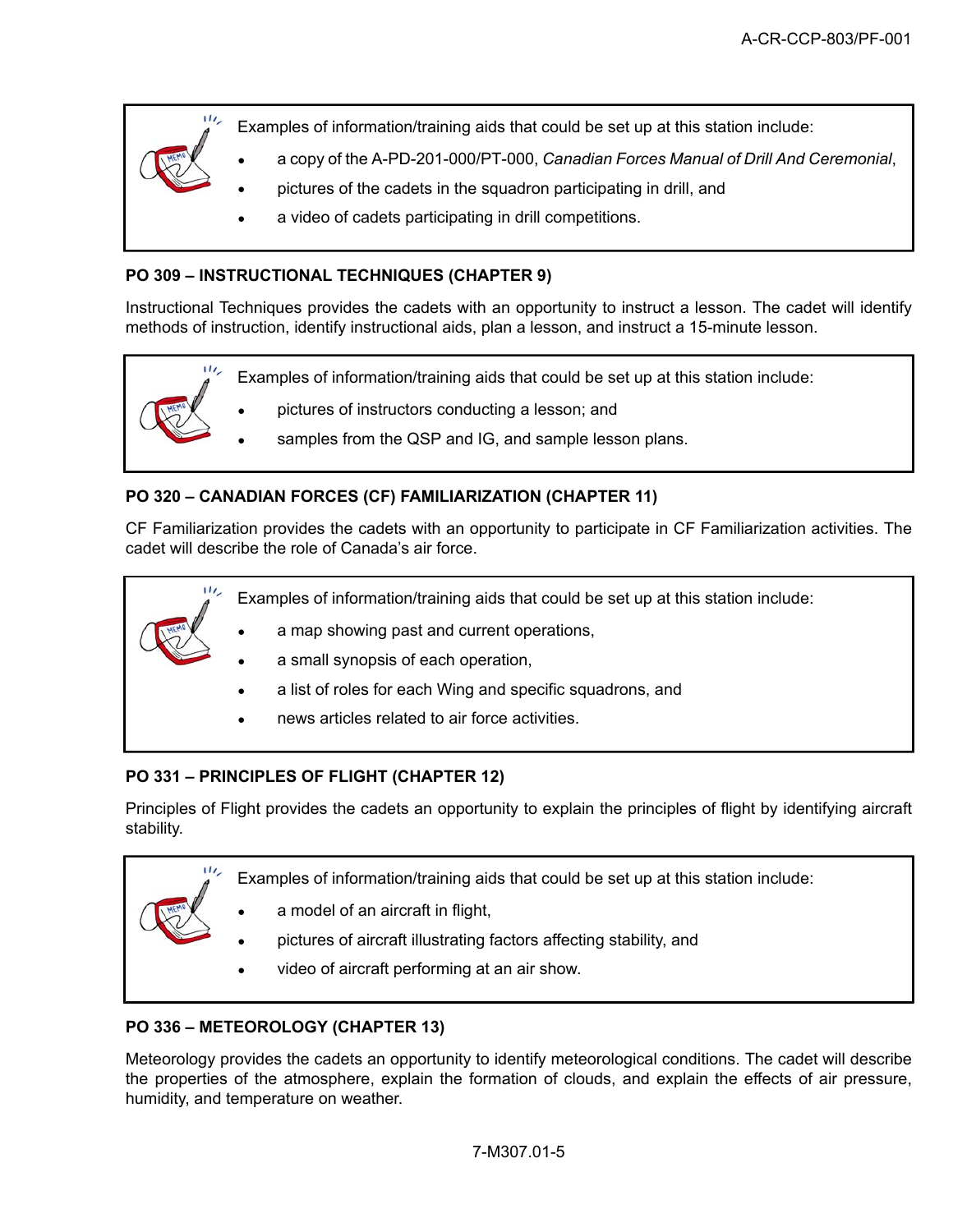Examples of information/training aids that could be set up at this station include:

- a copy of the A-PD-201-000/PT-000, *Canadian Forces Manual of Drill And Ceremonial*,
- pictures of the cadets in the squadron participating in drill, and
	- a video of cadets participating in drill competitions.

# **PO 309 – INSTRUCTIONAL TECHNIQUES (CHAPTER 9)**

 $\mathbf{u}$ 

Instructional Techniques provides the cadets with an opportunity to instruct a lesson. The cadet will identify methods of instruction, identify instructional aids, plan a lesson, and instruct a 15-minute lesson.



# **PO 320 – CANADIAN FORCES (CF) FAMILIARIZATION (CHAPTER 11)**

CF Familiarization provides the cadets with an opportunity to participate in CF Familiarization activities. The cadet will describe the role of Canada's air force.



# **PO 331 – PRINCIPLES OF FLIGHT (CHAPTER 12)**

Principles of Flight provides the cadets an opportunity to explain the principles of flight by identifying aircraft stability.

Examples of information/training aids that could be set up at this station include:

- a model of an aircraft in flight,
- pictures of aircraft illustrating factors affecting stability, and
- video of aircraft performing at an air show.

## **PO 336 – METEOROLOGY (CHAPTER 13)**

Meteorology provides the cadets an opportunity to identify meteorological conditions. The cadet will describe the properties of the atmosphere, explain the formation of clouds, and explain the effects of air pressure, humidity, and temperature on weather.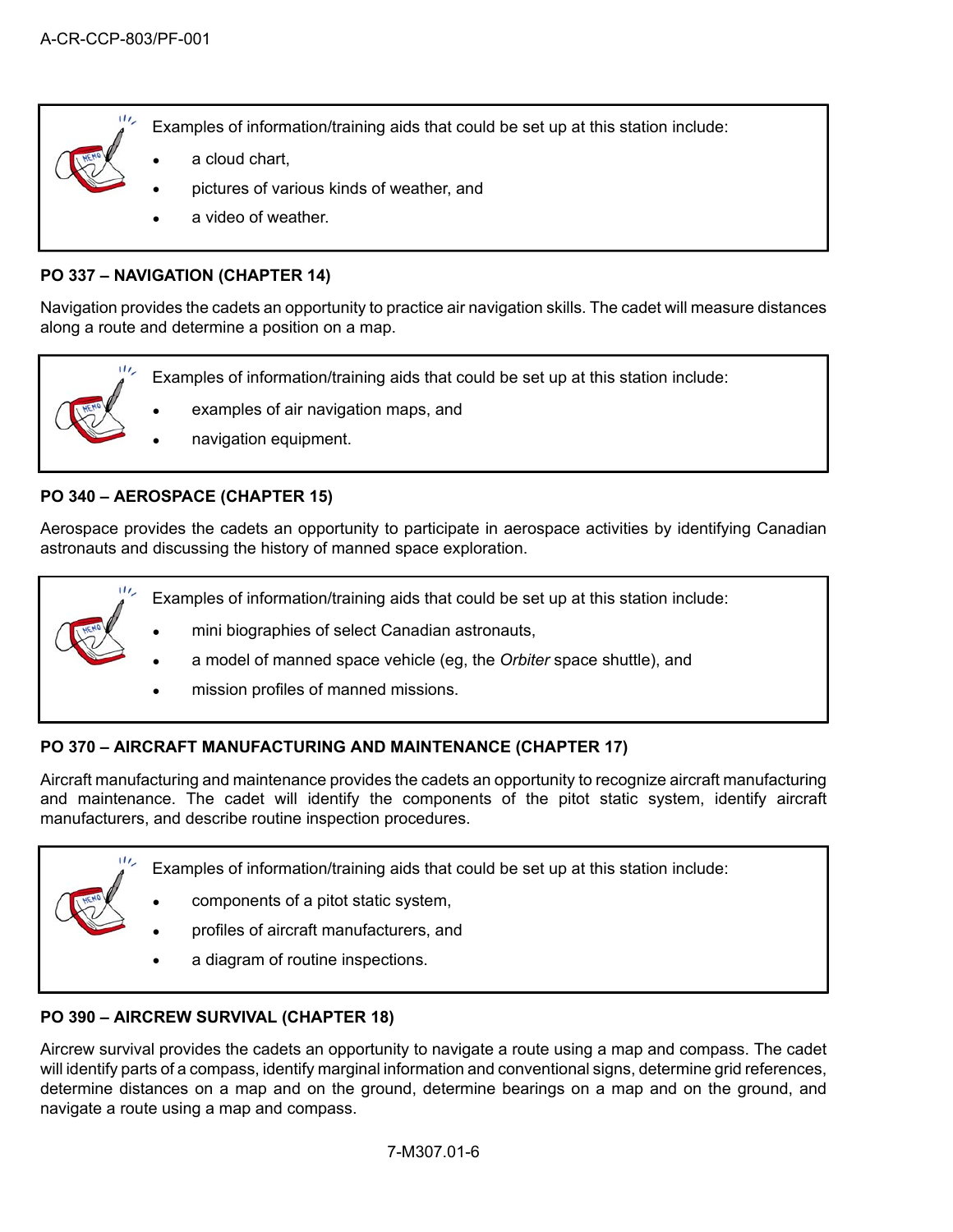Examples of information/training aids that could be set up at this station include:

- a cloud chart.
- pictures of various kinds of weather, and
- a video of weather.

# **PO 337 – NAVIGATION (CHAPTER 14)**

Navigation provides the cadets an opportunity to practice air navigation skills. The cadet will measure distances along a route and determine a position on a map.

 $\mathbf{u}_i$ Examples of information/training aids that could be set up at this station include:

- examples of air navigation maps, and
- navigation equipment.

# **PO 340 – AEROSPACE (CHAPTER 15)**

Aerospace provides the cadets an opportunity to participate in aerospace activities by identifying Canadian astronauts and discussing the history of manned space exploration.

Examples of information/training aids that could be set up at this station include:

- mini biographies of select Canadian astronauts,
- a model of manned space vehicle (eg, the *Orbiter* space shuttle), and
- mission profiles of manned missions.

# **PO 370 – AIRCRAFT MANUFACTURING AND MAINTENANCE (CHAPTER 17)**

Aircraft manufacturing and maintenance provides the cadets an opportunity to recognize aircraft manufacturing and maintenance. The cadet will identify the components of the pitot static system, identify aircraft manufacturers, and describe routine inspection procedures.

 $111.$ Examples of information/training aids that could be set up at this station include:

- components of a pitot static system,
- profiles of aircraft manufacturers, and
- a diagram of routine inspections.

# **PO 390 – AIRCREW SURVIVAL (CHAPTER 18)**

Aircrew survival provides the cadets an opportunity to navigate a route using a map and compass. The cadet will identify parts of a compass, identify marginal information and conventional signs, determine grid references, determine distances on a map and on the ground, determine bearings on a map and on the ground, and navigate a route using a map and compass.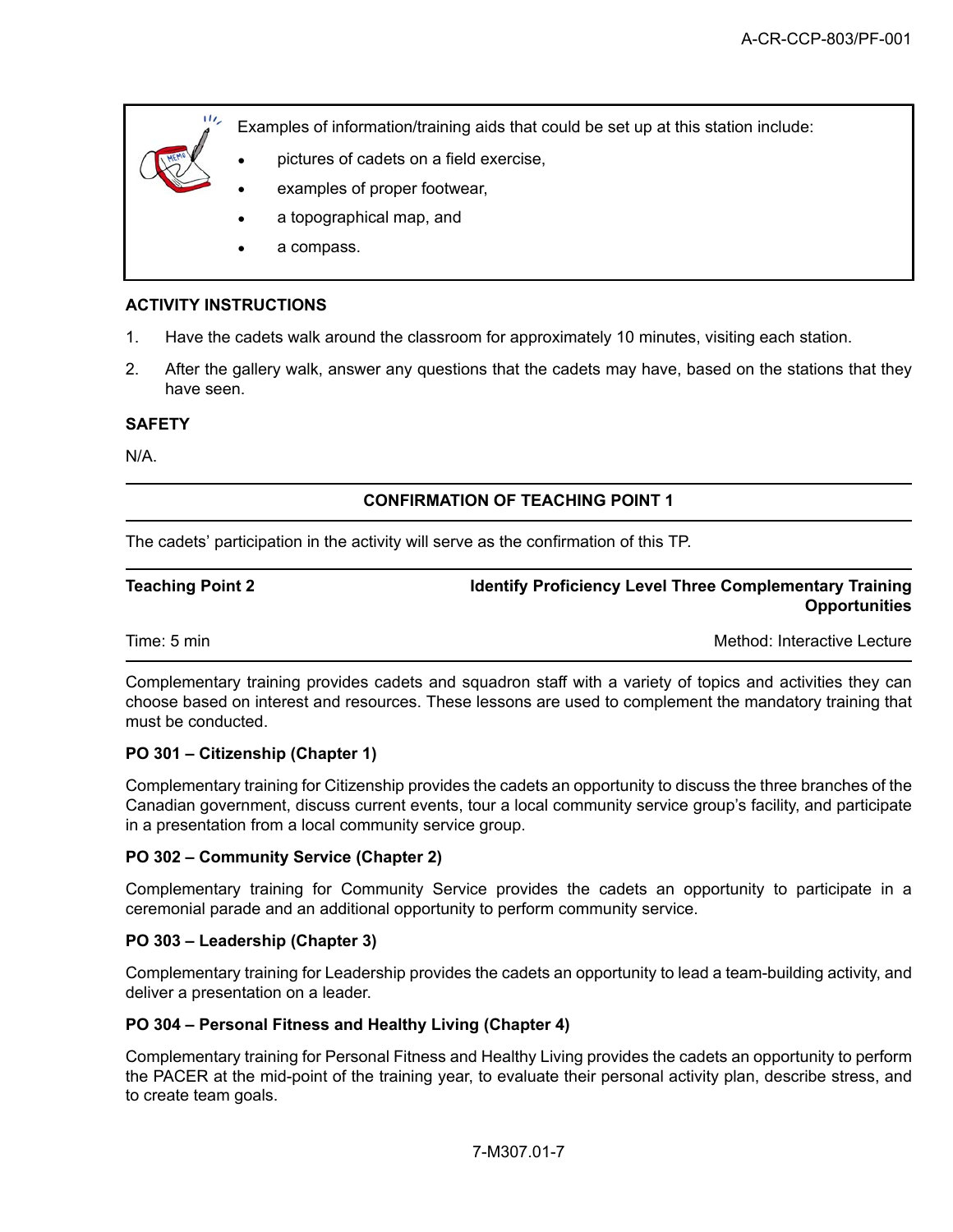Examples of information/training aids that could be set up at this station include:

- pictures of cadets on a field exercise,
- examples of proper footwear,
- a topographical map, and
- a compass.

# **ACTIVITY INSTRUCTIONS**

 $\mathbf{u}_i$ 

- 1. Have the cadets walk around the classroom for approximately 10 minutes, visiting each station.
- 2. After the gallery walk, answer any questions that the cadets may have, based on the stations that they have seen.

## **SAFETY**

N/A.

# **CONFIRMATION OF TEACHING POINT 1**

The cadets' participation in the activity will serve as the confirmation of this TP.

**Teaching Point 2 Identify Proficiency Level Three Complementary Training Opportunities**

Time: 5 min Method: Interactive Lecture Controllering and Method: Interactive Lecture

Complementary training provides cadets and squadron staff with a variety of topics and activities they can choose based on interest and resources. These lessons are used to complement the mandatory training that must be conducted.

## **PO 301 – Citizenship (Chapter 1)**

Complementary training for Citizenship provides the cadets an opportunity to discuss the three branches of the Canadian government, discuss current events, tour a local community service group's facility, and participate in a presentation from a local community service group.

## **PO 302 – Community Service (Chapter 2)**

Complementary training for Community Service provides the cadets an opportunity to participate in a ceremonial parade and an additional opportunity to perform community service.

## **PO 303 – Leadership (Chapter 3)**

Complementary training for Leadership provides the cadets an opportunity to lead a team-building activity, and deliver a presentation on a leader.

## **PO 304 – Personal Fitness and Healthy Living (Chapter 4)**

Complementary training for Personal Fitness and Healthy Living provides the cadets an opportunity to perform the PACER at the mid-point of the training year, to evaluate their personal activity plan, describe stress, and to create team goals.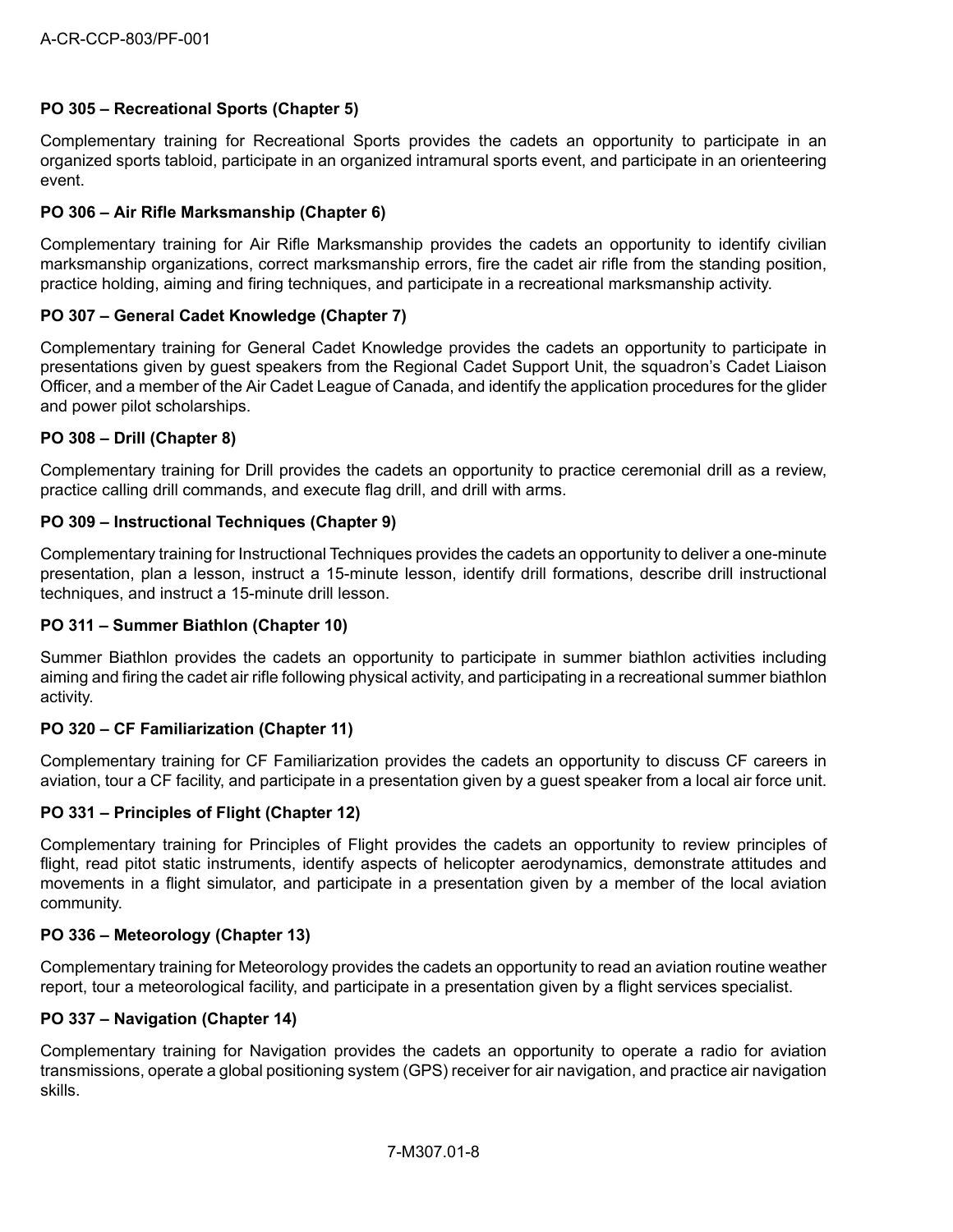# **PO 305 – Recreational Sports (Chapter 5)**

Complementary training for Recreational Sports provides the cadets an opportunity to participate in an organized sports tabloid, participate in an organized intramural sports event, and participate in an orienteering event.

## **PO 306 – Air Rifle Marksmanship (Chapter 6)**

Complementary training for Air Rifle Marksmanship provides the cadets an opportunity to identify civilian marksmanship organizations, correct marksmanship errors, fire the cadet air rifle from the standing position, practice holding, aiming and firing techniques, and participate in a recreational marksmanship activity.

#### **PO 307 – General Cadet Knowledge (Chapter 7)**

Complementary training for General Cadet Knowledge provides the cadets an opportunity to participate in presentations given by guest speakers from the Regional Cadet Support Unit, the squadron's Cadet Liaison Officer, and a member of the Air Cadet League of Canada, and identify the application procedures for the glider and power pilot scholarships.

#### **PO 308 – Drill (Chapter 8)**

Complementary training for Drill provides the cadets an opportunity to practice ceremonial drill as a review, practice calling drill commands, and execute flag drill, and drill with arms.

#### **PO 309 – Instructional Techniques (Chapter 9)**

Complementary training for Instructional Techniques provides the cadets an opportunity to deliver a one-minute presentation, plan a lesson, instruct a 15-minute lesson, identify drill formations, describe drill instructional techniques, and instruct a 15-minute drill lesson.

#### **PO 311 – Summer Biathlon (Chapter 10)**

Summer Biathlon provides the cadets an opportunity to participate in summer biathlon activities including aiming and firing the cadet air rifle following physical activity, and participating in a recreational summer biathlon activity.

#### **PO 320 – CF Familiarization (Chapter 11)**

Complementary training for CF Familiarization provides the cadets an opportunity to discuss CF careers in aviation, tour a CF facility, and participate in a presentation given by a guest speaker from a local air force unit.

## **PO 331 – Principles of Flight (Chapter 12)**

Complementary training for Principles of Flight provides the cadets an opportunity to review principles of flight, read pitot static instruments, identify aspects of helicopter aerodynamics, demonstrate attitudes and movements in a flight simulator, and participate in a presentation given by a member of the local aviation community.

#### **PO 336 – Meteorology (Chapter 13)**

Complementary training for Meteorology provides the cadets an opportunity to read an aviation routine weather report, tour a meteorological facility, and participate in a presentation given by a flight services specialist.

## **PO 337 – Navigation (Chapter 14)**

Complementary training for Navigation provides the cadets an opportunity to operate a radio for aviation transmissions, operate a global positioning system (GPS) receiver for air navigation, and practice air navigation skills.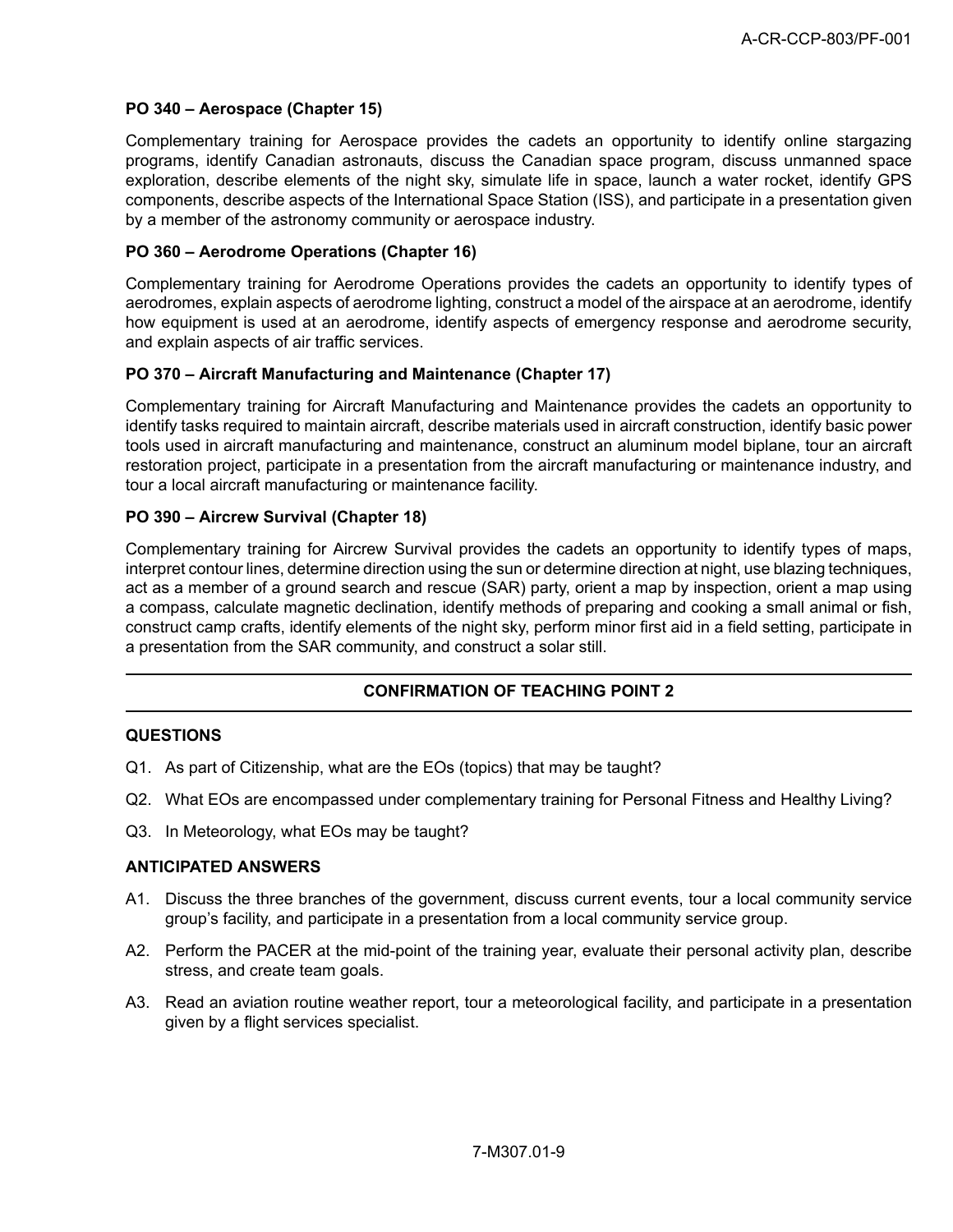### **PO 340 – Aerospace (Chapter 15)**

Complementary training for Aerospace provides the cadets an opportunity to identify online stargazing programs, identify Canadian astronauts, discuss the Canadian space program, discuss unmanned space exploration, describe elements of the night sky, simulate life in space, launch a water rocket, identify GPS components, describe aspects of the International Space Station (ISS), and participate in a presentation given by a member of the astronomy community or aerospace industry.

#### **PO 360 – Aerodrome Operations (Chapter 16)**

Complementary training for Aerodrome Operations provides the cadets an opportunity to identify types of aerodromes, explain aspects of aerodrome lighting, construct a model of the airspace at an aerodrome, identify how equipment is used at an aerodrome, identify aspects of emergency response and aerodrome security, and explain aspects of air traffic services.

#### **PO 370 – Aircraft Manufacturing and Maintenance (Chapter 17)**

Complementary training for Aircraft Manufacturing and Maintenance provides the cadets an opportunity to identify tasks required to maintain aircraft, describe materials used in aircraft construction, identify basic power tools used in aircraft manufacturing and maintenance, construct an aluminum model biplane, tour an aircraft restoration project, participate in a presentation from the aircraft manufacturing or maintenance industry, and tour a local aircraft manufacturing or maintenance facility.

#### **PO 390 – Aircrew Survival (Chapter 18)**

Complementary training for Aircrew Survival provides the cadets an opportunity to identify types of maps, interpret contour lines, determine direction using the sun or determine direction at night, use blazing techniques, act as a member of a ground search and rescue (SAR) party, orient a map by inspection, orient a map using a compass, calculate magnetic declination, identify methods of preparing and cooking a small animal or fish, construct camp crafts, identify elements of the night sky, perform minor first aid in a field setting, participate in a presentation from the SAR community, and construct a solar still.

## **CONFIRMATION OF TEACHING POINT 2**

## **QUESTIONS**

- Q1. As part of Citizenship, what are the EOs (topics) that may be taught?
- Q2. What EOs are encompassed under complementary training for Personal Fitness and Healthy Living?
- Q3. In Meteorology, what EOs may be taught?

#### **ANTICIPATED ANSWERS**

- A1. Discuss the three branches of the government, discuss current events, tour a local community service group's facility, and participate in a presentation from a local community service group.
- A2. Perform the PACER at the mid-point of the training year, evaluate their personal activity plan, describe stress, and create team goals.
- A3. Read an aviation routine weather report, tour a meteorological facility, and participate in a presentation given by a flight services specialist.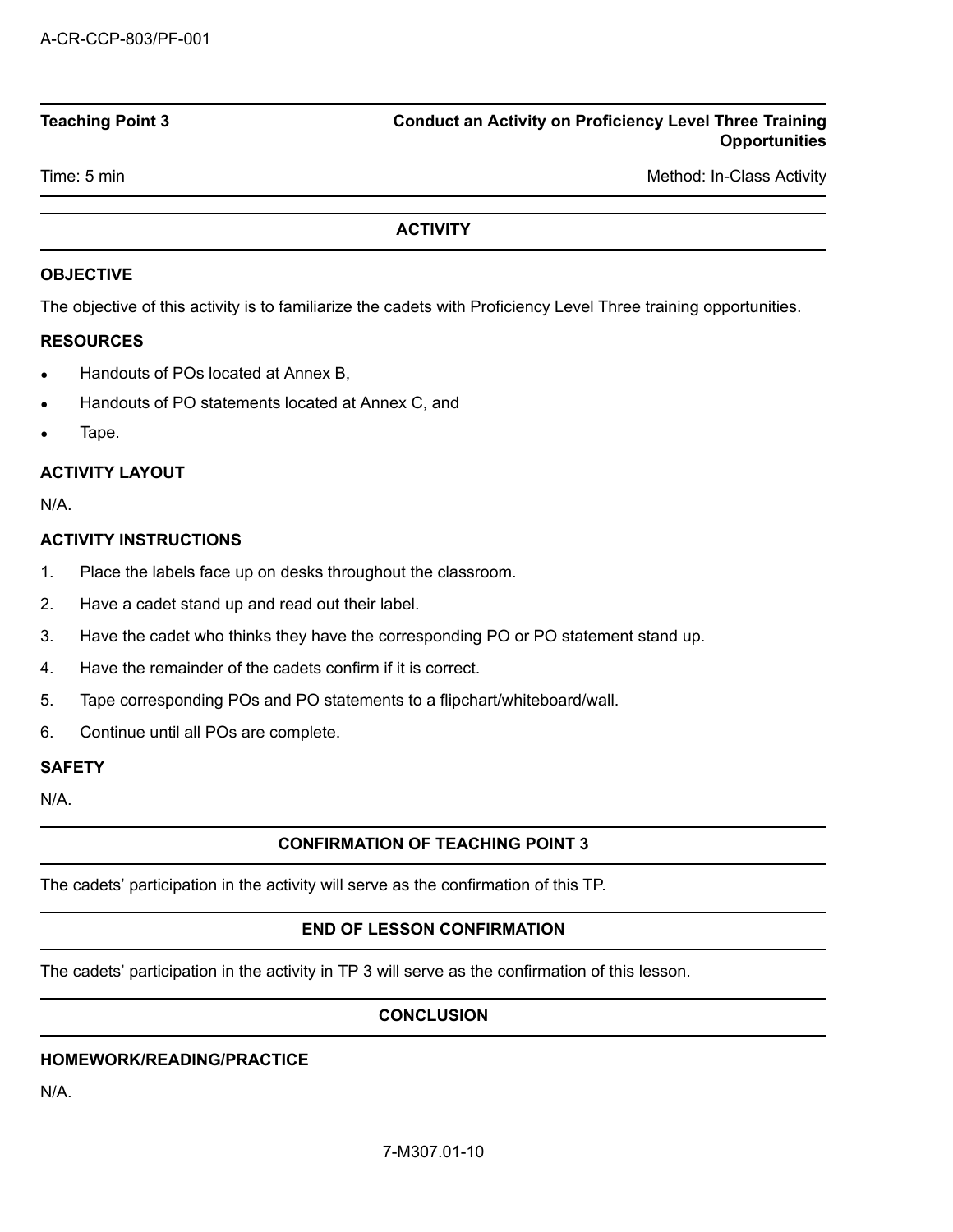# **Teaching Point 3 Conduct an Activity on Proficiency Level Three Training Opportunities**

Time: 5 min Method: In-Class Activity

# **ACTIVITY**

## **OBJECTIVE**

The objective of this activity is to familiarize the cadets with Proficiency Level Three training opportunities.

# **RESOURCES**

- Handouts of POs located at Annex B,
- Handouts of PO statements located at Annex C, and
- Tape.

# **ACTIVITY LAYOUT**

N/A.

# **ACTIVITY INSTRUCTIONS**

- 1. Place the labels face up on desks throughout the classroom.
- 2. Have a cadet stand up and read out their label.
- 3. Have the cadet who thinks they have the corresponding PO or PO statement stand up.
- 4. Have the remainder of the cadets confirm if it is correct.
- 5. Tape corresponding POs and PO statements to a flipchart/whiteboard/wall.
- 6. Continue until all POs are complete.

## **SAFETY**

N/A.

# **CONFIRMATION OF TEACHING POINT 3**

The cadets' participation in the activity will serve as the confirmation of this TP.

# **END OF LESSON CONFIRMATION**

The cadets' participation in the activity in TP 3 will serve as the confirmation of this lesson.

# **CONCLUSION**

# **HOMEWORK/READING/PRACTICE**

N/A.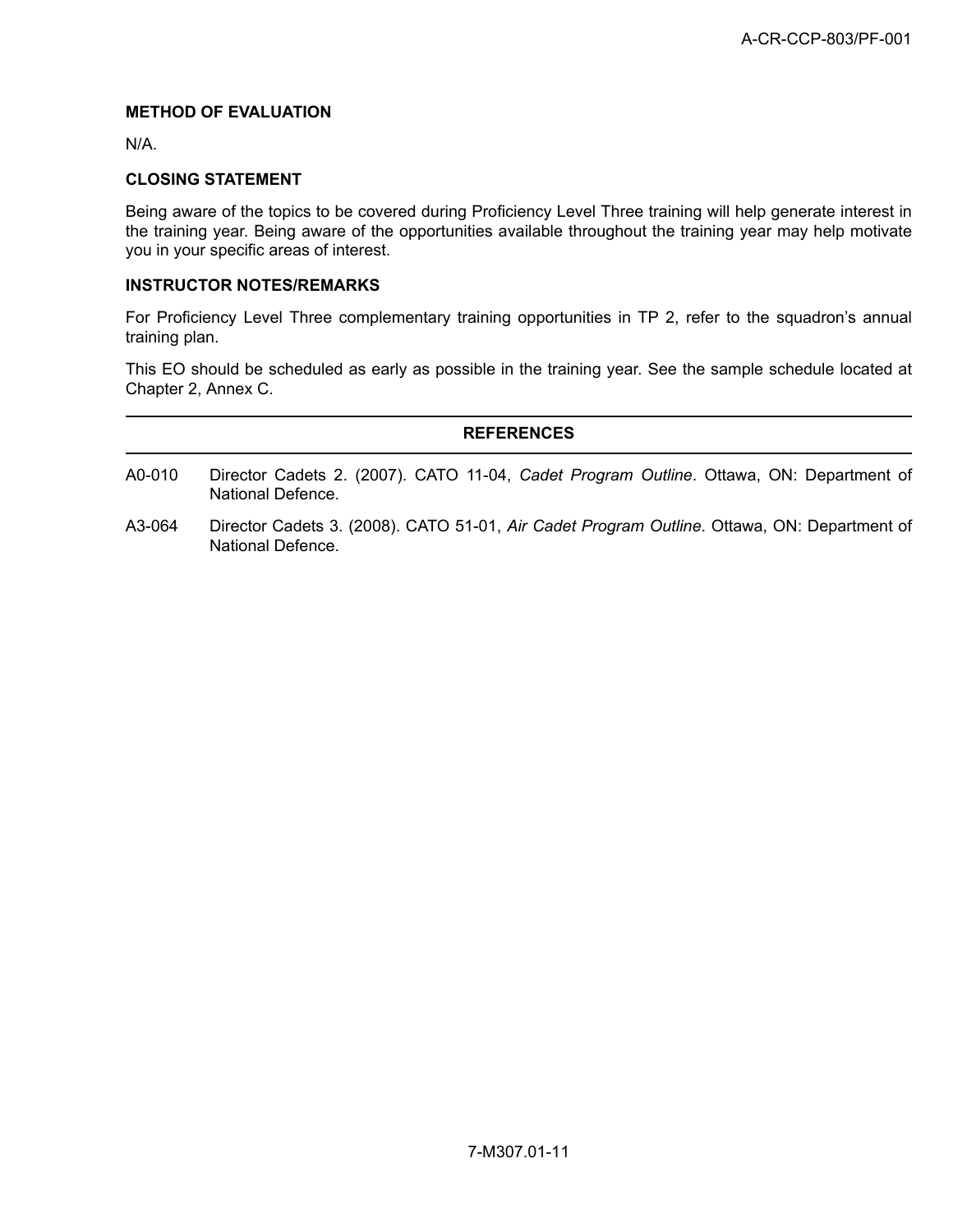## **METHOD OF EVALUATION**

N/A.

# **CLOSING STATEMENT**

Being aware of the topics to be covered during Proficiency Level Three training will help generate interest in the training year. Being aware of the opportunities available throughout the training year may help motivate you in your specific areas of interest.

#### **INSTRUCTOR NOTES/REMARKS**

For Proficiency Level Three complementary training opportunities in TP 2, refer to the squadron's annual training plan.

This EO should be scheduled as early as possible in the training year. See the sample schedule located at Chapter 2, Annex C.

#### **REFERENCES**

- A0-010 Director Cadets 2. (2007). CATO 11-04, *Cadet Program Outline*. Ottawa, ON: Department of National Defence.
- A3-064 Director Cadets 3. (2008). CATO 51-01, *Air Cadet Program Outline*. Ottawa, ON: Department of National Defence.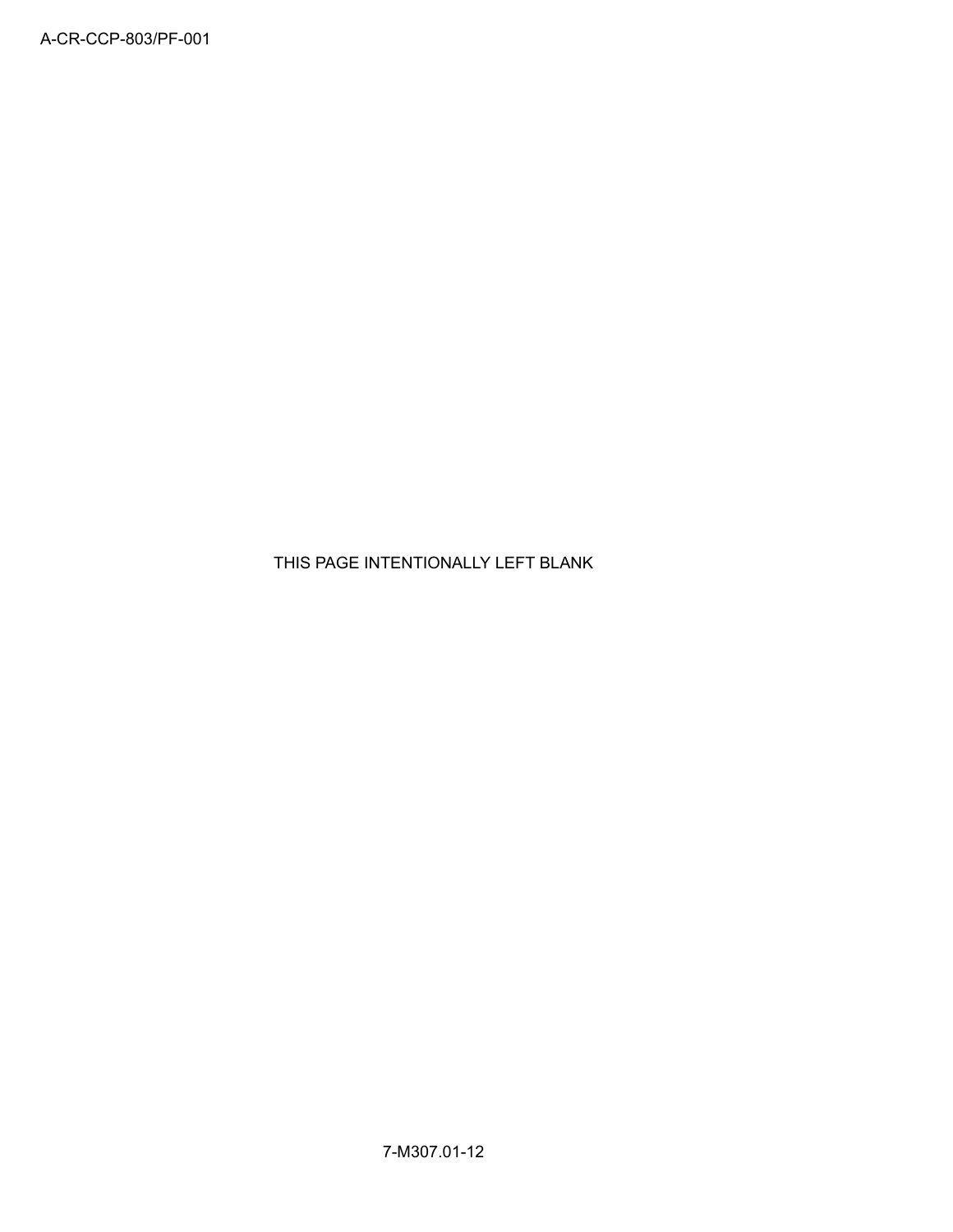THIS PAGE INTENTIONALLY LEFT BLANK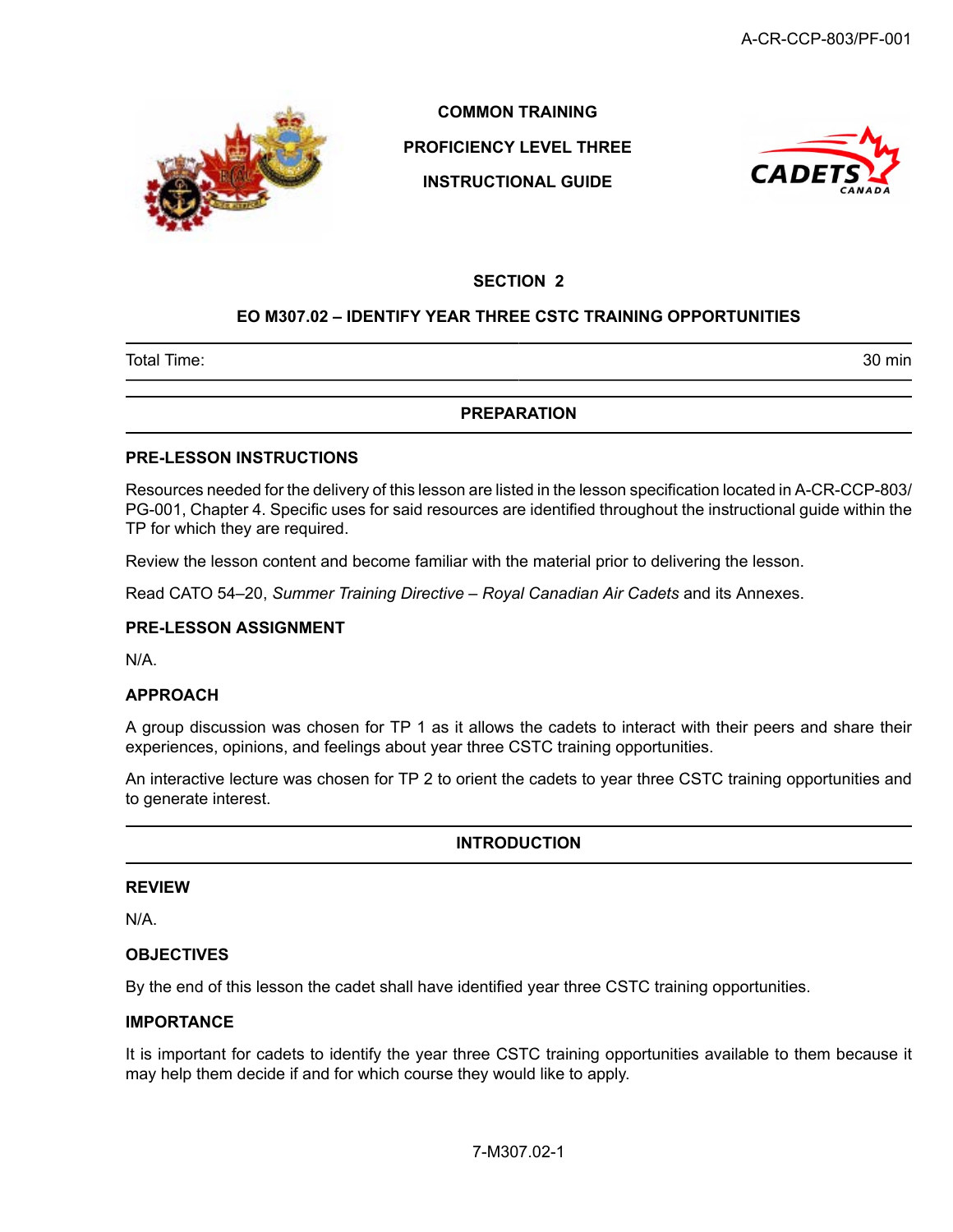

**COMMON TRAINING**

**PROFICIENCY LEVEL THREE**

**INSTRUCTIONAL GUIDE**



### **SECTION 2**

## **EO M307.02 – IDENTIFY YEAR THREE CSTC TRAINING OPPORTUNITIES**

Total Time: 30 min

## **PREPARATION**

#### **PRE-LESSON INSTRUCTIONS**

Resources needed for the delivery of this lesson are listed in the lesson specification located in A-CR-CCP-803/ PG-001, Chapter 4. Specific uses for said resources are identified throughout the instructional guide within the TP for which they are required.

Review the lesson content and become familiar with the material prior to delivering the lesson.

Read CATO 54–20, *Summer Training Directive – Royal Canadian Air Cadets* and its Annexes.

# **PRE-LESSON ASSIGNMENT**

N/A.

#### **APPROACH**

A group discussion was chosen for TP 1 as it allows the cadets to interact with their peers and share their experiences, opinions, and feelings about year three CSTC training opportunities.

An interactive lecture was chosen for TP 2 to orient the cadets to year three CSTC training opportunities and to generate interest.

# **INTRODUCTION**

#### **REVIEW**

N/A.

#### **OBJECTIVES**

By the end of this lesson the cadet shall have identified year three CSTC training opportunities.

## **IMPORTANCE**

It is important for cadets to identify the year three CSTC training opportunities available to them because it may help them decide if and for which course they would like to apply.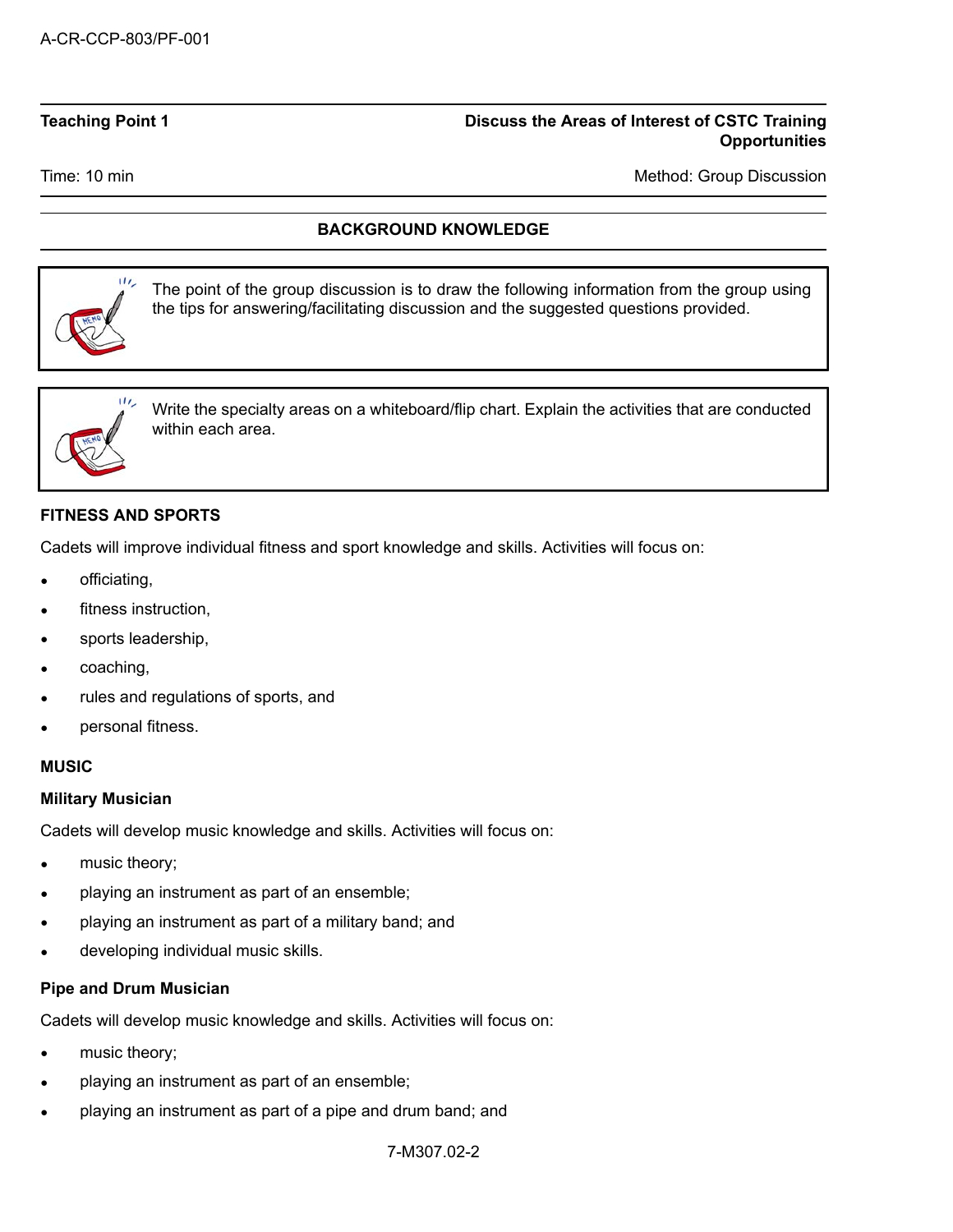# **Teaching Point 1 Discuss the Areas of Interest of CSTC Training Opportunities**

Time: 10 min Method: Group Discussion Method: Group Discussion

# **BACKGROUND KNOWLEDGE**



The point of the group discussion is to draw the following information from the group using the tips for answering/facilitating discussion and the suggested questions provided.



Write the specialty areas on a whiteboard/flip chart. Explain the activities that are conducted within each area.

# **FITNESS AND SPORTS**

Cadets will improve individual fitness and sport knowledge and skills. Activities will focus on:

- officiating,
- fitness instruction,
- sports leadership,
- coaching,
- rules and regulations of sports, and
- personal fitness.

## **MUSIC**

## **Military Musician**

Cadets will develop music knowledge and skills. Activities will focus on:

- music theory;
- playing an instrument as part of an ensemble;
- playing an instrument as part of a military band; and
- developing individual music skills.

## **Pipe and Drum Musician**

Cadets will develop music knowledge and skills. Activities will focus on:

- music theory;
- playing an instrument as part of an ensemble;
- playing an instrument as part of a pipe and drum band; and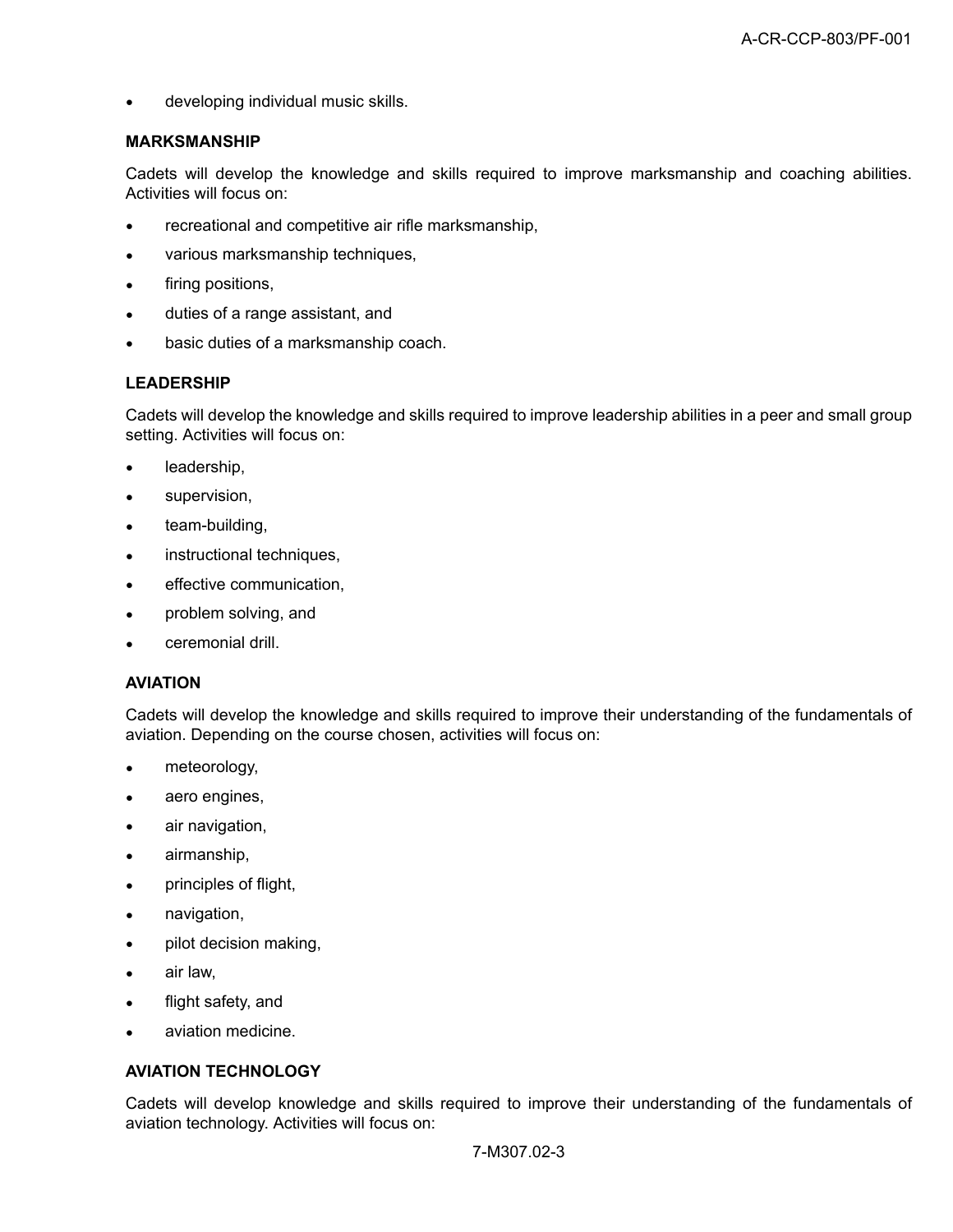developing individual music skills.

#### **MARKSMANSHIP**

Cadets will develop the knowledge and skills required to improve marksmanship and coaching abilities. Activities will focus on:

- recreational and competitive air rifle marksmanship,
- various marksmanship techniques,
- firing positions,
- duties of a range assistant, and
- basic duties of a marksmanship coach.

#### **LEADERSHIP**

Cadets will develop the knowledge and skills required to improve leadership abilities in a peer and small group setting. Activities will focus on:

- leadership,
- supervision,
- team-building,
- instructional techniques,
- effective communication,
- problem solving, and
- ceremonial drill.

#### **AVIATION**

Cadets will develop the knowledge and skills required to improve their understanding of the fundamentals of aviation. Depending on the course chosen, activities will focus on:

- meteorology,
- aero engines,
- air navigation,
- airmanship,
- principles of flight,
- navigation,
- pilot decision making,
- air law,
- flight safety, and
- aviation medicine.

## **AVIATION TECHNOLOGY**

Cadets will develop knowledge and skills required to improve their understanding of the fundamentals of aviation technology. Activities will focus on: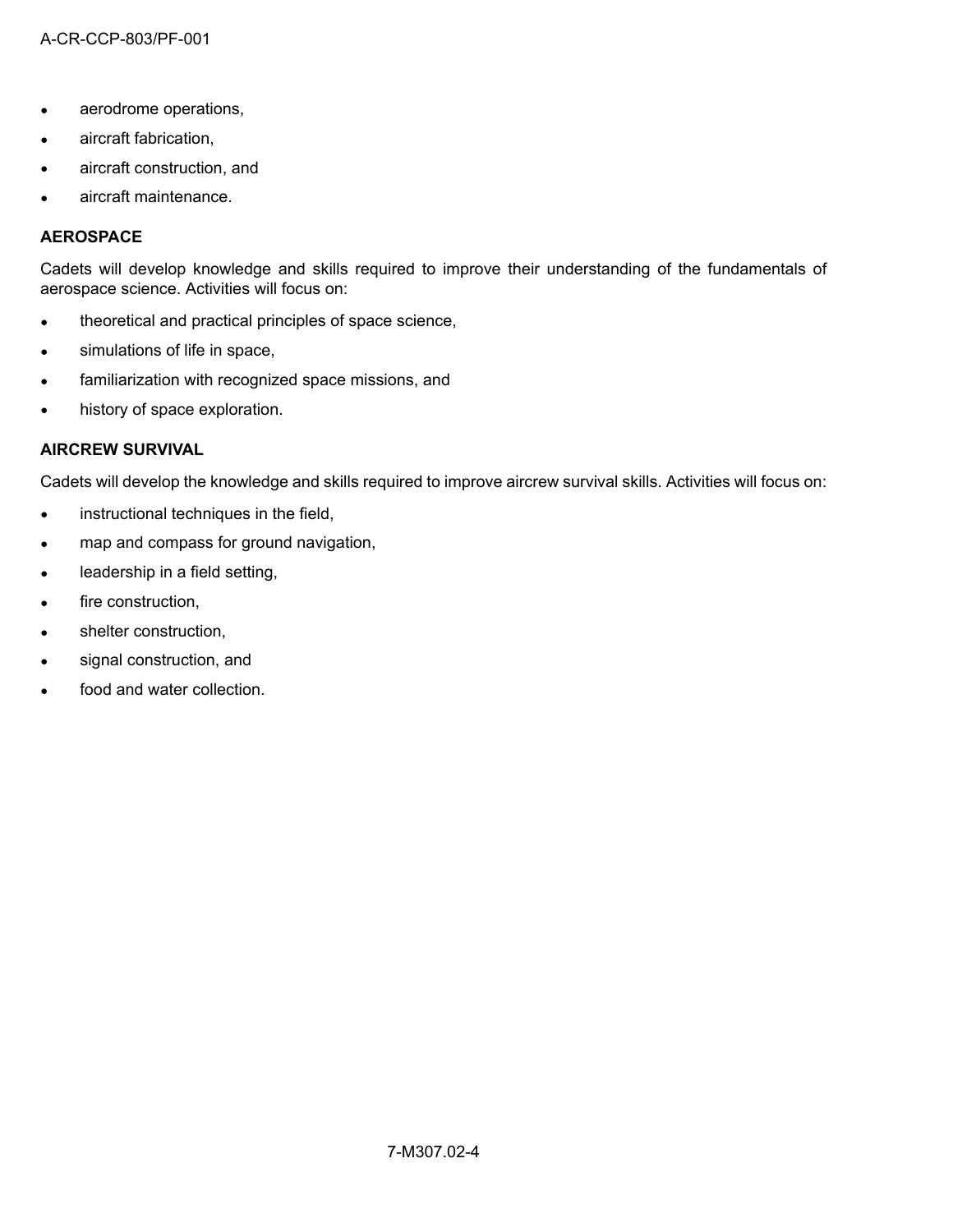- aerodrome operations,
- aircraft fabrication,
- aircraft construction, and
- aircraft maintenance.

#### **AEROSPACE**

Cadets will develop knowledge and skills required to improve their understanding of the fundamentals of aerospace science. Activities will focus on:

- theoretical and practical principles of space science,
- simulations of life in space,
- familiarization with recognized space missions, and
- history of space exploration.

#### **AIRCREW SURVIVAL**

Cadets will develop the knowledge and skills required to improve aircrew survival skills. Activities will focus on:

- instructional techniques in the field,
- map and compass for ground navigation,
- leadership in a field setting,
- fire construction,
- shelter construction,
- signal construction, and
- food and water collection.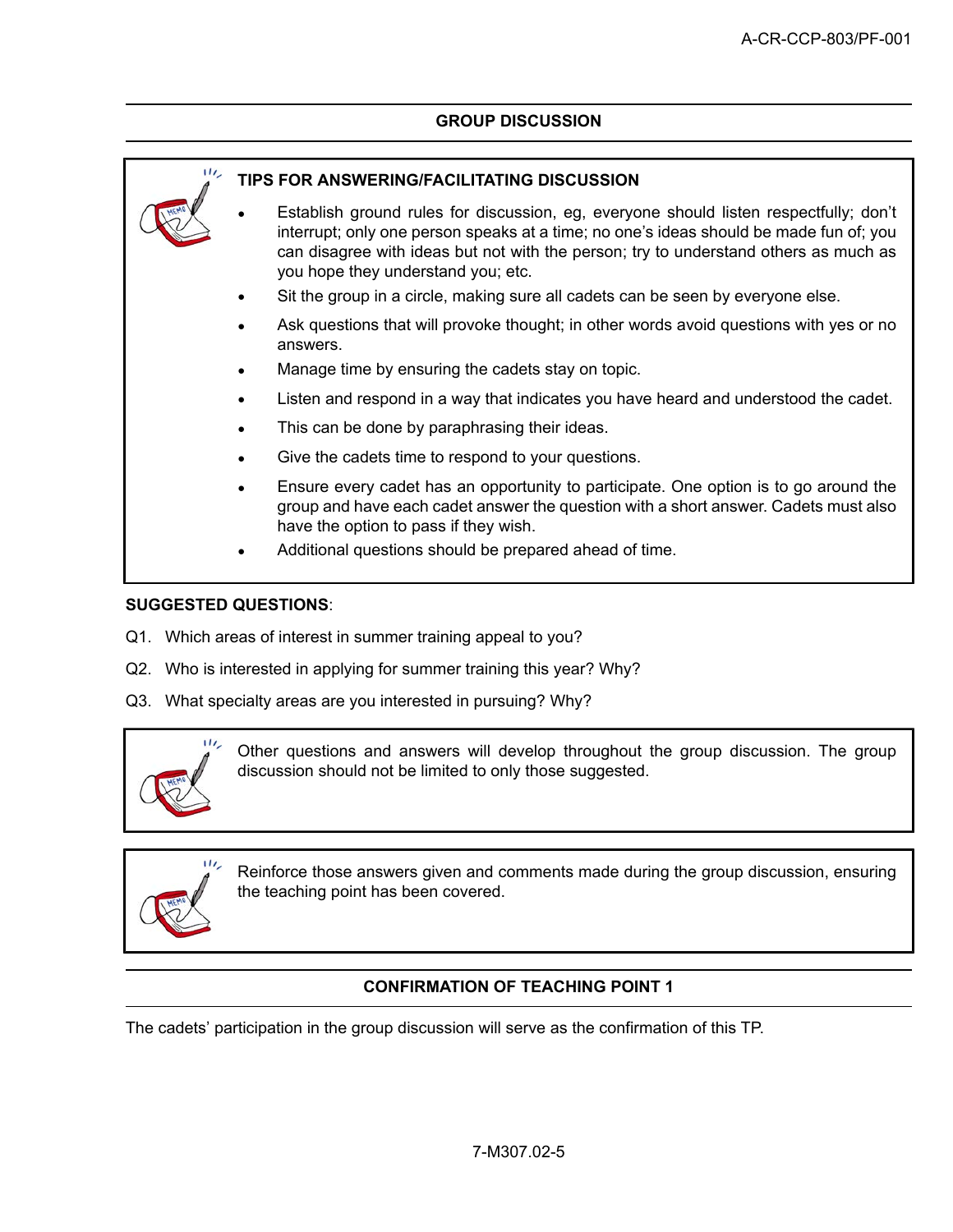# **GROUP DISCUSSION**

#### ш, **TIPS FOR ANSWERING/FACILITATING DISCUSSION**

- Establish ground rules for discussion, eg, everyone should listen respectfully; don't interrupt; only one person speaks at a time; no one's ideas should be made fun of; you can disagree with ideas but not with the person; try to understand others as much as you hope they understand you; etc.
- Sit the group in a circle, making sure all cadets can be seen by everyone else.
- Ask questions that will provoke thought; in other words avoid questions with yes or no answers.
- Manage time by ensuring the cadets stay on topic.
- Listen and respond in a way that indicates you have heard and understood the cadet.
- This can be done by paraphrasing their ideas.
- Give the cadets time to respond to your questions.
- Ensure every cadet has an opportunity to participate. One option is to go around the group and have each cadet answer the question with a short answer. Cadets must also have the option to pass if they wish.
- Additional questions should be prepared ahead of time.

#### **SUGGESTED QUESTIONS**:

- Q1. Which areas of interest in summer training appeal to you?
- Q2. Who is interested in applying for summer training this year? Why?
- Q3. What specialty areas are you interested in pursuing? Why?



Other questions and answers will develop throughout the group discussion. The group discussion should not be limited to only those suggested.



Reinforce those answers given and comments made during the group discussion, ensuring the teaching point has been covered.

# **CONFIRMATION OF TEACHING POINT 1**

The cadets' participation in the group discussion will serve as the confirmation of this TP.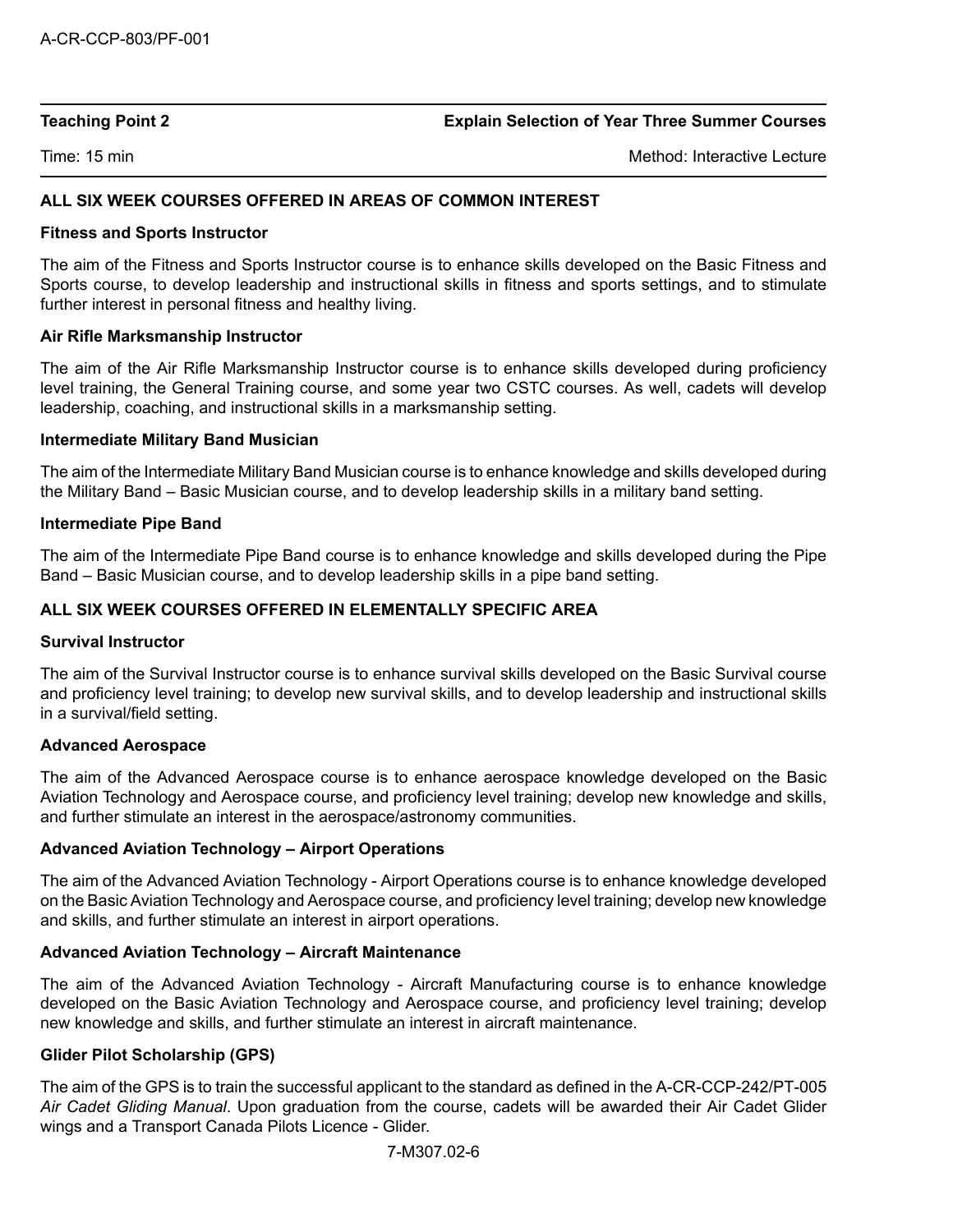**Teaching Point 2 Explain Selection of Year Three Summer Courses**

Time: 15 min Method: Interactive Lecture Communication of the Method: Interactive Lecture

# **ALL SIX WEEK COURSES OFFERED IN AREAS OF COMMON INTEREST**

#### **Fitness and Sports Instructor**

The aim of the Fitness and Sports Instructor course is to enhance skills developed on the Basic Fitness and Sports course, to develop leadership and instructional skills in fitness and sports settings, and to stimulate further interest in personal fitness and healthy living.

#### **Air Rifle Marksmanship Instructor**

The aim of the Air Rifle Marksmanship Instructor course is to enhance skills developed during proficiency level training, the General Training course, and some year two CSTC courses. As well, cadets will develop leadership, coaching, and instructional skills in a marksmanship setting.

#### **Intermediate Military Band Musician**

The aim of the Intermediate Military Band Musician course is to enhance knowledge and skills developed during the Military Band – Basic Musician course, and to develop leadership skills in a military band setting.

#### **Intermediate Pipe Band**

The aim of the Intermediate Pipe Band course is to enhance knowledge and skills developed during the Pipe Band – Basic Musician course, and to develop leadership skills in a pipe band setting.

# **ALL SIX WEEK COURSES OFFERED IN ELEMENTALLY SPECIFIC AREA**

#### **Survival Instructor**

The aim of the Survival Instructor course is to enhance survival skills developed on the Basic Survival course and proficiency level training; to develop new survival skills, and to develop leadership and instructional skills in a survival/field setting.

#### **Advanced Aerospace**

The aim of the Advanced Aerospace course is to enhance aerospace knowledge developed on the Basic Aviation Technology and Aerospace course, and proficiency level training; develop new knowledge and skills, and further stimulate an interest in the aerospace/astronomy communities.

## **Advanced Aviation Technology – Airport Operations**

The aim of the Advanced Aviation Technology - Airport Operations course is to enhance knowledge developed on the Basic Aviation Technology and Aerospace course, and proficiency level training; develop new knowledge and skills, and further stimulate an interest in airport operations.

## **Advanced Aviation Technology – Aircraft Maintenance**

The aim of the Advanced Aviation Technology - Aircraft Manufacturing course is to enhance knowledge developed on the Basic Aviation Technology and Aerospace course, and proficiency level training; develop new knowledge and skills, and further stimulate an interest in aircraft maintenance.

## **Glider Pilot Scholarship (GPS)**

The aim of the GPS is to train the successful applicant to the standard as defined in the A-CR-CCP-242/PT-005 *Air Cadet Gliding Manual*. Upon graduation from the course, cadets will be awarded their Air Cadet Glider wings and a Transport Canada Pilots Licence - Glider.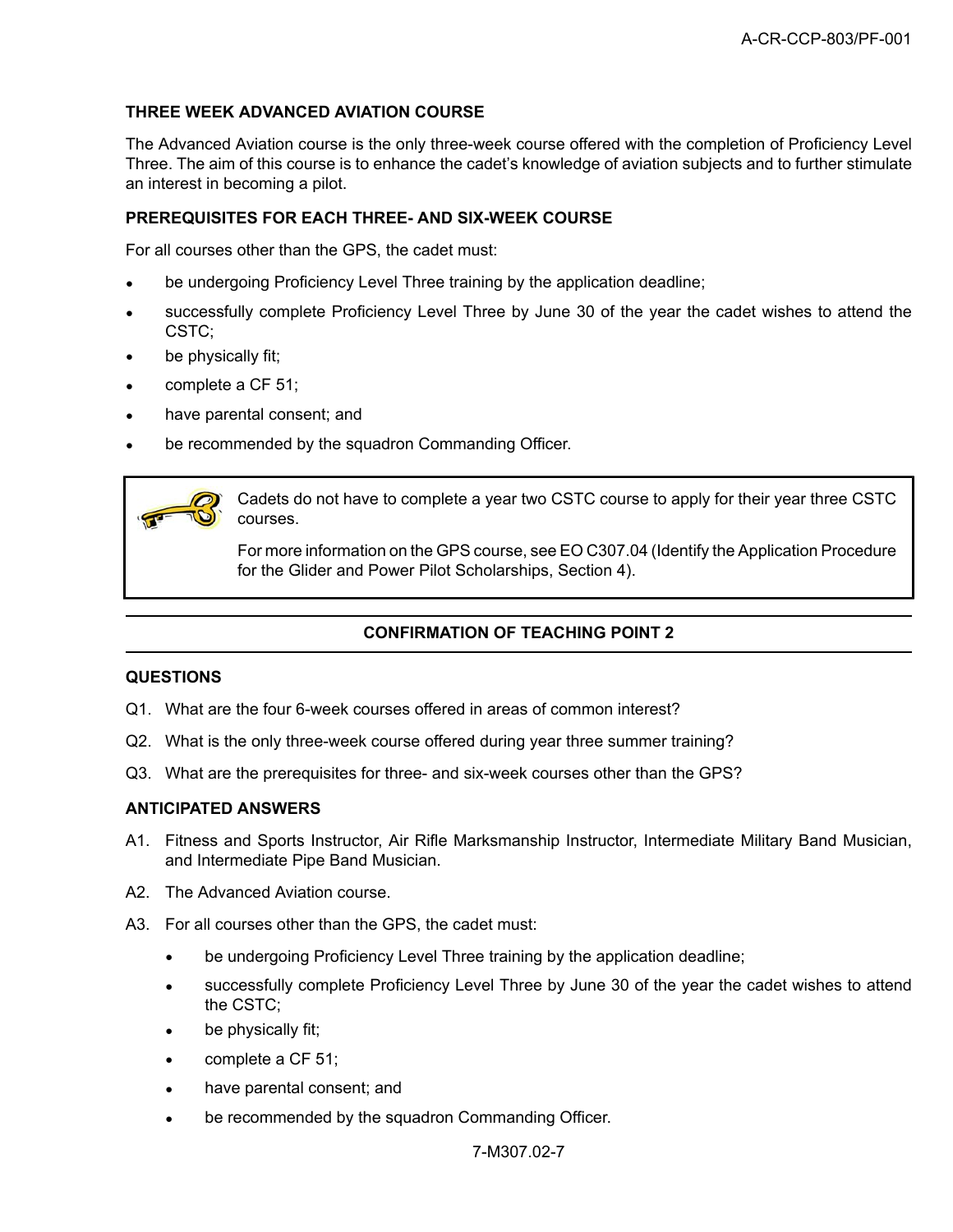# **THREE WEEK ADVANCED AVIATION COURSE**

The Advanced Aviation course is the only three-week course offered with the completion of Proficiency Level Three. The aim of this course is to enhance the cadet's knowledge of aviation subjects and to further stimulate an interest in becoming a pilot.

## **PREREQUISITES FOR EACH THREE- AND SIX-WEEK COURSE**

For all courses other than the GPS, the cadet must:

- be undergoing Proficiency Level Three training by the application deadline;
- successfully complete Proficiency Level Three by June 30 of the year the cadet wishes to attend the CSTC;
- be physically fit;
- complete a CF 51;
- have parental consent; and
- be recommended by the squadron Commanding Officer.



Cadets do not have to complete a year two CSTC course to apply for their year three CSTC courses.

For more information on the GPS course, see EO C307.04 (Identify the Application Procedure for the Glider and Power Pilot Scholarships, Section 4).

# **CONFIRMATION OF TEACHING POINT 2**

## **QUESTIONS**

- Q1. What are the four 6-week courses offered in areas of common interest?
- Q2. What is the only three-week course offered during year three summer training?
- Q3. What are the prerequisites for three- and six-week courses other than the GPS?

## **ANTICIPATED ANSWERS**

- A1. Fitness and Sports Instructor, Air Rifle Marksmanship Instructor, Intermediate Military Band Musician, and Intermediate Pipe Band Musician.
- A2. The Advanced Aviation course.
- A3. For all courses other than the GPS, the cadet must:
	- be undergoing Proficiency Level Three training by the application deadline;
	- successfully complete Proficiency Level Three by June 30 of the year the cadet wishes to attend the CSTC;
	- be physically fit;
	- complete a CF 51;
	- have parental consent; and
	- be recommended by the squadron Commanding Officer.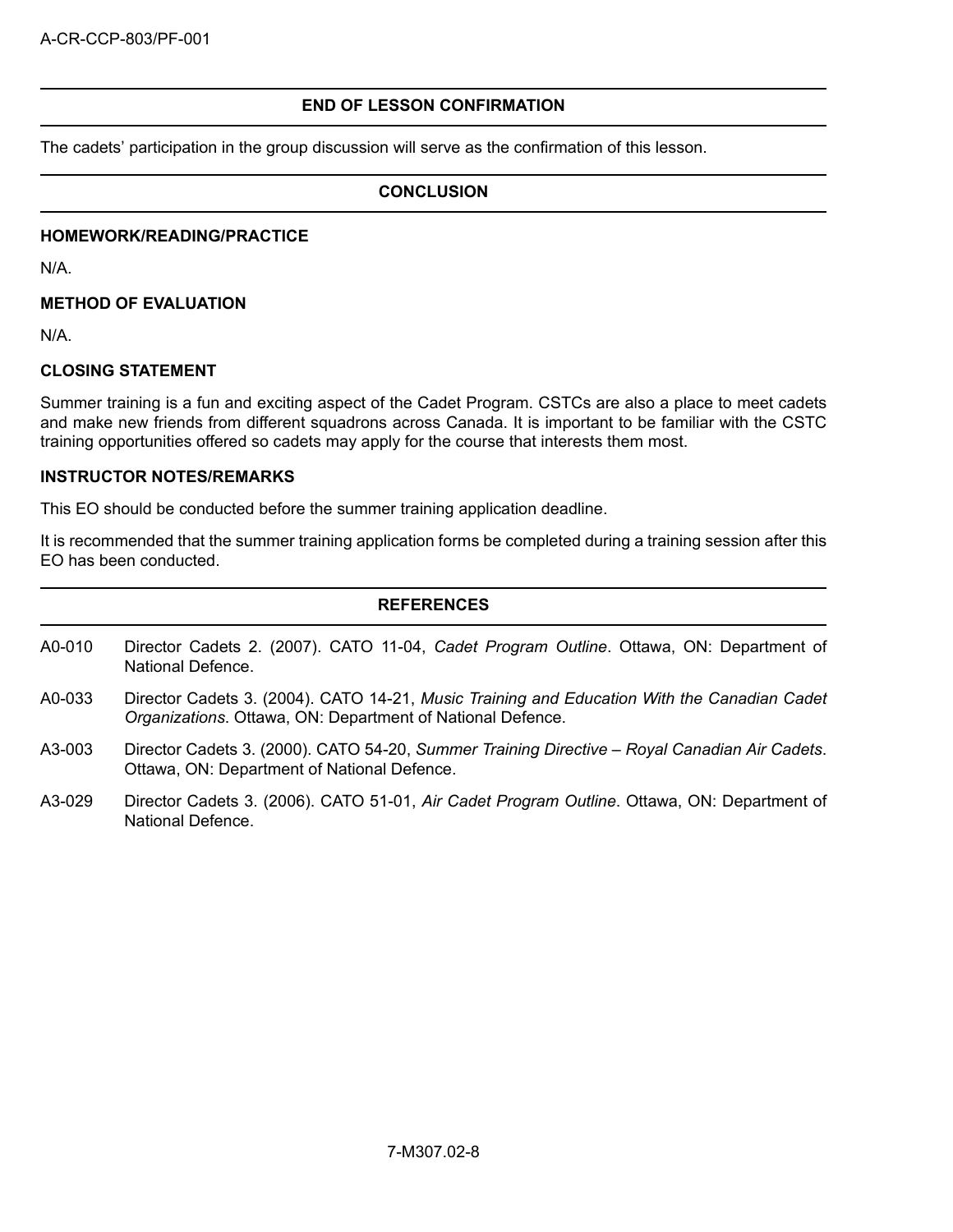# **END OF LESSON CONFIRMATION**

The cadets' participation in the group discussion will serve as the confirmation of this lesson.

## **CONCLUSION**

#### **HOMEWORK/READING/PRACTICE**

N/A.

### **METHOD OF EVALUATION**

N/A.

#### **CLOSING STATEMENT**

Summer training is a fun and exciting aspect of the Cadet Program. CSTCs are also a place to meet cadets and make new friends from different squadrons across Canada. It is important to be familiar with the CSTC training opportunities offered so cadets may apply for the course that interests them most.

#### **INSTRUCTOR NOTES/REMARKS**

This EO should be conducted before the summer training application deadline.

It is recommended that the summer training application forms be completed during a training session after this EO has been conducted.

|        | <b>REFERENCES</b>                                                                                                                                         |  |  |
|--------|-----------------------------------------------------------------------------------------------------------------------------------------------------------|--|--|
| A0-010 | Director Cadets 2. (2007). CATO 11-04, Cadet Program Outline. Ottawa, ON: Department of<br>National Defence.                                              |  |  |
| A0-033 | Director Cadets 3. (2004). CATO 14-21, Music Training and Education With the Canadian Cadet<br>Organizations. Ottawa, ON: Department of National Defence. |  |  |
| A3-003 | Director Cadets 3. (2000). CATO 54-20, Summer Training Directive - Royal Canadian Air Cadets.<br>Ottawa, ON: Department of National Defence.              |  |  |
| A3-029 | Director Cadets 3. (2006). CATO 51-01, Air Cadet Program Outline. Ottawa, ON: Department of<br>National Defence.                                          |  |  |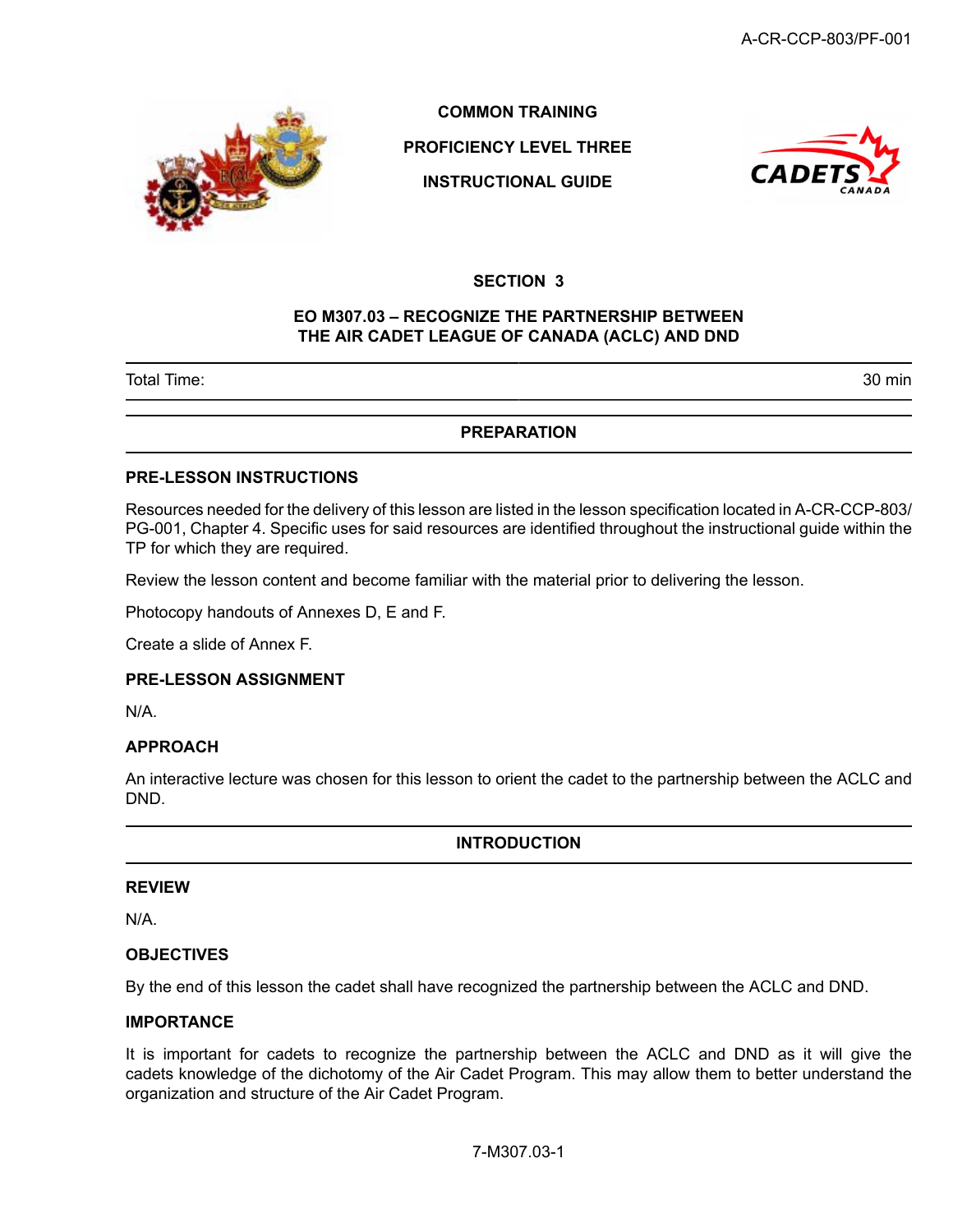

**COMMON TRAINING**

**PROFICIENCY LEVEL THREE**

**INSTRUCTIONAL GUIDE**



## **SECTION 3**

### **EO M307.03 – RECOGNIZE THE PARTNERSHIP BETWEEN THE AIR CADET LEAGUE OF CANADA (ACLC) AND DND**

Total Time: 30 min

## **PREPARATION**

#### **PRE-LESSON INSTRUCTIONS**

Resources needed for the delivery of this lesson are listed in the lesson specification located in A-CR-CCP-803/ PG-001, Chapter 4. Specific uses for said resources are identified throughout the instructional guide within the TP for which they are required.

Review the lesson content and become familiar with the material prior to delivering the lesson.

Photocopy handouts of Annexes D, E and F.

Create a slide of Annex F.

## **PRE-LESSON ASSIGNMENT**

N/A.

#### **APPROACH**

An interactive lecture was chosen for this lesson to orient the cadet to the partnership between the ACLC and DND.

**INTRODUCTION**

#### **REVIEW**

N/A.

#### **OBJECTIVES**

By the end of this lesson the cadet shall have recognized the partnership between the ACLC and DND.

## **IMPORTANCE**

It is important for cadets to recognize the partnership between the ACLC and DND as it will give the cadets knowledge of the dichotomy of the Air Cadet Program. This may allow them to better understand the organization and structure of the Air Cadet Program.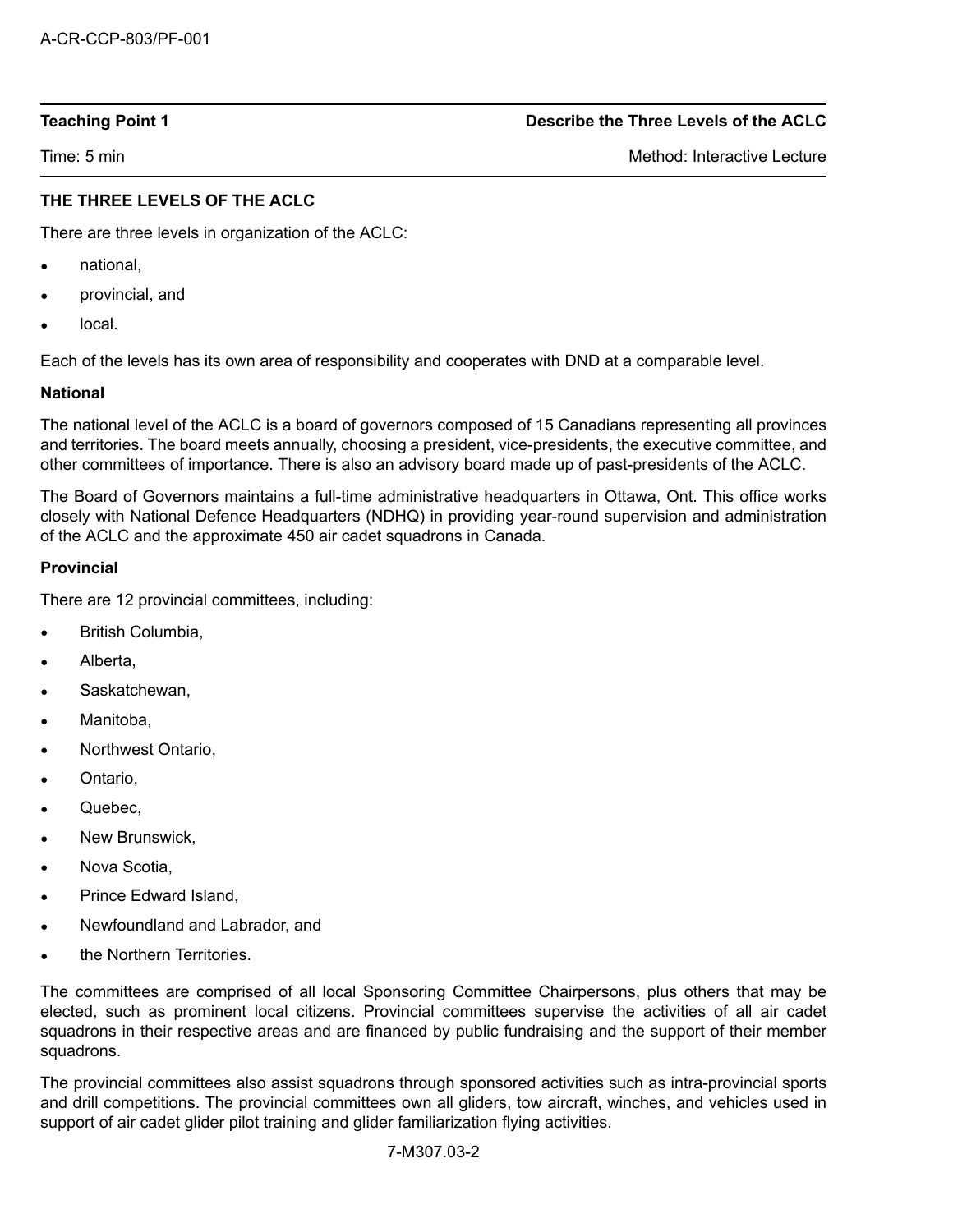Time: 5 min Method: Interactive Lecture Communication of the Method: Interactive Lecture

# **THE THREE LEVELS OF THE ACLC**

There are three levels in organization of the ACLC:

- national,
- provincial, and
- local.

Each of the levels has its own area of responsibility and cooperates with DND at a comparable level.

## **National**

The national level of the ACLC is a board of governors composed of 15 Canadians representing all provinces and territories. The board meets annually, choosing a president, vice-presidents, the executive committee, and other committees of importance. There is also an advisory board made up of past-presidents of the ACLC.

The Board of Governors maintains a full-time administrative headquarters in Ottawa, Ont. This office works closely with National Defence Headquarters (NDHQ) in providing year-round supervision and administration of the ACLC and the approximate 450 air cadet squadrons in Canada.

#### **Provincial**

There are 12 provincial committees, including:

- British Columbia,
- Alberta,
- Saskatchewan,
- Manitoba.
- Northwest Ontario,
- Ontario,
- Quebec,
- New Brunswick,
- Nova Scotia,
- Prince Edward Island,
- Newfoundland and Labrador, and
- the Northern Territories.

The committees are comprised of all local Sponsoring Committee Chairpersons, plus others that may be elected, such as prominent local citizens. Provincial committees supervise the activities of all air cadet squadrons in their respective areas and are financed by public fundraising and the support of their member squadrons.

The provincial committees also assist squadrons through sponsored activities such as intra-provincial sports and drill competitions. The provincial committees own all gliders, tow aircraft, winches, and vehicles used in support of air cadet glider pilot training and glider familiarization flying activities.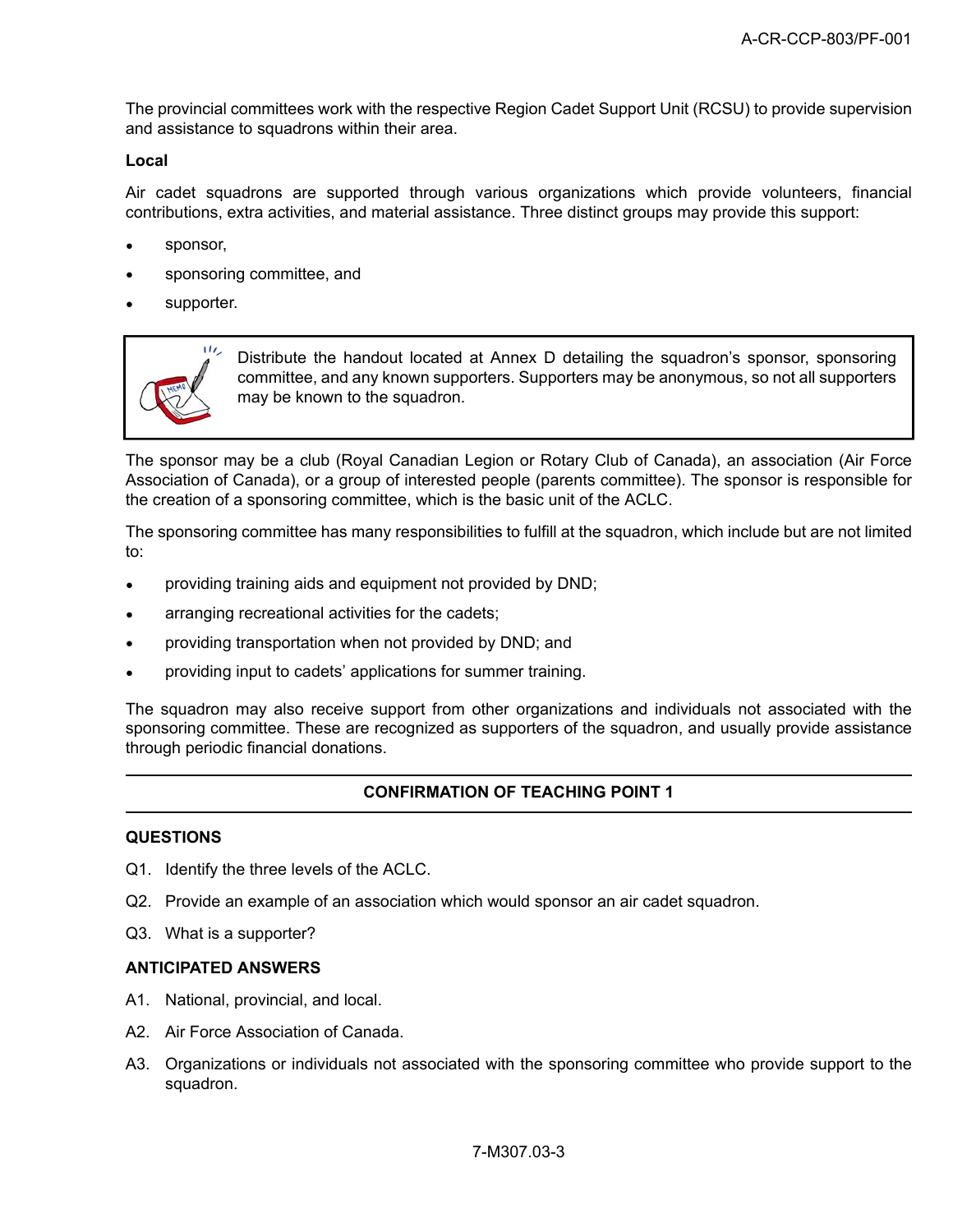The provincial committees work with the respective Region Cadet Support Unit (RCSU) to provide supervision and assistance to squadrons within their area.

#### **Local**

Air cadet squadrons are supported through various organizations which provide volunteers, financial contributions, extra activities, and material assistance. Three distinct groups may provide this support:

- sponsor.
- sponsoring committee, and
- supporter.



Distribute the handout located at Annex D detailing the squadron's sponsor, sponsoring committee, and any known supporters. Supporters may be anonymous, so not all supporters may be known to the squadron.

The sponsor may be a club (Royal Canadian Legion or Rotary Club of Canada), an association (Air Force Association of Canada), or a group of interested people (parents committee). The sponsor is responsible for the creation of a sponsoring committee, which is the basic unit of the ACLC.

The sponsoring committee has many responsibilities to fulfill at the squadron, which include but are not limited to:

- providing training aids and equipment not provided by DND;
- arranging recreational activities for the cadets;
- providing transportation when not provided by DND; and
- providing input to cadets' applications for summer training.

The squadron may also receive support from other organizations and individuals not associated with the sponsoring committee. These are recognized as supporters of the squadron, and usually provide assistance through periodic financial donations.

## **CONFIRMATION OF TEACHING POINT 1**

#### **QUESTIONS**

- Q1. Identify the three levels of the ACLC.
- Q2. Provide an example of an association which would sponsor an air cadet squadron.
- Q3. What is a supporter?

# **ANTICIPATED ANSWERS**

- A1. National, provincial, and local.
- A2. Air Force Association of Canada.
- A3. Organizations or individuals not associated with the sponsoring committee who provide support to the squadron.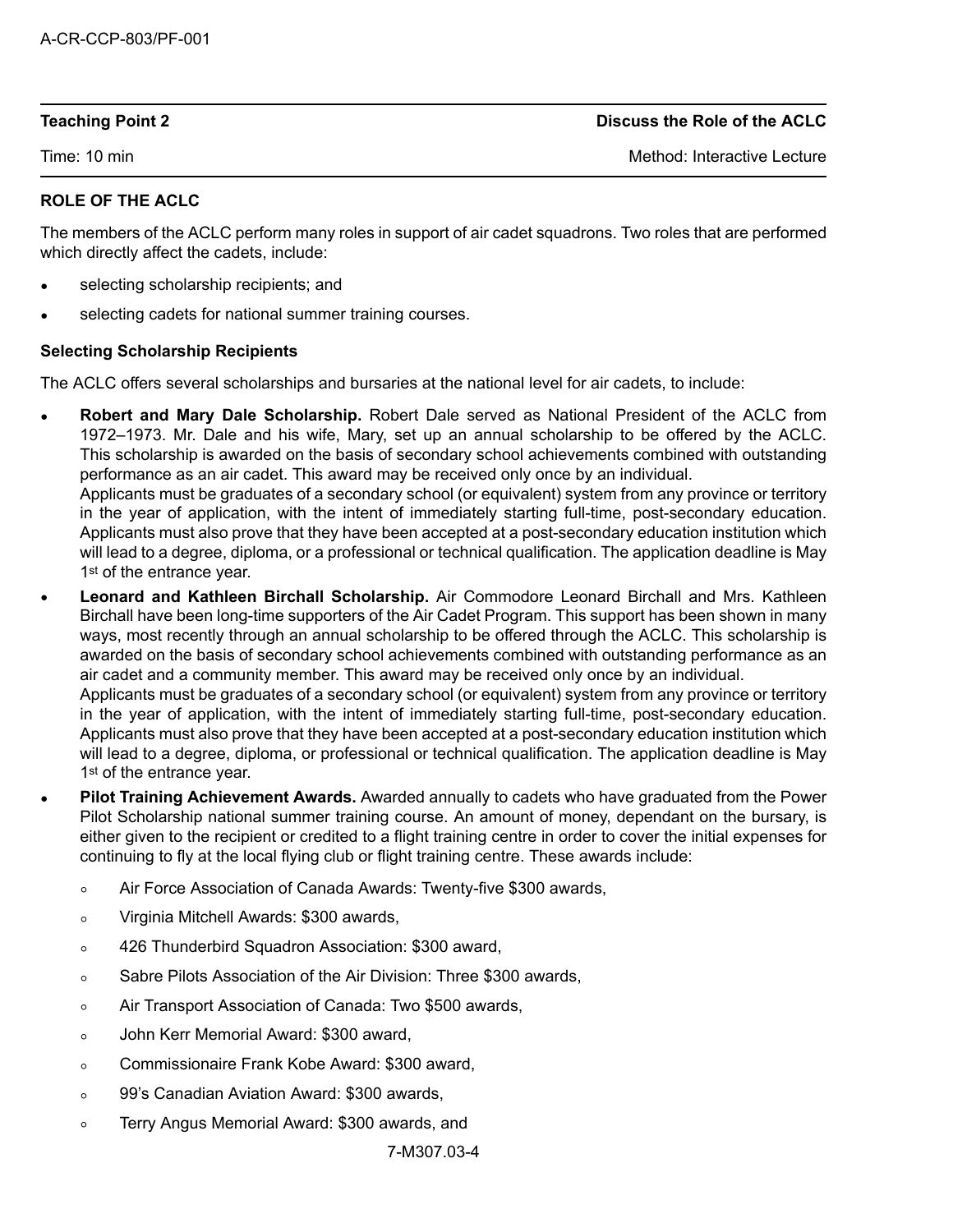**Teaching Point 2 Discuss the Role of the ACLC**

Time: 10 min Method: Interactive Lecture Communication of the Method: Interactive Lecture

# **ROLE OF THE ACLC**

The members of the ACLC perform many roles in support of air cadet squadrons. Two roles that are performed which directly affect the cadets, include:

- selecting scholarship recipients; and
- selecting cadets for national summer training courses.

## **Selecting Scholarship Recipients**

The ACLC offers several scholarships and bursaries at the national level for air cadets, to include:

• **Robert and Mary Dale Scholarship.** Robert Dale served as National President of the ACLC from 1972–1973. Mr. Dale and his wife, Mary, set up an annual scholarship to be offered by the ACLC. This scholarship is awarded on the basis of secondary school achievements combined with outstanding performance as an air cadet. This award may be received only once by an individual.

Applicants must be graduates of a secondary school (or equivalent) system from any province or territory in the year of application, with the intent of immediately starting full-time, post-secondary education. Applicants must also prove that they have been accepted at a post-secondary education institution which will lead to a degree, diploma, or a professional or technical qualification. The application deadline is May 1<sup>st</sup> of the entrance year.

- **Leonard and Kathleen Birchall Scholarship.** Air Commodore Leonard Birchall and Mrs. Kathleen Birchall have been long-time supporters of the Air Cadet Program. This support has been shown in many ways, most recently through an annual scholarship to be offered through the ACLC. This scholarship is awarded on the basis of secondary school achievements combined with outstanding performance as an air cadet and a community member. This award may be received only once by an individual. Applicants must be graduates of a secondary school (or equivalent) system from any province or territory in the year of application, with the intent of immediately starting full-time, post-secondary education. Applicants must also prove that they have been accepted at a post-secondary education institution which
	- will lead to a degree, diploma, or professional or technical qualification. The application deadline is May 1<sup>st</sup> of the entrance year. • **Pilot Training Achievement Awards.** Awarded annually to cadets who have graduated from the Power
	- Pilot Scholarship national summer training course. An amount of money, dependant on the bursary, is either given to the recipient or credited to a flight training centre in order to cover the initial expenses for continuing to fly at the local flying club or flight training centre. These awards include:
		- Air Force Association of Canada Awards: Twenty-five \$300 awards,
		- Virginia Mitchell Awards: \$300 awards,
		- 426 Thunderbird Squadron Association: \$300 award,
		- Sabre Pilots Association of the Air Division: Three \$300 awards,
		- Air Transport Association of Canada: Two \$500 awards,
		- John Kerr Memorial Award: \$300 award,
		- Commissionaire Frank Kobe Award: \$300 award,
		- 99's Canadian Aviation Award: \$300 awards,
		- Terry Angus Memorial Award: \$300 awards, and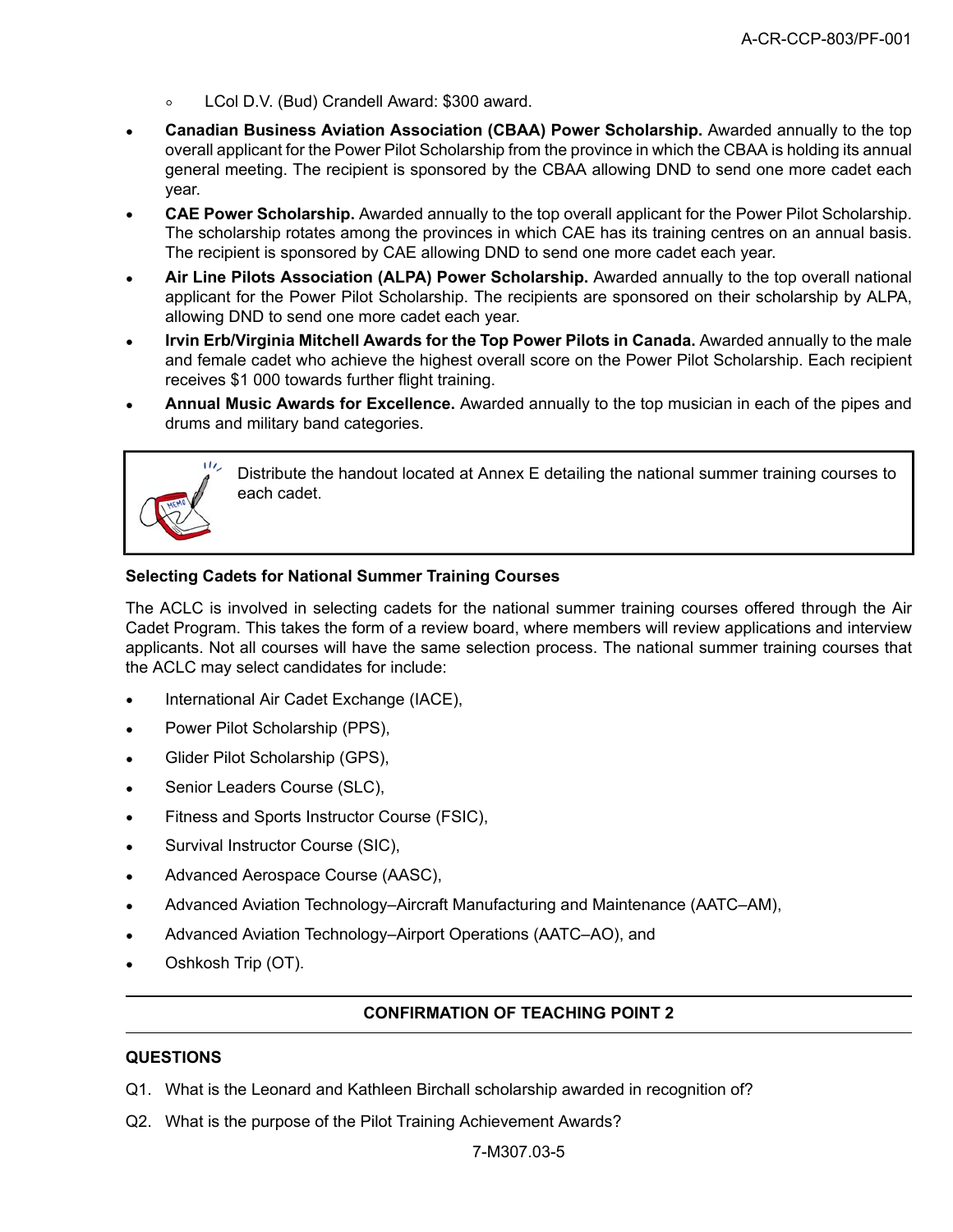- LCol D.V. (Bud) Crandell Award: \$300 award.
- **Canadian Business Aviation Association (CBAA) Power Scholarship.** Awarded annually to the top overall applicant for the Power Pilot Scholarship from the province in which the CBAA is holding its annual general meeting. The recipient is sponsored by the CBAA allowing DND to send one more cadet each year.
- **CAE Power Scholarship.** Awarded annually to the top overall applicant for the Power Pilot Scholarship. The scholarship rotates among the provinces in which CAE has its training centres on an annual basis. The recipient is sponsored by CAE allowing DND to send one more cadet each year.
- **Air Line Pilots Association (ALPA) Power Scholarship.** Awarded annually to the top overall national applicant for the Power Pilot Scholarship. The recipients are sponsored on their scholarship by ALPA, allowing DND to send one more cadet each year.
- **Irvin Erb/Virginia Mitchell Awards for the Top Power Pilots in Canada.** Awarded annually to the male and female cadet who achieve the highest overall score on the Power Pilot Scholarship. Each recipient receives \$1 000 towards further flight training.
- **Annual Music Awards for Excellence.** Awarded annually to the top musician in each of the pipes and drums and military band categories.



Distribute the handout located at Annex E detailing the national summer training courses to each cadet.

## **Selecting Cadets for National Summer Training Courses**

The ACLC is involved in selecting cadets for the national summer training courses offered through the Air Cadet Program. This takes the form of a review board, where members will review applications and interview applicants. Not all courses will have the same selection process. The national summer training courses that the ACLC may select candidates for include:

- International Air Cadet Exchange (IACE),
- Power Pilot Scholarship (PPS),
- Glider Pilot Scholarship (GPS),
- Senior Leaders Course (SLC),
- Fitness and Sports Instructor Course (FSIC),
- Survival Instructor Course (SIC),
- Advanced Aerospace Course (AASC),
- Advanced Aviation Technology–Aircraft Manufacturing and Maintenance (AATC–AM),
- Advanced Aviation Technology–Airport Operations (AATC–AO), and
- Oshkosh Trip (OT).

# **CONFIRMATION OF TEACHING POINT 2**

## **QUESTIONS**

- Q1. What is the Leonard and Kathleen Birchall scholarship awarded in recognition of?
- Q2. What is the purpose of the Pilot Training Achievement Awards?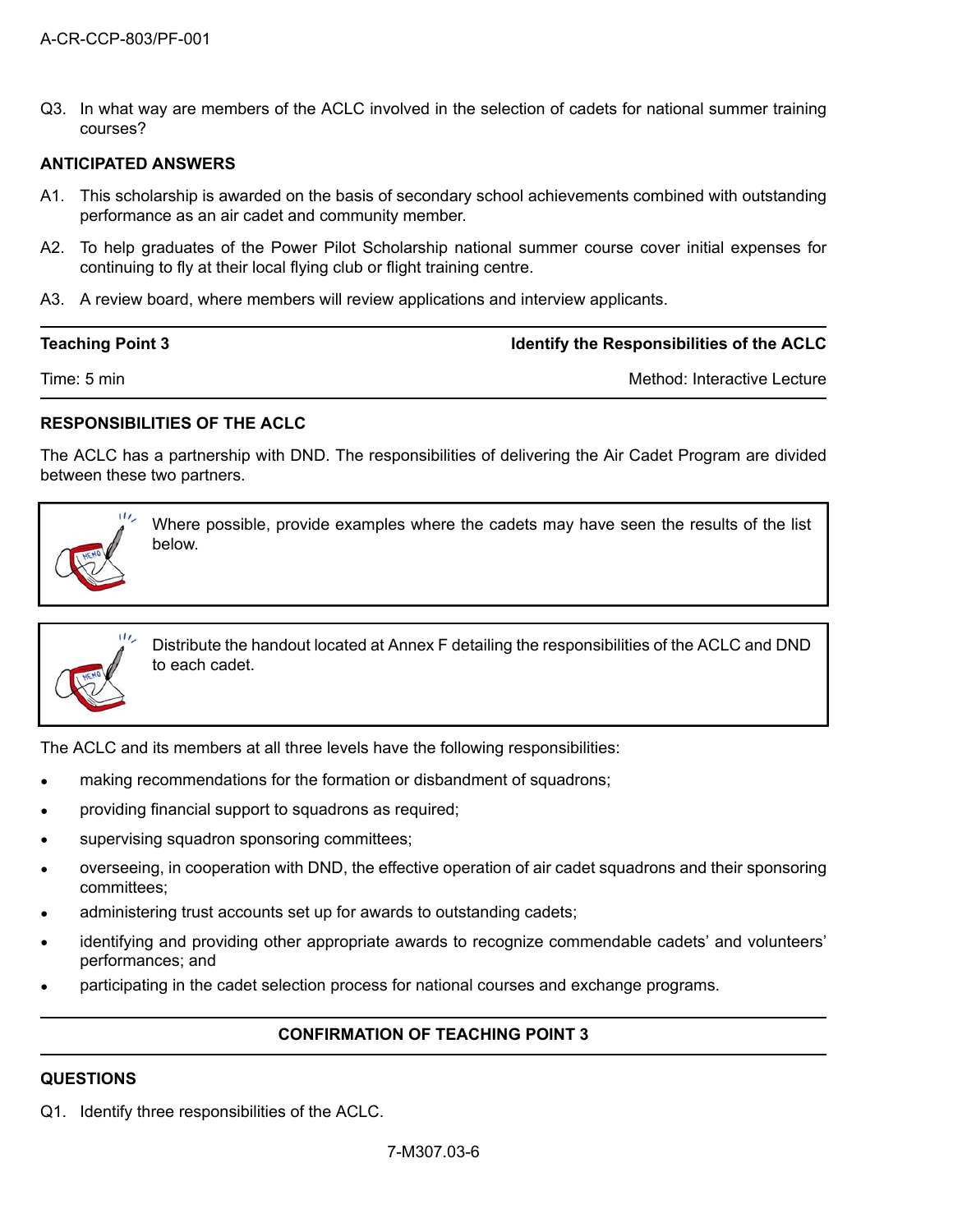Q3. In what way are members of the ACLC involved in the selection of cadets for national summer training courses?

# **ANTICIPATED ANSWERS**

- A1. This scholarship is awarded on the basis of secondary school achievements combined with outstanding performance as an air cadet and community member.
- A2. To help graduates of the Power Pilot Scholarship national summer course cover initial expenses for continuing to fly at their local flying club or flight training centre.
- A3. A review board, where members will review applications and interview applicants.

**Teaching Point 3 Identify the Responsibilities of the ACLC**

Time: 5 min Method: Interactive Lecture

## **RESPONSIBILITIES OF THE ACLC**

The ACLC has a partnership with DND. The responsibilities of delivering the Air Cadet Program are divided between these two partners.



Where possible, provide examples where the cadets may have seen the results of the list below.



Distribute the handout located at Annex F detailing the responsibilities of the ACLC and DND to each cadet.

The ACLC and its members at all three levels have the following responsibilities:

- making recommendations for the formation or disbandment of squadrons;
- providing financial support to squadrons as required;
- supervising squadron sponsoring committees;
- overseeing, in cooperation with DND, the effective operation of air cadet squadrons and their sponsoring committees;
- administering trust accounts set up for awards to outstanding cadets;
- identifying and providing other appropriate awards to recognize commendable cadets' and volunteers' performances; and
- participating in the cadet selection process for national courses and exchange programs.

## **CONFIRMATION OF TEACHING POINT 3**

## **QUESTIONS**

Q1. Identify three responsibilities of the ACLC.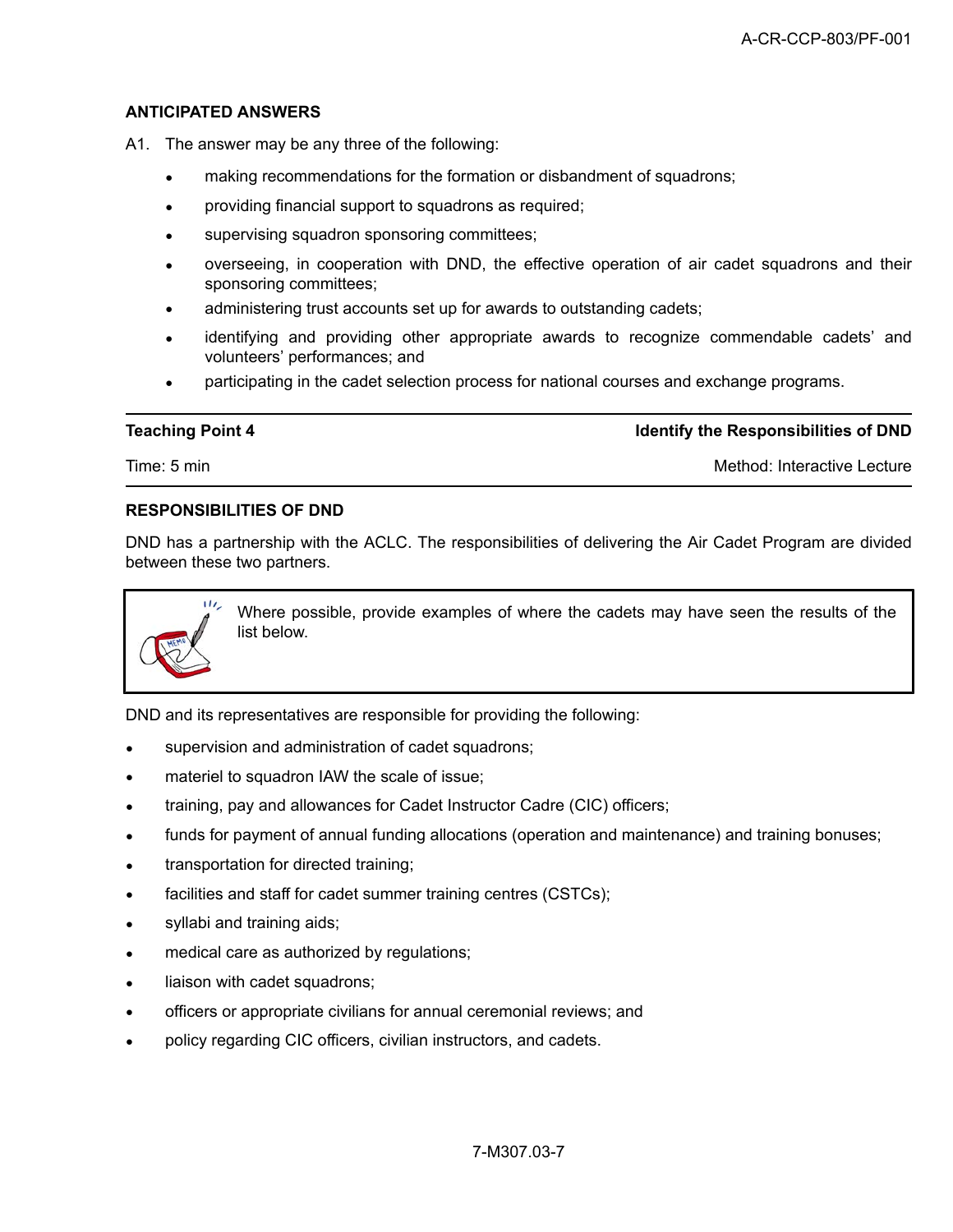#### **ANTICIPATED ANSWERS**

A1. The answer may be any three of the following:

- making recommendations for the formation or disbandment of squadrons;
- providing financial support to squadrons as required;
- supervising squadron sponsoring committees;
- overseeing, in cooperation with DND, the effective operation of air cadet squadrons and their sponsoring committees;
- administering trust accounts set up for awards to outstanding cadets;
- identifying and providing other appropriate awards to recognize commendable cadets' and volunteers' performances; and
- participating in the cadet selection process for national courses and exchange programs.

**Teaching Point 4 Identify the Responsibilities of DND**

Time: 5 min Method: Interactive Lecture

#### **RESPONSIBILITIES OF DND**

DND has a partnership with the ACLC. The responsibilities of delivering the Air Cadet Program are divided between these two partners.



Where possible, provide examples of where the cadets may have seen the results of the list below.

DND and its representatives are responsible for providing the following:

- supervision and administration of cadet squadrons;
- materiel to squadron IAW the scale of issue;
- training, pay and allowances for Cadet Instructor Cadre (CIC) officers;
- funds for payment of annual funding allocations (operation and maintenance) and training bonuses;
- transportation for directed training;
- facilities and staff for cadet summer training centres (CSTCs);
- syllabi and training aids;
- medical care as authorized by regulations;
- liaison with cadet squadrons;
- officers or appropriate civilians for annual ceremonial reviews; and
- policy regarding CIC officers, civilian instructors, and cadets.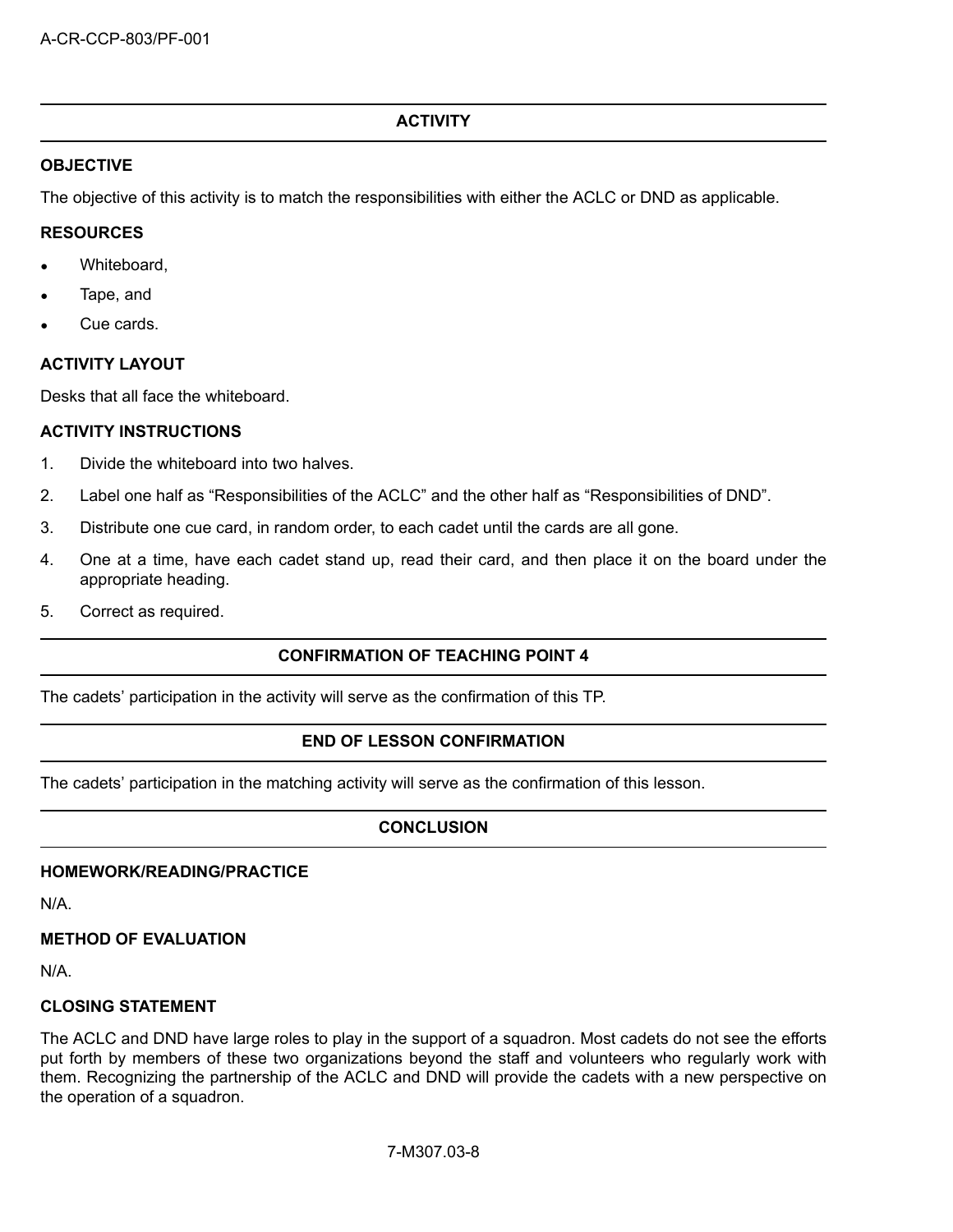# **ACTIVITY**

## **OBJECTIVE**

The objective of this activity is to match the responsibilities with either the ACLC or DND as applicable.

## **RESOURCES**

- Whiteboard,
- Tape, and
- Cue cards.

# **ACTIVITY LAYOUT**

Desks that all face the whiteboard.

# **ACTIVITY INSTRUCTIONS**

- 1. Divide the whiteboard into two halves.
- 2. Label one half as "Responsibilities of the ACLC" and the other half as "Responsibilities of DND".
- 3. Distribute one cue card, in random order, to each cadet until the cards are all gone.
- 4. One at a time, have each cadet stand up, read their card, and then place it on the board under the appropriate heading.
- 5. Correct as required.

# **CONFIRMATION OF TEACHING POINT 4**

The cadets' participation in the activity will serve as the confirmation of this TP.

# **END OF LESSON CONFIRMATION**

The cadets' participation in the matching activity will serve as the confirmation of this lesson.

# **CONCLUSION**

# **HOMEWORK/READING/PRACTICE**

N/A.

# **METHOD OF EVALUATION**

N/A.

# **CLOSING STATEMENT**

The ACLC and DND have large roles to play in the support of a squadron. Most cadets do not see the efforts put forth by members of these two organizations beyond the staff and volunteers who regularly work with them. Recognizing the partnership of the ACLC and DND will provide the cadets with a new perspective on the operation of a squadron.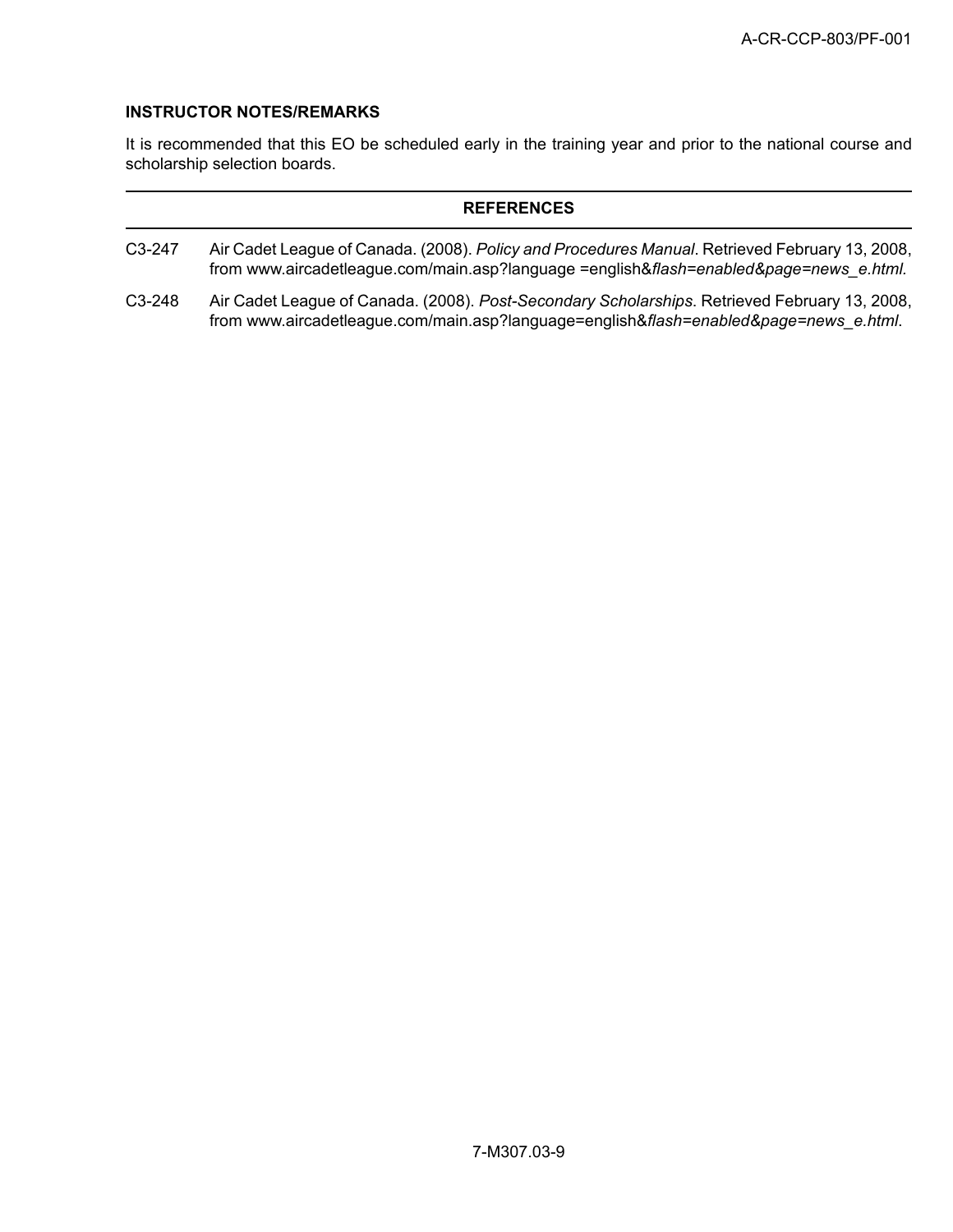### **INSTRUCTOR NOTES/REMARKS**

It is recommended that this EO be scheduled early in the training year and prior to the national course and scholarship selection boards.

## **REFERENCES**

- C3-247 Air Cadet League of Canada. (2008). *Policy and Procedures Manual*. Retrieved February 13, 2008, from www.aircadetleague.com/main.asp?language =english&*flash=enabled&page=news\_e.html.*
- C3-248 Air Cadet League of Canada. (2008). *Post-Secondary Scholarships*. Retrieved February 13, 2008, from www.aircadetleague.com/main.asp?language=english&*flash=enabled&page=news\_e.html*.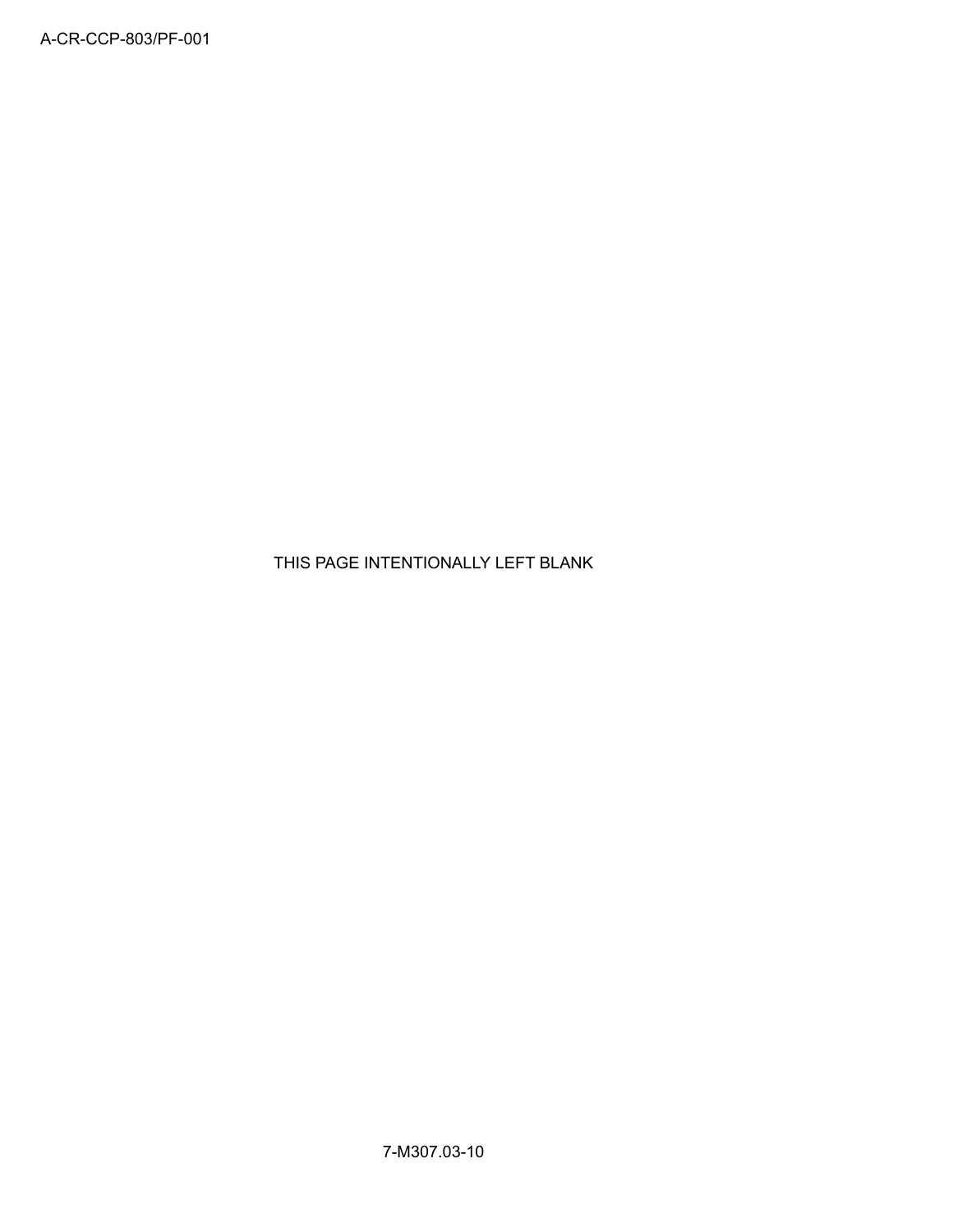THIS PAGE INTENTIONALLY LEFT BLANK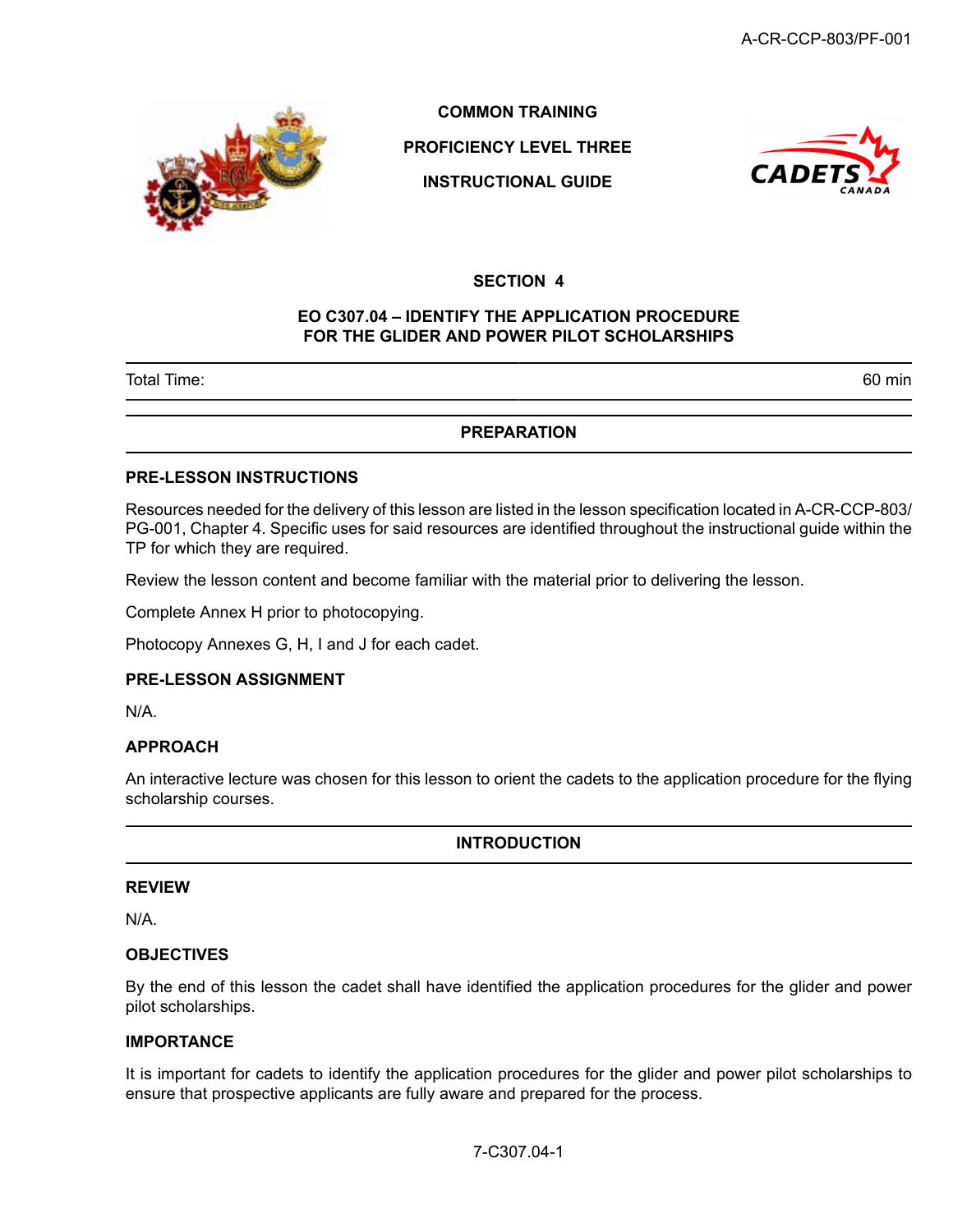

**COMMON TRAINING**

**PROFICIENCY LEVEL THREE**

**INSTRUCTIONAL GUIDE**



## **SECTION 4**

### **EO C307.04 – IDENTIFY THE APPLICATION PROCEDURE FOR THE GLIDER AND POWER PILOT SCHOLARSHIPS**

Total Time: 60 min

## **PREPARATION**

#### **PRE-LESSON INSTRUCTIONS**

Resources needed for the delivery of this lesson are listed in the lesson specification located in A-CR-CCP-803/ PG-001, Chapter 4. Specific uses for said resources are identified throughout the instructional guide within the TP for which they are required.

Review the lesson content and become familiar with the material prior to delivering the lesson.

Complete Annex H prior to photocopying.

Photocopy Annexes G, H, I and J for each cadet.

## **PRE-LESSON ASSIGNMENT**

N/A.

#### **APPROACH**

An interactive lecture was chosen for this lesson to orient the cadets to the application procedure for the flying scholarship courses.

**INTRODUCTION**

#### **REVIEW**

N/A.

#### **OBJECTIVES**

By the end of this lesson the cadet shall have identified the application procedures for the glider and power pilot scholarships.

#### **IMPORTANCE**

It is important for cadets to identify the application procedures for the glider and power pilot scholarships to ensure that prospective applicants are fully aware and prepared for the process.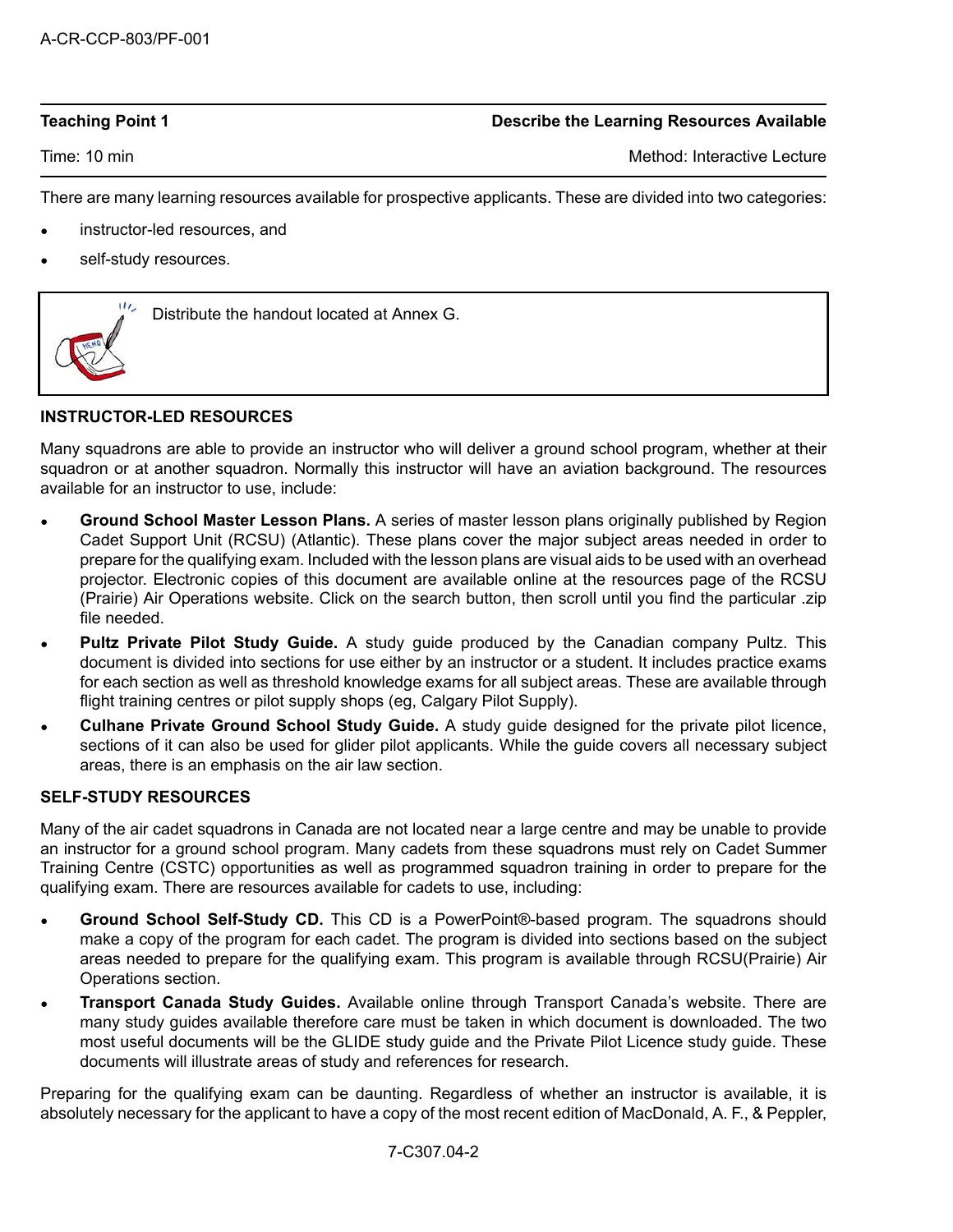**Teaching Point 1 Describe the Learning Resources Available**

Time: 10 min Method: Interactive Lecture Communication of the Method: Interactive Lecture

There are many learning resources available for prospective applicants. These are divided into two categories:

- instructor-led resources, and
- self-study resources.



Distribute the handout located at Annex G.

## **INSTRUCTOR-LED RESOURCES**

Many squadrons are able to provide an instructor who will deliver a ground school program, whether at their squadron or at another squadron. Normally this instructor will have an aviation background. The resources available for an instructor to use, include:

- **Ground School Master Lesson Plans.** A series of master lesson plans originally published by Region Cadet Support Unit (RCSU) (Atlantic). These plans cover the major subject areas needed in order to prepare for the qualifying exam. Included with the lesson plans are visual aids to be used with an overhead projector. Electronic copies of this document are available online at the resources page of the RCSU (Prairie) Air Operations website. Click on the search button, then scroll until you find the particular .zip file needed.
- **Pultz Private Pilot Study Guide.** A study guide produced by the Canadian company Pultz. This document is divided into sections for use either by an instructor or a student. It includes practice exams for each section as well as threshold knowledge exams for all subject areas. These are available through flight training centres or pilot supply shops (eg, Calgary Pilot Supply).
- **Culhane Private Ground School Study Guide.** A study guide designed for the private pilot licence, sections of it can also be used for glider pilot applicants. While the guide covers all necessary subject areas, there is an emphasis on the air law section.

# **SELF-STUDY RESOURCES**

Many of the air cadet squadrons in Canada are not located near a large centre and may be unable to provide an instructor for a ground school program. Many cadets from these squadrons must rely on Cadet Summer Training Centre (CSTC) opportunities as well as programmed squadron training in order to prepare for the qualifying exam. There are resources available for cadets to use, including:

- **Ground School Self-Study CD.** This CD is a PowerPoint®-based program. The squadrons should make a copy of the program for each cadet. The program is divided into sections based on the subject areas needed to prepare for the qualifying exam. This program is available through RCSU(Prairie) Air Operations section.
- **Transport Canada Study Guides.** Available online through Transport Canada's website. There are many study guides available therefore care must be taken in which document is downloaded. The two most useful documents will be the GLIDE study guide and the Private Pilot Licence study guide. These documents will illustrate areas of study and references for research.

Preparing for the qualifying exam can be daunting. Regardless of whether an instructor is available, it is absolutely necessary for the applicant to have a copy of the most recent edition of MacDonald, A. F., & Peppler,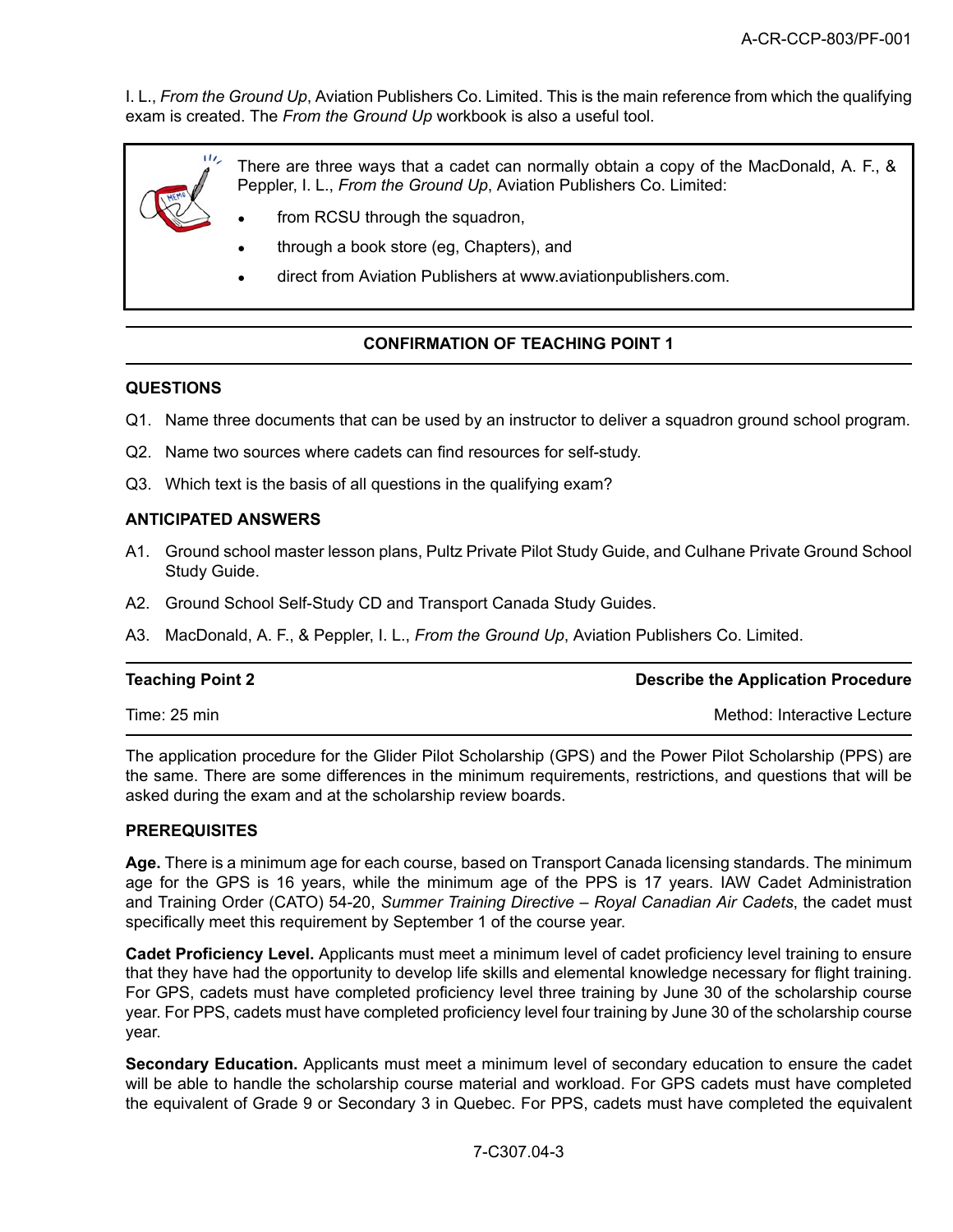I. L., *From the Ground Up*, Aviation Publishers Co. Limited. This is the main reference from which the qualifying exam is created. The *From the Ground Up* workbook is also a useful tool.

There are three ways that a cadet can normally obtain a copy of the MacDonald, A. F., & Peppler, I. L., *From the Ground Up*, Aviation Publishers Co. Limited: • from RCSU through the squadron, • through a book store (eg, Chapters), and • direct from Aviation Publishers at www.aviationpublishers.com.

# **CONFIRMATION OF TEACHING POINT 1**

#### **QUESTIONS**

- Q1. Name three documents that can be used by an instructor to deliver a squadron ground school program.
- Q2. Name two sources where cadets can find resources for self-study.
- Q3. Which text is the basis of all questions in the qualifying exam?

#### **ANTICIPATED ANSWERS**

- A1. Ground school master lesson plans, Pultz Private Pilot Study Guide, and Culhane Private Ground School Study Guide.
- A2. Ground School Self-Study CD and Transport Canada Study Guides.
- A3. MacDonald, A. F., & Peppler, I. L., *From the Ground Up*, Aviation Publishers Co. Limited.

#### **Teaching Point 2 Describe the Application Procedure**

Time: 25 min Method: Interactive Lecture

The application procedure for the Glider Pilot Scholarship (GPS) and the Power Pilot Scholarship (PPS) are the same. There are some differences in the minimum requirements, restrictions, and questions that will be asked during the exam and at the scholarship review boards.

## **PREREQUISITES**

**Age.** There is a minimum age for each course, based on Transport Canada licensing standards. The minimum age for the GPS is 16 years, while the minimum age of the PPS is 17 years. IAW Cadet Administration and Training Order (CATO) 54-20, *Summer Training Directive – Royal Canadian Air Cadets*, the cadet must specifically meet this requirement by September 1 of the course year.

**Cadet Proficiency Level.** Applicants must meet a minimum level of cadet proficiency level training to ensure that they have had the opportunity to develop life skills and elemental knowledge necessary for flight training. For GPS, cadets must have completed proficiency level three training by June 30 of the scholarship course year. For PPS, cadets must have completed proficiency level four training by June 30 of the scholarship course year.

**Secondary Education.** Applicants must meet a minimum level of secondary education to ensure the cadet will be able to handle the scholarship course material and workload. For GPS cadets must have completed the equivalent of Grade 9 or Secondary 3 in Quebec. For PPS, cadets must have completed the equivalent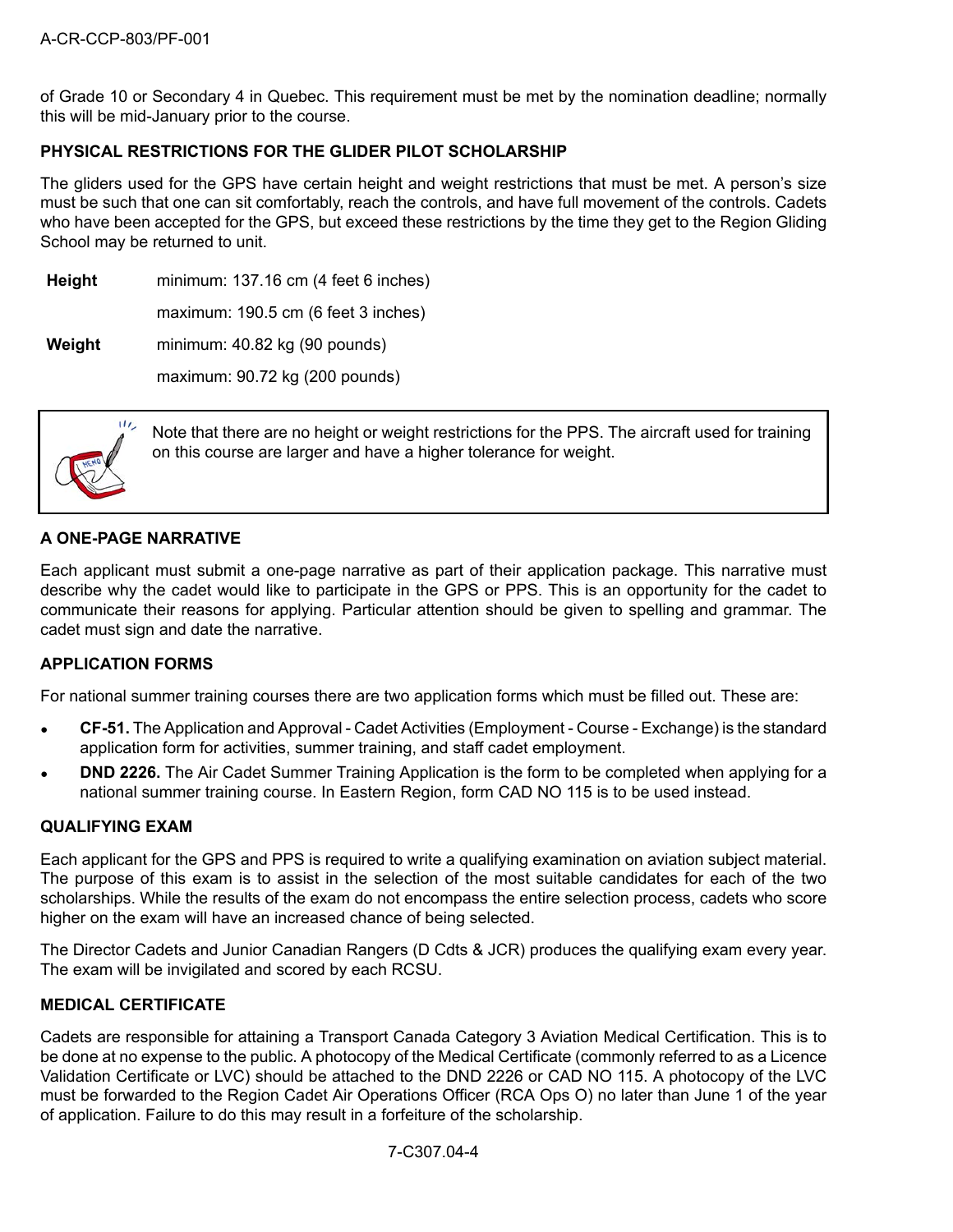of Grade 10 or Secondary 4 in Quebec. This requirement must be met by the nomination deadline; normally this will be mid-January prior to the course.

## **PHYSICAL RESTRICTIONS FOR THE GLIDER PILOT SCHOLARSHIP**

The gliders used for the GPS have certain height and weight restrictions that must be met. A person's size must be such that one can sit comfortably, reach the controls, and have full movement of the controls. Cadets who have been accepted for the GPS, but exceed these restrictions by the time they get to the Region Gliding School may be returned to unit.

**Height** minimum: 137.16 cm (4 feet 6 inches)

maximum: 190.5 cm (6 feet 3 inches)

**Weight** minimum: 40.82 kg (90 pounds)

maximum: 90.72 kg (200 pounds)



Note that there are no height or weight restrictions for the PPS. The aircraft used for training on this course are larger and have a higher tolerance for weight.

# **A ONE-PAGE NARRATIVE**

Each applicant must submit a one-page narrative as part of their application package. This narrative must describe why the cadet would like to participate in the GPS or PPS. This is an opportunity for the cadet to communicate their reasons for applying. Particular attention should be given to spelling and grammar. The cadet must sign and date the narrative.

## **APPLICATION FORMS**

For national summer training courses there are two application forms which must be filled out. These are:

- **CF-51.** The Application and Approval Cadet Activities (Employment Course Exchange) is the standard application form for activities, summer training, and staff cadet employment.
- **DND 2226.** The Air Cadet Summer Training Application is the form to be completed when applying for a national summer training course. In Eastern Region, form CAD NO 115 is to be used instead.

## **QUALIFYING EXAM**

Each applicant for the GPS and PPS is required to write a qualifying examination on aviation subject material. The purpose of this exam is to assist in the selection of the most suitable candidates for each of the two scholarships. While the results of the exam do not encompass the entire selection process, cadets who score higher on the exam will have an increased chance of being selected.

The Director Cadets and Junior Canadian Rangers (D Cdts & JCR) produces the qualifying exam every year. The exam will be invigilated and scored by each RCSU.

## **MEDICAL CERTIFICATE**

Cadets are responsible for attaining a Transport Canada Category 3 Aviation Medical Certification. This is to be done at no expense to the public. A photocopy of the Medical Certificate (commonly referred to as a Licence Validation Certificate or LVC) should be attached to the DND 2226 or CAD NO 115. A photocopy of the LVC must be forwarded to the Region Cadet Air Operations Officer (RCA Ops O) no later than June 1 of the year of application. Failure to do this may result in a forfeiture of the scholarship.

7-C307.04-4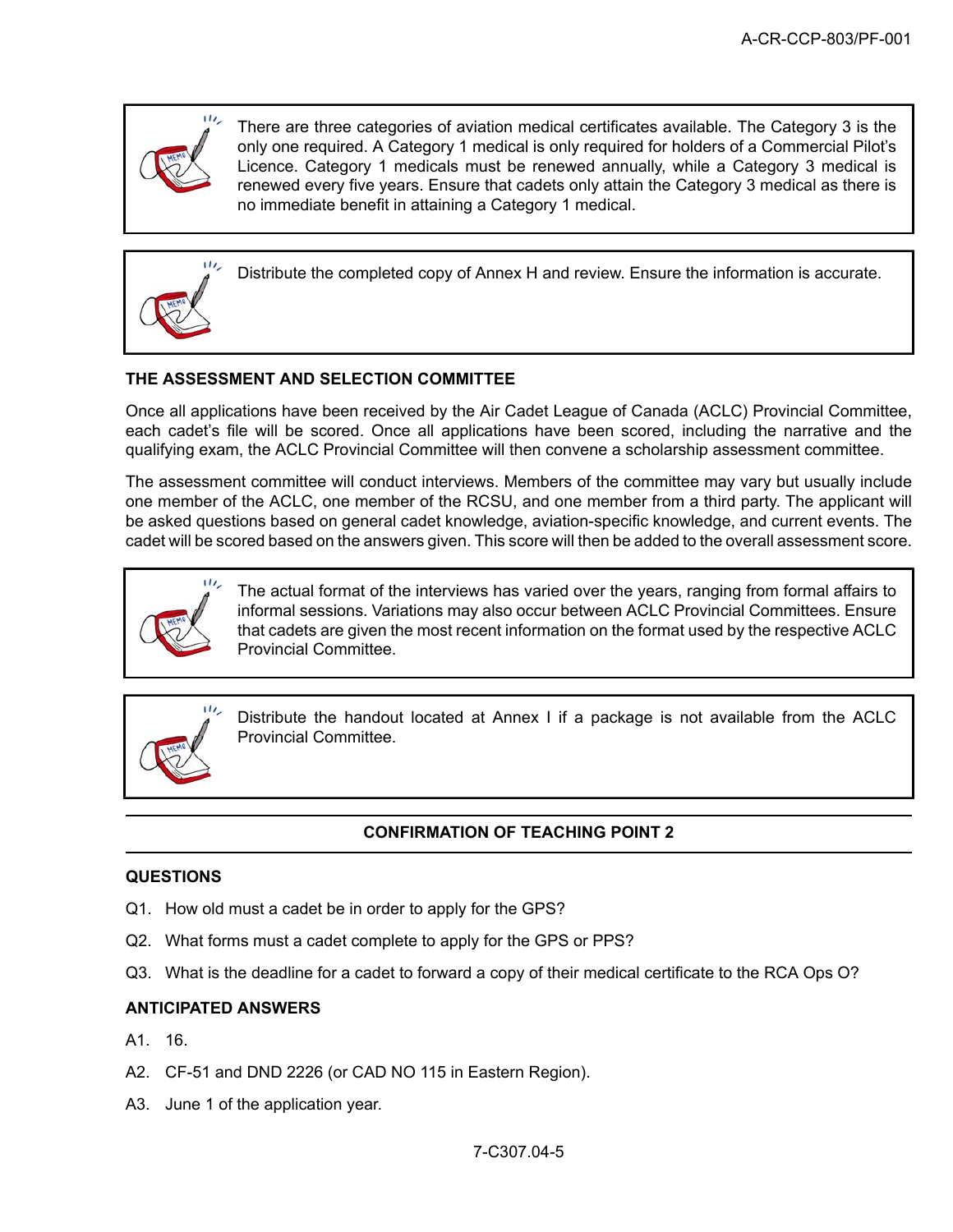

There are three categories of aviation medical certificates available. The Category 3 is the only one required. A Category 1 medical is only required for holders of a Commercial Pilot's Licence. Category 1 medicals must be renewed annually, while a Category 3 medical is renewed every five years. Ensure that cadets only attain the Category 3 medical as there is no immediate benefit in attaining a Category 1 medical.

 $111.$ Distribute the completed copy of Annex H and review. Ensure the information is accurate.

# **THE ASSESSMENT AND SELECTION COMMITTEE**

Once all applications have been received by the Air Cadet League of Canada (ACLC) Provincial Committee, each cadet's file will be scored. Once all applications have been scored, including the narrative and the qualifying exam, the ACLC Provincial Committee will then convene a scholarship assessment committee.

The assessment committee will conduct interviews. Members of the committee may vary but usually include one member of the ACLC, one member of the RCSU, and one member from a third party. The applicant will be asked questions based on general cadet knowledge, aviation-specific knowledge, and current events. The cadet will be scored based on the answers given. This score will then be added to the overall assessment score.



The actual format of the interviews has varied over the years, ranging from formal affairs to informal sessions. Variations may also occur between ACLC Provincial Committees. Ensure that cadets are given the most recent information on the format used by the respective ACLC Provincial Committee.



Distribute the handout located at Annex I if a package is not available from the ACLC Provincial Committee.

## **CONFIRMATION OF TEACHING POINT 2**

## **QUESTIONS**

- Q1. How old must a cadet be in order to apply for the GPS?
- Q2. What forms must a cadet complete to apply for the GPS or PPS?
- Q3. What is the deadline for a cadet to forward a copy of their medical certificate to the RCA Ops O?

#### **ANTICIPATED ANSWERS**

- A1. 16.
- A2. CF-51 and DND 2226 (or CAD NO 115 in Eastern Region).
- A3. June 1 of the application year.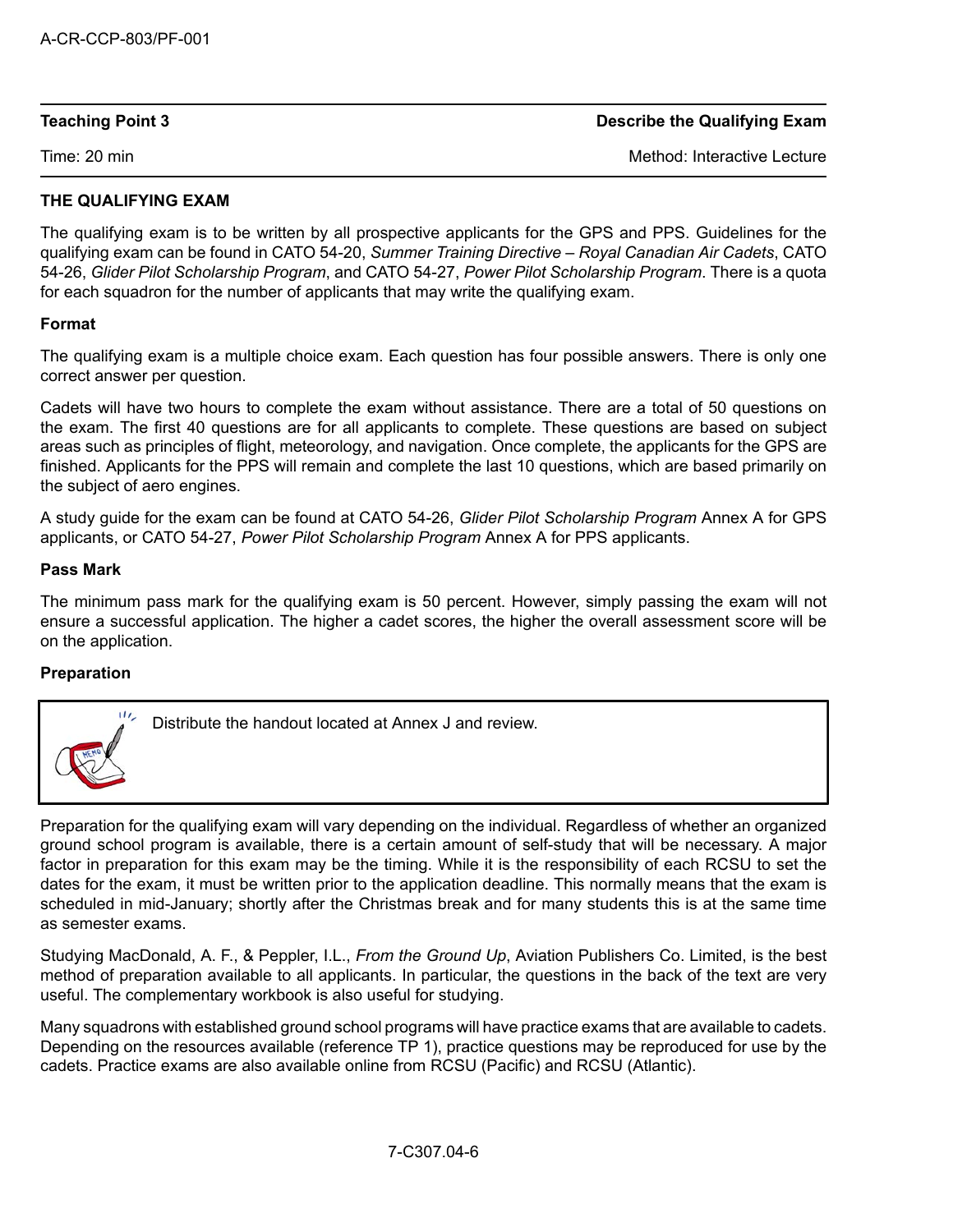| <b>Teaching Point 3</b> |  |  |
|-------------------------|--|--|

**Describe the Qualifying Exam** 

Time: 20 min Method: Interactive Lecture Communication of the Method: Interactive Lecture

# **THE QUALIFYING EXAM**

The qualifying exam is to be written by all prospective applicants for the GPS and PPS. Guidelines for the qualifying exam can be found in CATO 54-20, *Summer Training Directive – Royal Canadian Air Cadets*, CATO 54-26, *Glider Pilot Scholarship Program*, and CATO 54-27, *Power Pilot Scholarship Program*. There is a quota for each squadron for the number of applicants that may write the qualifying exam.

#### **Format**

The qualifying exam is a multiple choice exam. Each question has four possible answers. There is only one correct answer per question.

Cadets will have two hours to complete the exam without assistance. There are a total of 50 questions on the exam. The first 40 questions are for all applicants to complete. These questions are based on subject areas such as principles of flight, meteorology, and navigation. Once complete, the applicants for the GPS are finished. Applicants for the PPS will remain and complete the last 10 questions, which are based primarily on the subject of aero engines.

A study guide for the exam can be found at CATO 54-26, *Glider Pilot Scholarship Program* Annex A for GPS applicants, or CATO 54-27, *Power Pilot Scholarship Program* Annex A for PPS applicants.

#### **Pass Mark**

The minimum pass mark for the qualifying exam is 50 percent. However, simply passing the exam will not ensure a successful application. The higher a cadet scores, the higher the overall assessment score will be on the application.

#### **Preparation**



Distribute the handout located at Annex J and review.

Preparation for the qualifying exam will vary depending on the individual. Regardless of whether an organized ground school program is available, there is a certain amount of self-study that will be necessary. A major factor in preparation for this exam may be the timing. While it is the responsibility of each RCSU to set the dates for the exam, it must be written prior to the application deadline. This normally means that the exam is scheduled in mid-January; shortly after the Christmas break and for many students this is at the same time as semester exams.

Studying MacDonald, A. F., & Peppler, I.L., *From the Ground Up*, Aviation Publishers Co. Limited, is the best method of preparation available to all applicants. In particular, the questions in the back of the text are very useful. The complementary workbook is also useful for studying.

Many squadrons with established ground school programs will have practice exams that are available to cadets. Depending on the resources available (reference TP 1), practice questions may be reproduced for use by the cadets. Practice exams are also available online from RCSU (Pacific) and RCSU (Atlantic).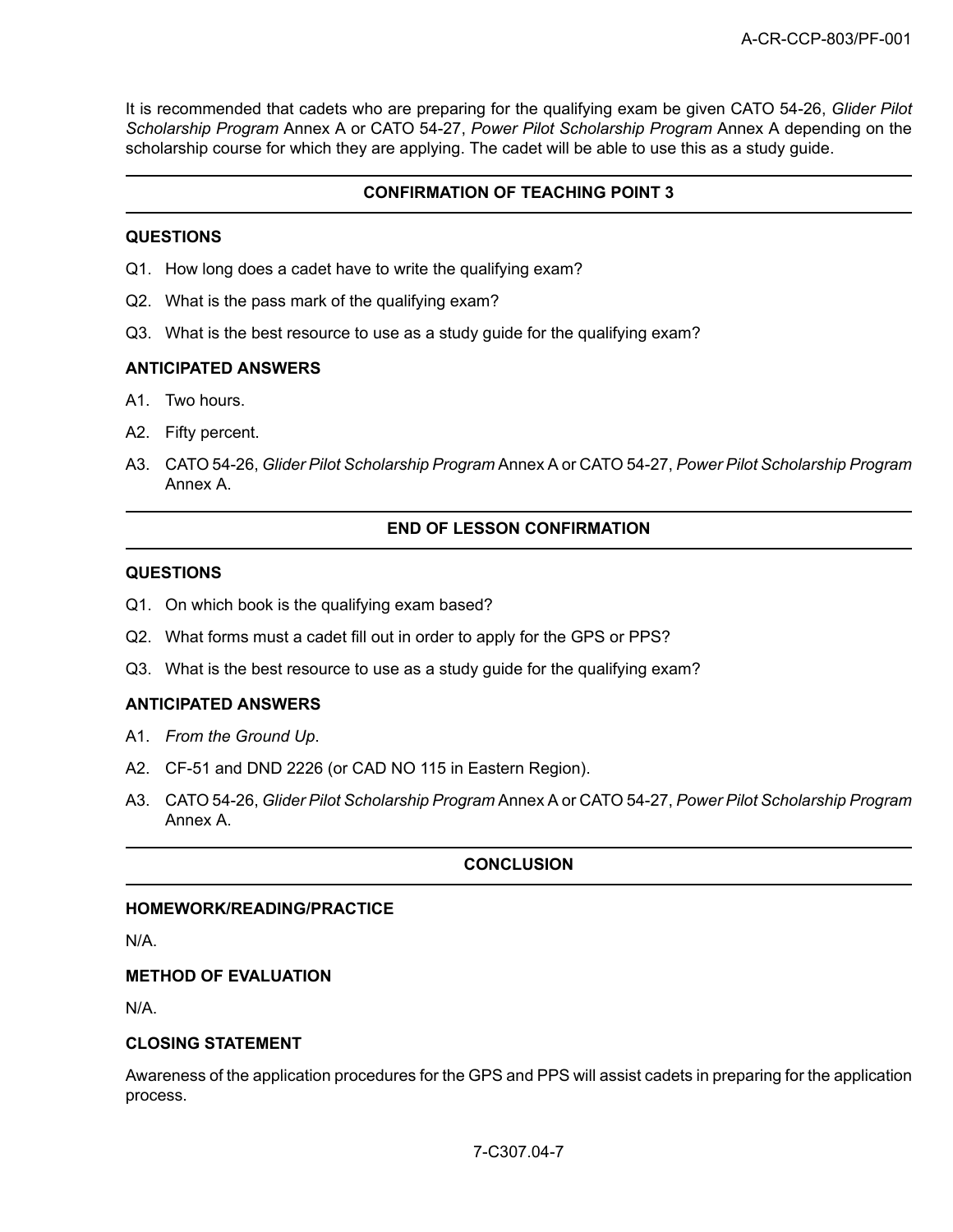It is recommended that cadets who are preparing for the qualifying exam be given CATO 54-26, *Glider Pilot Scholarship Program* Annex A or CATO 54-27, *Power Pilot Scholarship Program* Annex A depending on the scholarship course for which they are applying. The cadet will be able to use this as a study guide.

# **CONFIRMATION OF TEACHING POINT 3**

#### **QUESTIONS**

- Q1. How long does a cadet have to write the qualifying exam?
- Q2. What is the pass mark of the qualifying exam?
- Q3. What is the best resource to use as a study guide for the qualifying exam?

## **ANTICIPATED ANSWERS**

- A1. Two hours.
- A2. Fifty percent.
- A3. CATO 54-26, *Glider Pilot Scholarship Program* Annex A or CATO 54-27, *Power Pilot Scholarship Program* Annex A.

#### **END OF LESSON CONFIRMATION**

#### **QUESTIONS**

- Q1. On which book is the qualifying exam based?
- Q2. What forms must a cadet fill out in order to apply for the GPS or PPS?
- Q3. What is the best resource to use as a study guide for the qualifying exam?

## **ANTICIPATED ANSWERS**

- A1. *From the Ground Up*.
- A2. CF-51 and DND 2226 (or CAD NO 115 in Eastern Region).
- A3. CATO 54-26, *Glider Pilot Scholarship Program* Annex A or CATO 54-27, *Power Pilot Scholarship Program* Annex A.

# **CONCLUSION**

#### **HOMEWORK/READING/PRACTICE**

N/A.

## **METHOD OF EVALUATION**

N/A.

# **CLOSING STATEMENT**

Awareness of the application procedures for the GPS and PPS will assist cadets in preparing for the application process.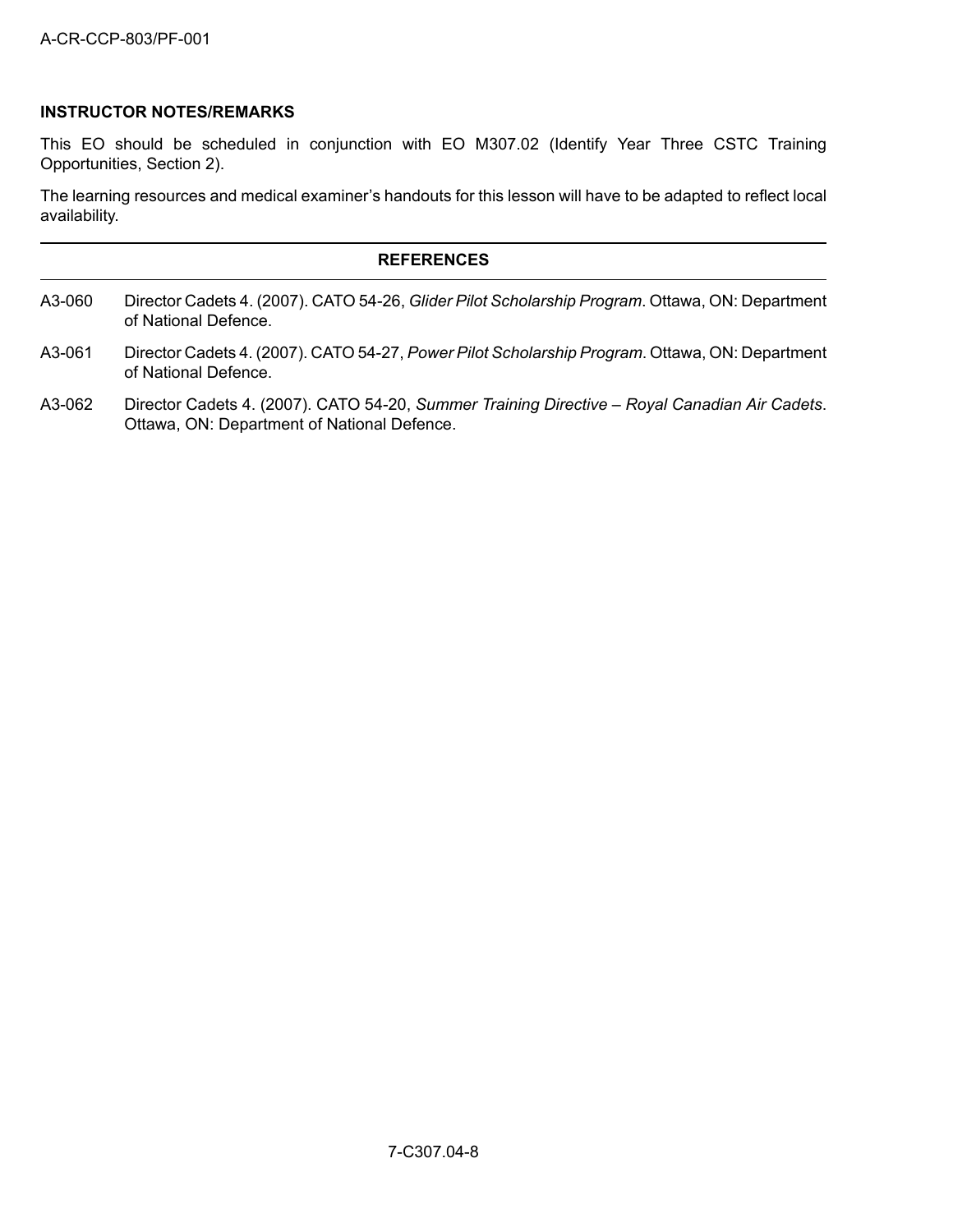# **INSTRUCTOR NOTES/REMARKS**

This EO should be scheduled in conjunction with EO M307.02 (Identify Year Three CSTC Training Opportunities, Section 2).

The learning resources and medical examiner's handouts for this lesson will have to be adapted to reflect local availability.

| <b>REFERENCES</b> |                                                                                                                                              |  |
|-------------------|----------------------------------------------------------------------------------------------------------------------------------------------|--|
| A3-060            | Director Cadets 4. (2007). CATO 54-26, Glider Pilot Scholarship Program. Ottawa, ON: Department<br>of National Defence.                      |  |
| A3-061            | Director Cadets 4. (2007). CATO 54-27, Power Pilot Scholarship Program. Ottawa, ON: Department<br>of National Defence.                       |  |
| A3-062            | Director Cadets 4. (2007). CATO 54-20, Summer Training Directive - Royal Canadian Air Cadets.<br>Ottawa, ON: Department of National Defence. |  |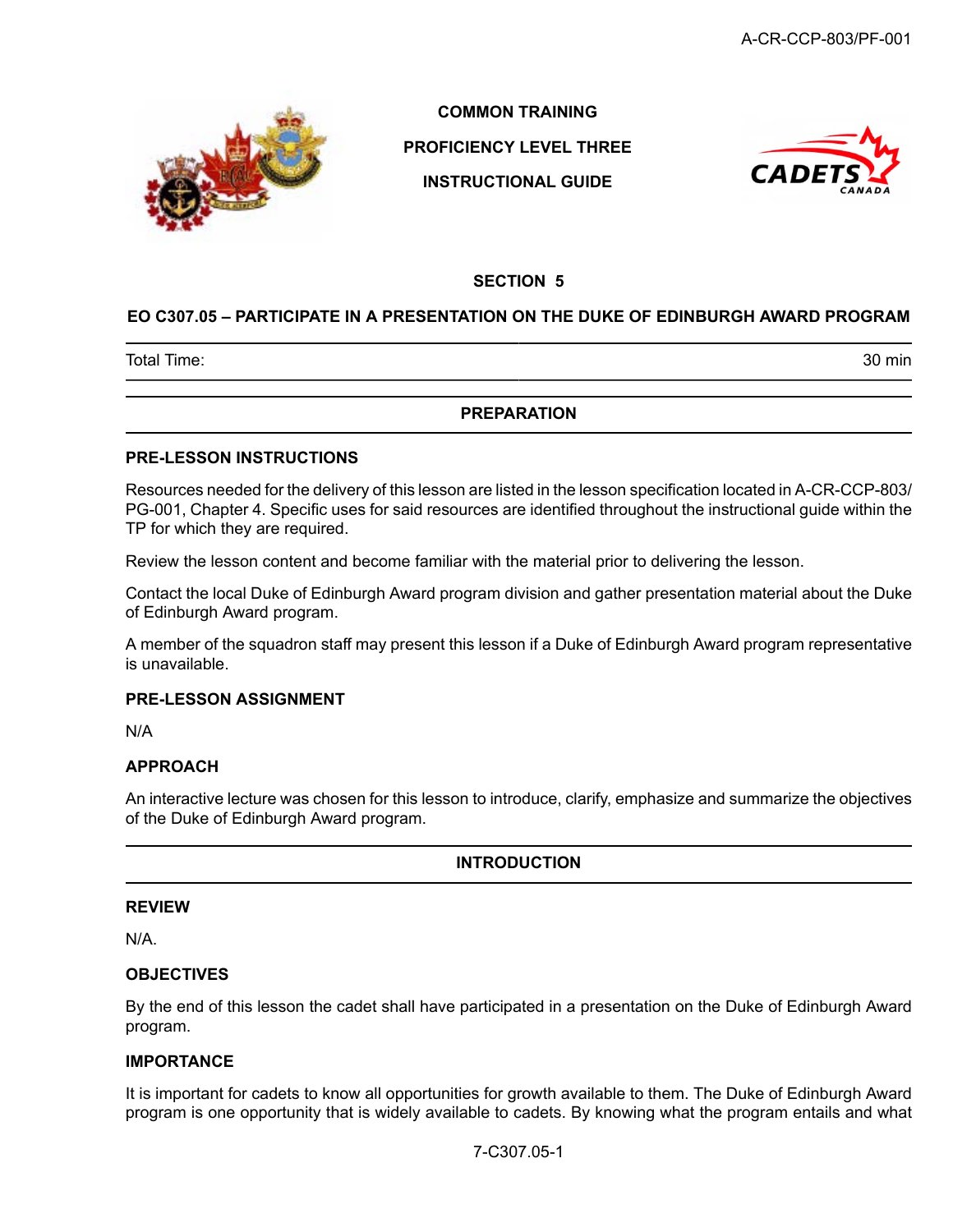

**COMMON TRAINING**

**PROFICIENCY LEVEL THREE**

**INSTRUCTIONAL GUIDE**



#### **SECTION 5**

# **EO C307.05 – PARTICIPATE IN A PRESENTATION ON THE DUKE OF EDINBURGH AWARD PROGRAM**

Total Time: 30 min

## **PREPARATION**

#### **PRE-LESSON INSTRUCTIONS**

Resources needed for the delivery of this lesson are listed in the lesson specification located in A-CR-CCP-803/ PG-001, Chapter 4. Specific uses for said resources are identified throughout the instructional guide within the TP for which they are required.

Review the lesson content and become familiar with the material prior to delivering the lesson.

Contact the local Duke of Edinburgh Award program division and gather presentation material about the Duke of Edinburgh Award program.

A member of the squadron staff may present this lesson if a Duke of Edinburgh Award program representative is unavailable.

#### **PRE-LESSON ASSIGNMENT**

N/A

#### **APPROACH**

An interactive lecture was chosen for this lesson to introduce, clarify, emphasize and summarize the objectives of the Duke of Edinburgh Award program.

**INTRODUCTION**

#### **REVIEW**

N/A.

## **OBJECTIVES**

By the end of this lesson the cadet shall have participated in a presentation on the Duke of Edinburgh Award program.

#### **IMPORTANCE**

It is important for cadets to know all opportunities for growth available to them. The Duke of Edinburgh Award program is one opportunity that is widely available to cadets. By knowing what the program entails and what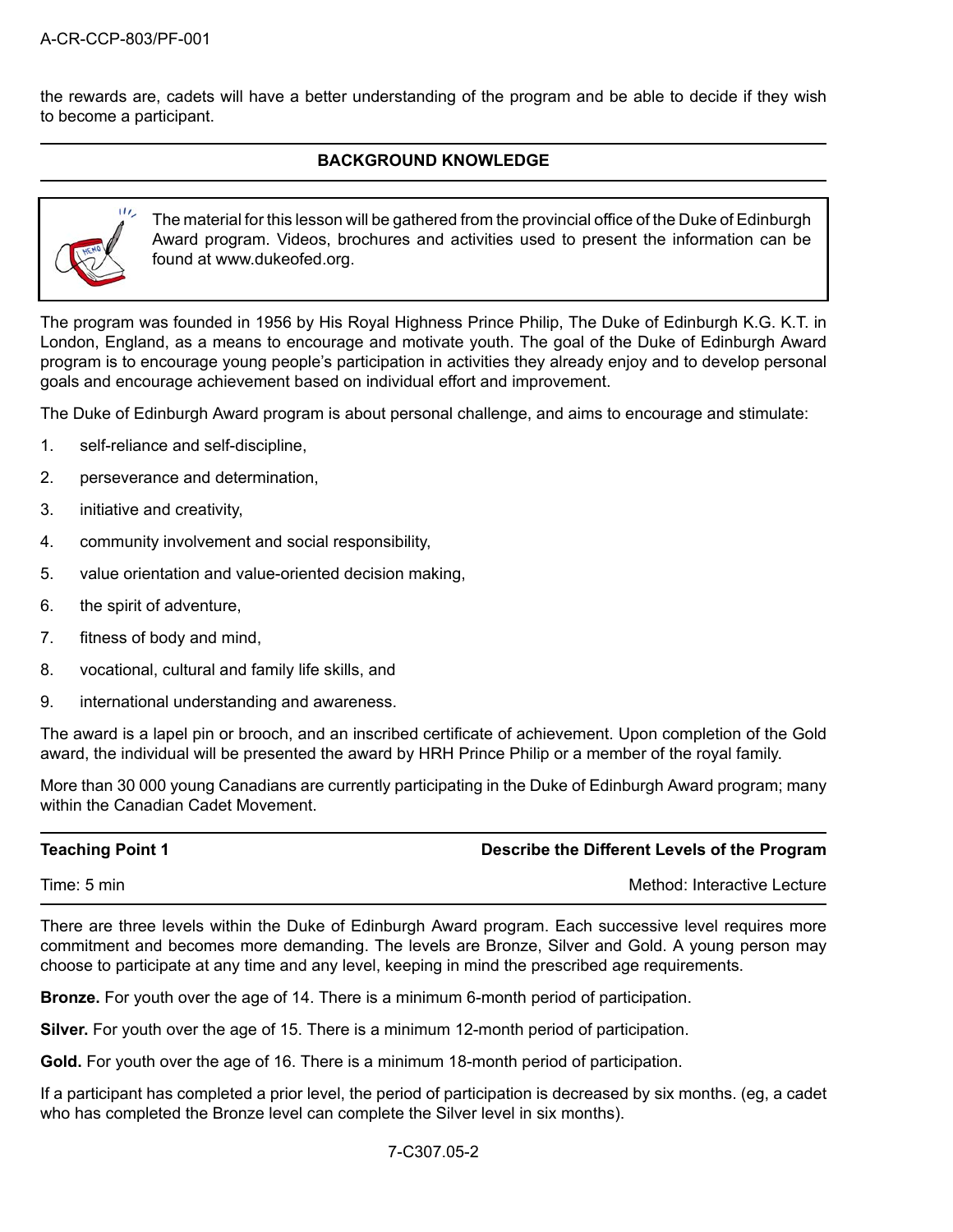the rewards are, cadets will have a better understanding of the program and be able to decide if they wish to become a participant.

## **BACKGROUND KNOWLEDGE**



The material for this lesson will be gathered from the provincial office of the Duke of Edinburgh Award program. Videos, brochures and activities used to present the information can be found at www.dukeofed.org.

The program was founded in 1956 by His Royal Highness Prince Philip, The Duke of Edinburgh K.G. K.T. in London, England, as a means to encourage and motivate youth. The goal of the Duke of Edinburgh Award program is to encourage young people's participation in activities they already enjoy and to develop personal goals and encourage achievement based on individual effort and improvement.

The Duke of Edinburgh Award program is about personal challenge, and aims to encourage and stimulate:

- 1. self-reliance and self-discipline,
- 2. perseverance and determination,
- 3. initiative and creativity,
- 4. community involvement and social responsibility,
- 5. value orientation and value-oriented decision making,
- 6. the spirit of adventure,
- 7. fitness of body and mind,
- 8. vocational, cultural and family life skills, and
- 9. international understanding and awareness.

The award is a lapel pin or brooch, and an inscribed certificate of achievement. Upon completion of the Gold award, the individual will be presented the award by HRH Prince Philip or a member of the royal family.

More than 30 000 young Canadians are currently participating in the Duke of Edinburgh Award program; many within the Canadian Cadet Movement.

#### **Teaching Point 1 Describe the Different Levels of the Program**

Time: 5 min Method: Interactive Lecture Companies and Method: Interactive Lecture

There are three levels within the Duke of Edinburgh Award program. Each successive level requires more commitment and becomes more demanding. The levels are Bronze, Silver and Gold. A young person may choose to participate at any time and any level, keeping in mind the prescribed age requirements.

**Bronze.** For youth over the age of 14. There is a minimum 6-month period of participation.

**Silver.** For youth over the age of 15. There is a minimum 12-month period of participation.

**Gold.** For youth over the age of 16. There is a minimum 18-month period of participation.

If a participant has completed a prior level, the period of participation is decreased by six months. (eg, a cadet who has completed the Bronze level can complete the Silver level in six months).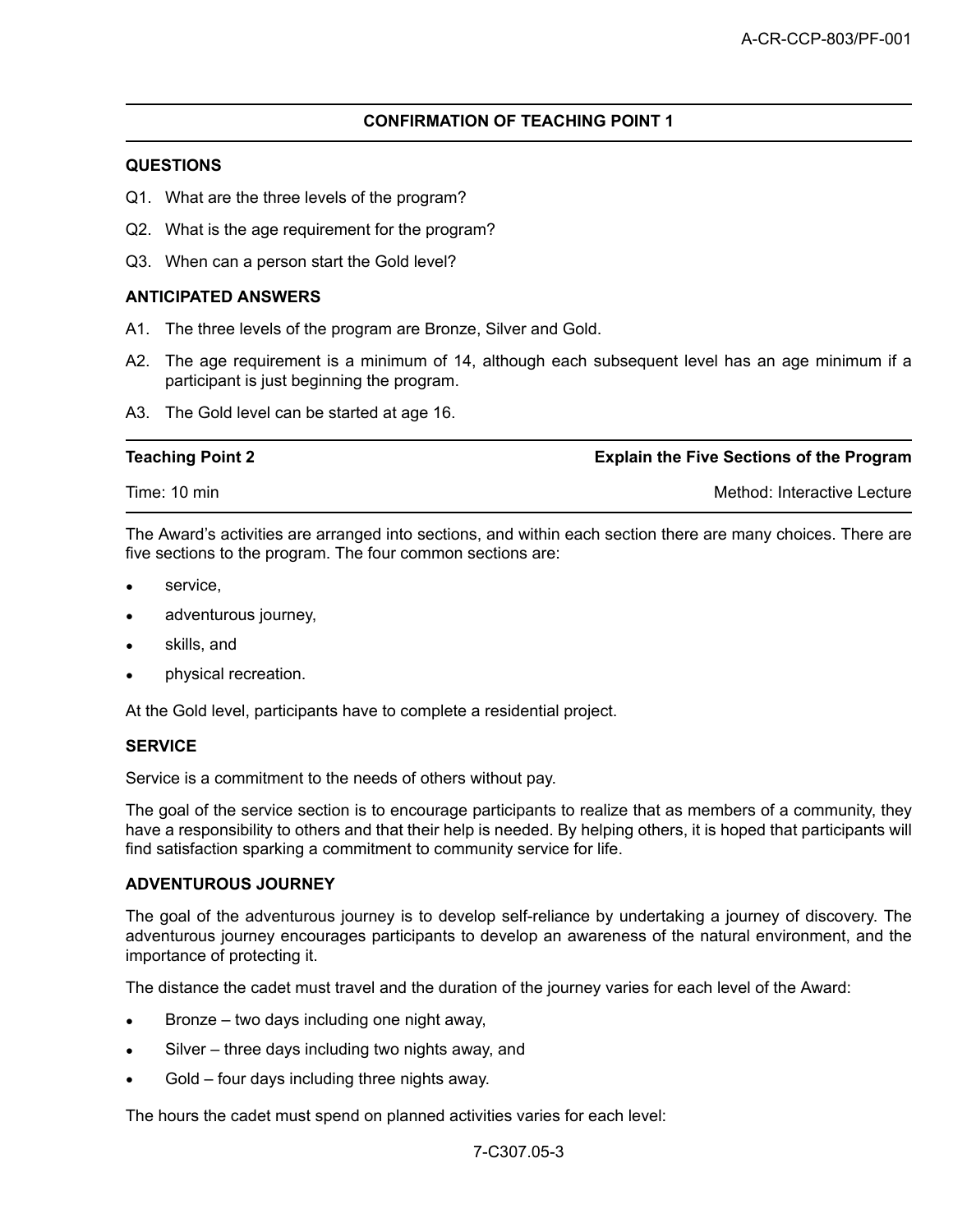#### **CONFIRMATION OF TEACHING POINT 1**

#### **QUESTIONS**

- Q1. What are the three levels of the program?
- Q2. What is the age requirement for the program?
- Q3. When can a person start the Gold level?

#### **ANTICIPATED ANSWERS**

- A1. The three levels of the program are Bronze, Silver and Gold.
- A2. The age requirement is a minimum of 14, although each subsequent level has an age minimum if a participant is just beginning the program.
- A3. The Gold level can be started at age 16.

#### **Teaching Point 2 Explain the Five Sections of the Program**

Time: 10 min Method: Interactive Lecture

The Award's activities are arranged into sections, and within each section there are many choices. There are five sections to the program. The four common sections are:

- service,
- adventurous journey,
- skills, and
- physical recreation.

At the Gold level, participants have to complete a residential project.

#### **SERVICE**

Service is a commitment to the needs of others without pay.

The goal of the service section is to encourage participants to realize that as members of a community, they have a responsibility to others and that their help is needed. By helping others, it is hoped that participants will find satisfaction sparking a commitment to community service for life.

#### **ADVENTUROUS JOURNEY**

The goal of the adventurous journey is to develop self-reliance by undertaking a journey of discovery. The adventurous journey encourages participants to develop an awareness of the natural environment, and the importance of protecting it.

The distance the cadet must travel and the duration of the journey varies for each level of the Award:

- Bronze two days including one night away,
- Silver three days including two nights away, and
- Gold four days including three nights away.

The hours the cadet must spend on planned activities varies for each level: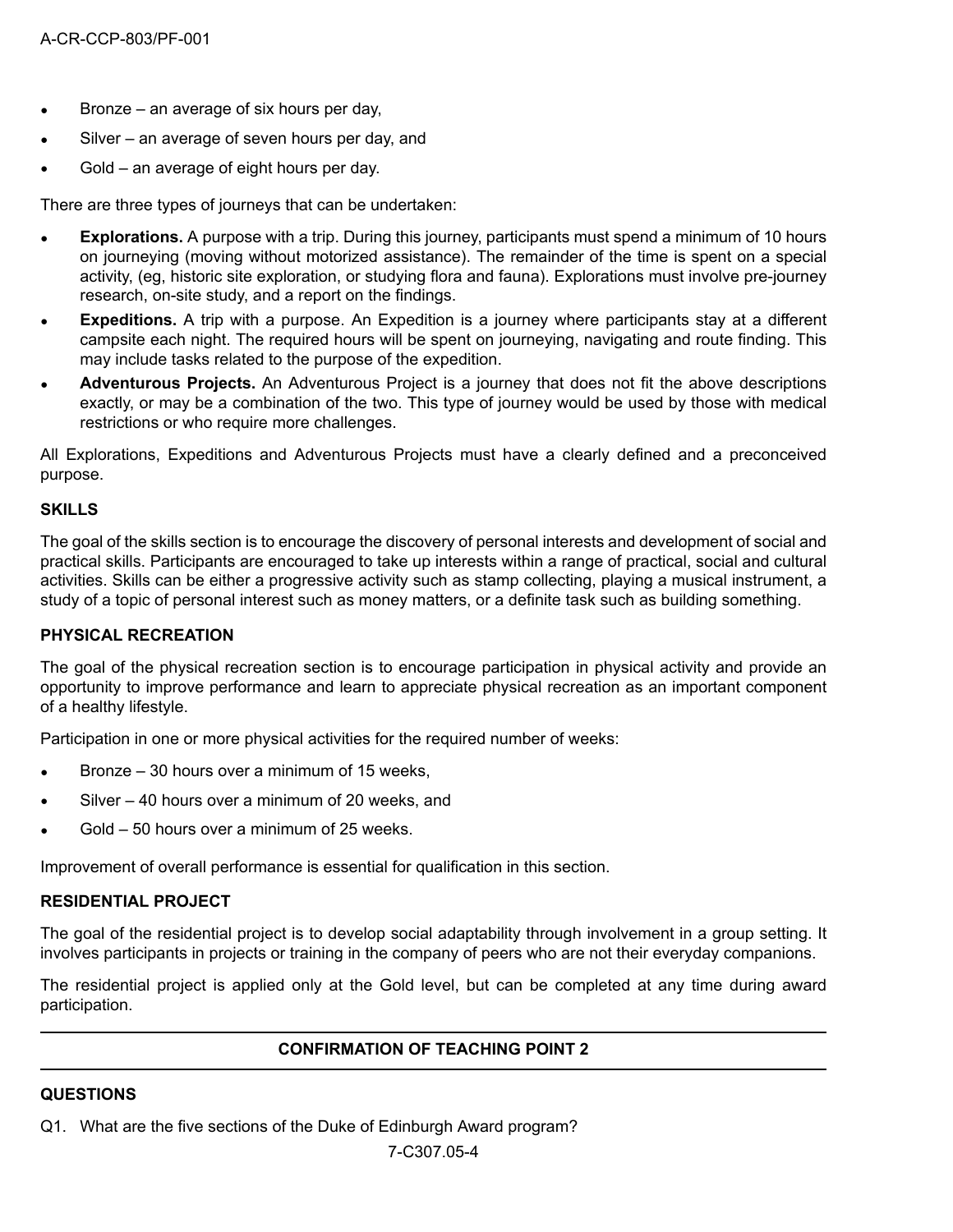- Bronze  $-$  an average of six hours per day,
- Silver an average of seven hours per day, and
- Gold an average of eight hours per day.

There are three types of journeys that can be undertaken:

- **Explorations.** A purpose with a trip. During this journey, participants must spend a minimum of 10 hours on journeying (moving without motorized assistance). The remainder of the time is spent on a special activity, (eg, historic site exploration, or studying flora and fauna). Explorations must involve pre-journey research, on-site study, and a report on the findings.
- **Expeditions.** A trip with a purpose. An Expedition is a journey where participants stay at a different campsite each night. The required hours will be spent on journeying, navigating and route finding. This may include tasks related to the purpose of the expedition.
- **Adventurous Projects.** An Adventurous Project is a journey that does not fit the above descriptions exactly, or may be a combination of the two. This type of journey would be used by those with medical restrictions or who require more challenges.

All Explorations, Expeditions and Adventurous Projects must have a clearly defined and a preconceived purpose.

## **SKILLS**

The goal of the skills section is to encourage the discovery of personal interests and development of social and practical skills. Participants are encouraged to take up interests within a range of practical, social and cultural activities. Skills can be either a progressive activity such as stamp collecting, playing a musical instrument, a study of a topic of personal interest such as money matters, or a definite task such as building something.

# **PHYSICAL RECREATION**

The goal of the physical recreation section is to encourage participation in physical activity and provide an opportunity to improve performance and learn to appreciate physical recreation as an important component of a healthy lifestyle.

Participation in one or more physical activities for the required number of weeks:

- Bronze 30 hours over a minimum of 15 weeks,
- Silver 40 hours over a minimum of 20 weeks, and
- Gold 50 hours over a minimum of 25 weeks.

Improvement of overall performance is essential for qualification in this section.

## **RESIDENTIAL PROJECT**

The goal of the residential project is to develop social adaptability through involvement in a group setting. It involves participants in projects or training in the company of peers who are not their everyday companions.

The residential project is applied only at the Gold level, but can be completed at any time during award participation.

## **CONFIRMATION OF TEACHING POINT 2**

## **QUESTIONS**

Q1. What are the five sections of the Duke of Edinburgh Award program?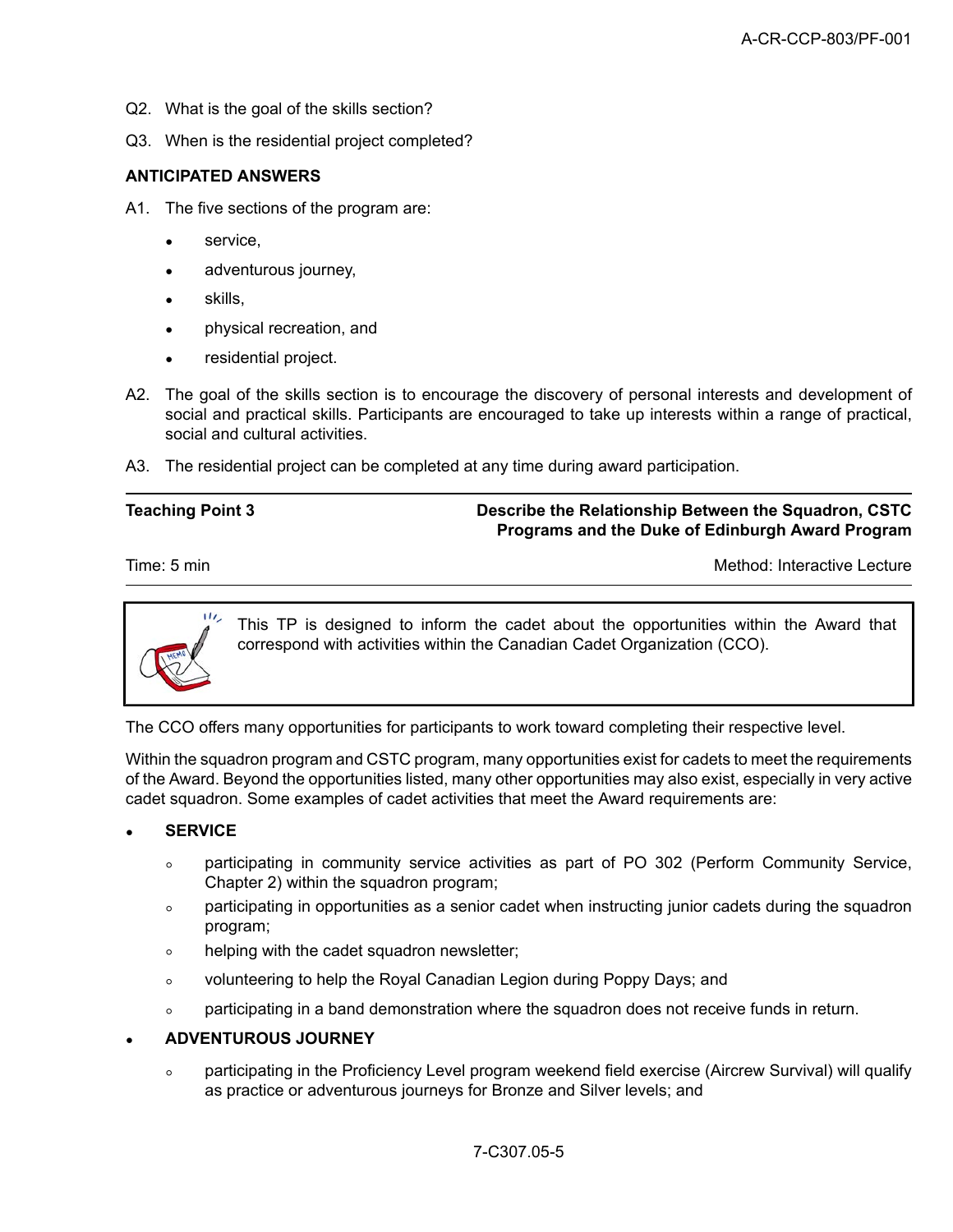- Q2. What is the goal of the skills section?
- Q3. When is the residential project completed?

#### **ANTICIPATED ANSWERS**

- A1. The five sections of the program are:
	- service,
	- adventurous journey,
	- skills,
	- physical recreation, and
	- residential project.
- A2. The goal of the skills section is to encourage the discovery of personal interests and development of social and practical skills. Participants are encouraged to take up interests within a range of practical, social and cultural activities.
- A3. The residential project can be completed at any time during award participation.

#### **Teaching Point 3 Describe the Relationship Between the Squadron, CSTC Programs and the Duke of Edinburgh Award Program**

Time: 5 min Method: Interactive Lecture Company of Time: 5 min Method: Interactive Lecture



This TP is designed to inform the cadet about the opportunities within the Award that correspond with activities within the Canadian Cadet Organization (CCO).

The CCO offers many opportunities for participants to work toward completing their respective level.

Within the squadron program and CSTC program, many opportunities exist for cadets to meet the requirements of the Award. Beyond the opportunities listed, many other opportunities may also exist, especially in very active cadet squadron. Some examples of cadet activities that meet the Award requirements are:

#### • **SERVICE**

- participating in community service activities as part of PO 302 (Perform Community Service, Chapter 2) within the squadron program;
- participating in opportunities as a senior cadet when instructing junior cadets during the squadron program;
- helping with the cadet squadron newsletter;
- volunteering to help the Royal Canadian Legion during Poppy Days; and
- participating in a band demonstration where the squadron does not receive funds in return.

#### • **ADVENTUROUS JOURNEY**

◦ participating in the Proficiency Level program weekend field exercise (Aircrew Survival) will qualify as practice or adventurous journeys for Bronze and Silver levels; and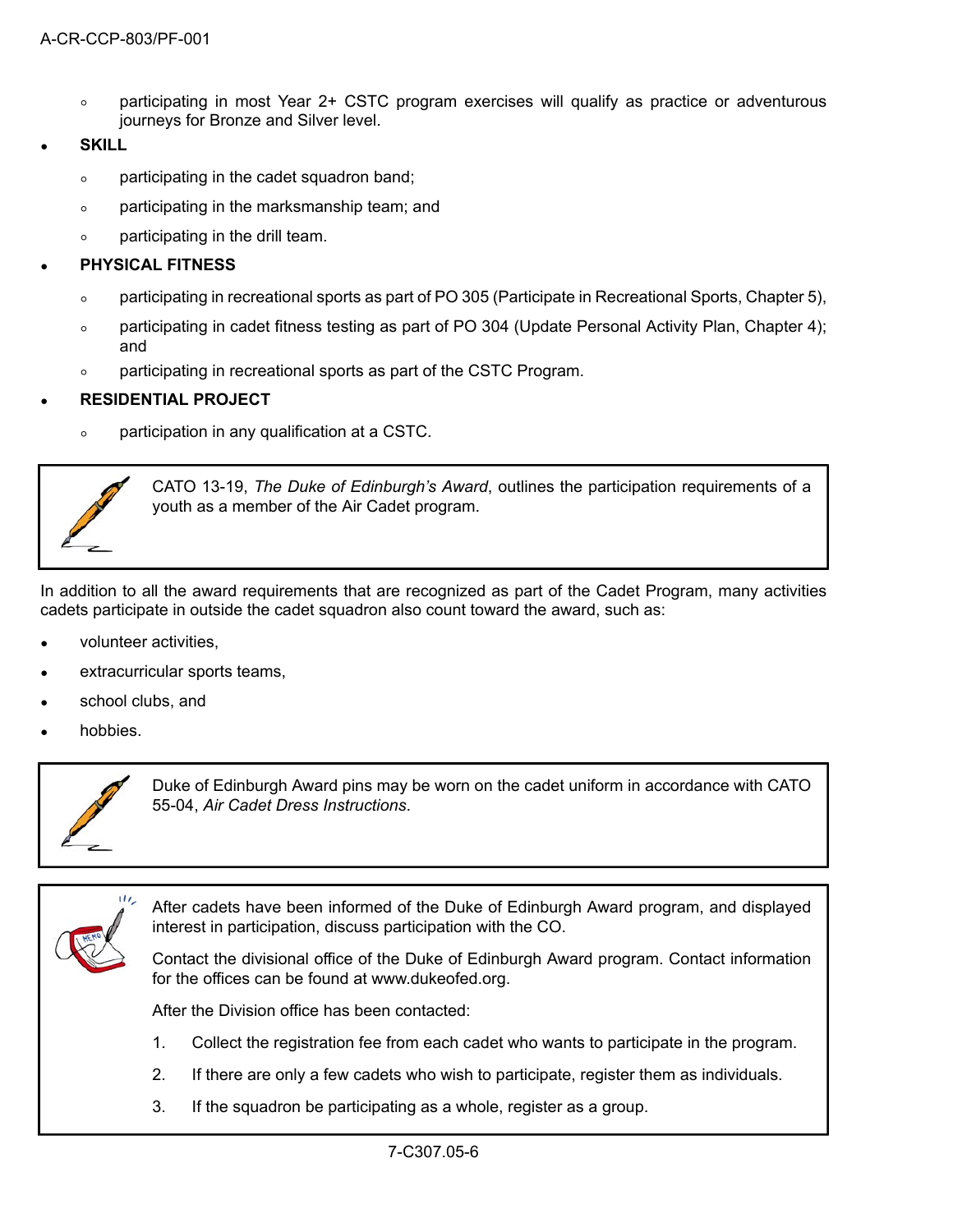- participating in most Year 2+ CSTC program exercises will qualify as practice or adventurous journeys for Bronze and Silver level.
- **SKILL**
	- participating in the cadet squadron band;
	- participating in the marksmanship team; and
	- participating in the drill team.

# • **PHYSICAL FITNESS**

- participating in recreational sports as part of PO 305 (Participate in Recreational Sports, Chapter 5),
- participating in cadet fitness testing as part of PO 304 (Update Personal Activity Plan, Chapter 4); and
- participating in recreational sports as part of the CSTC Program.

# • **RESIDENTIAL PROJECT**

◦ participation in any qualification at a CSTC.



CATO 13-19, *The Duke of Edinburgh's Award*, outlines the participation requirements of a youth as a member of the Air Cadet program.

In addition to all the award requirements that are recognized as part of the Cadet Program, many activities cadets participate in outside the cadet squadron also count toward the award, such as:

- volunteer activities,
- extracurricular sports teams,
- school clubs, and
- hobbies.



Duke of Edinburgh Award pins may be worn on the cadet uniform in accordance with CATO 55-04, *Air Cadet Dress Instructions*.



After cadets have been informed of the Duke of Edinburgh Award program, and displayed interest in participation, discuss participation with the CO.

Contact the divisional office of the Duke of Edinburgh Award program. Contact information for the offices can be found at www.dukeofed.org.

After the Division office has been contacted:

- 1. Collect the registration fee from each cadet who wants to participate in the program.
- 2. If there are only a few cadets who wish to participate, register them as individuals.
- 3. If the squadron be participating as a whole, register as a group.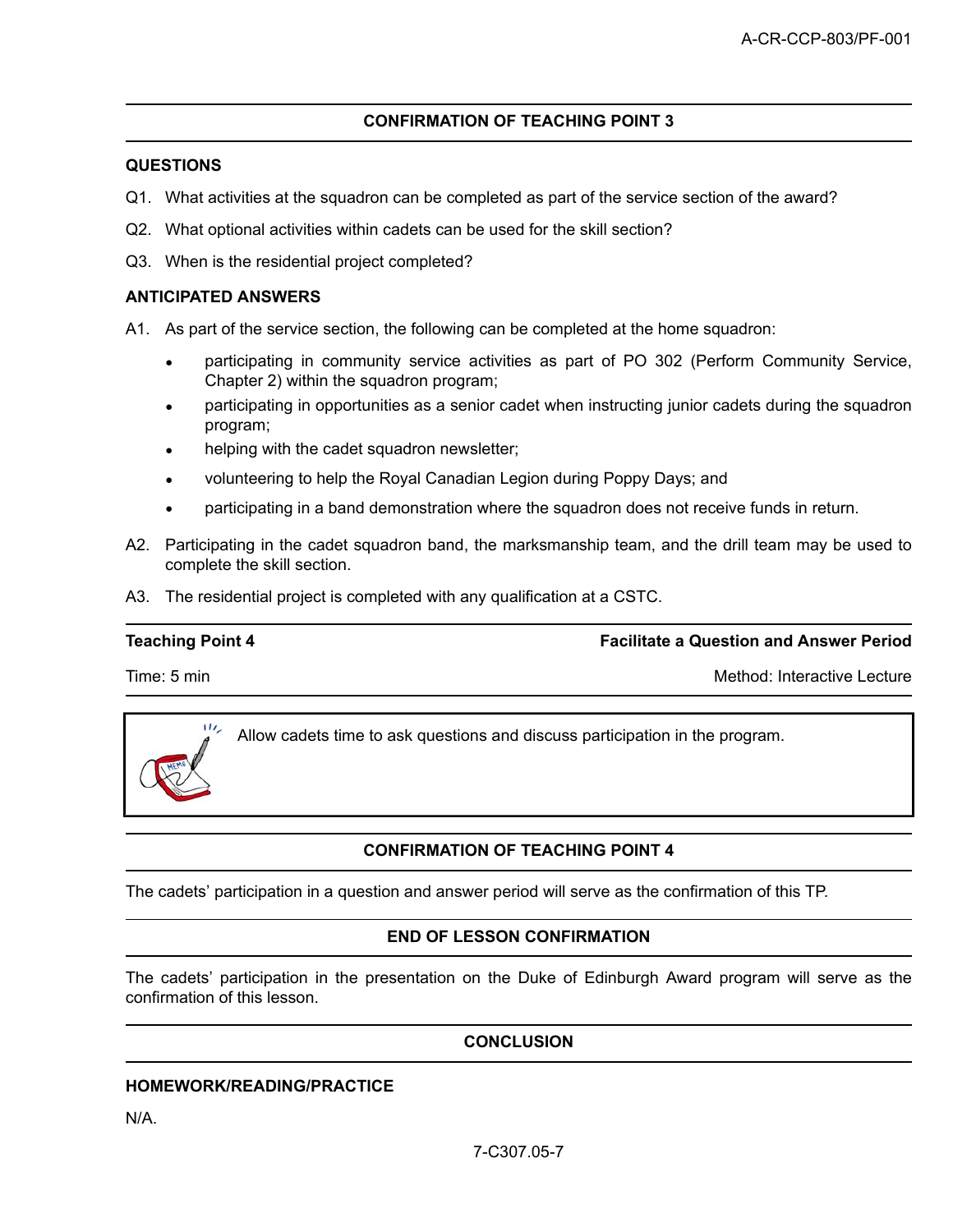## **CONFIRMATION OF TEACHING POINT 3**

#### **QUESTIONS**

- Q1. What activities at the squadron can be completed as part of the service section of the award?
- Q2. What optional activities within cadets can be used for the skill section?
- Q3. When is the residential project completed?

#### **ANTICIPATED ANSWERS**

- A1. As part of the service section, the following can be completed at the home squadron:
	- participating in community service activities as part of PO 302 (Perform Community Service, Chapter 2) within the squadron program;
	- participating in opportunities as a senior cadet when instructing junior cadets during the squadron program;
	- helping with the cadet squadron newsletter;
	- volunteering to help the Royal Canadian Legion during Poppy Days; and
	- participating in a band demonstration where the squadron does not receive funds in return.
- A2. Participating in the cadet squadron band, the marksmanship team, and the drill team may be used to complete the skill section.
- A3. The residential project is completed with any qualification at a CSTC.

u,

## **Teaching Point 4 Facilitate a Question and Answer Period**

Time: 5 min Method: Interactive Lecture Communication of the Method: Interactive Lecture

Allow cadets time to ask questions and discuss participation in the program.

## **CONFIRMATION OF TEACHING POINT 4**

The cadets' participation in a question and answer period will serve as the confirmation of this TP.

#### **END OF LESSON CONFIRMATION**

The cadets' participation in the presentation on the Duke of Edinburgh Award program will serve as the confirmation of this lesson.

## **CONCLUSION**

## **HOMEWORK/READING/PRACTICE**

N/A.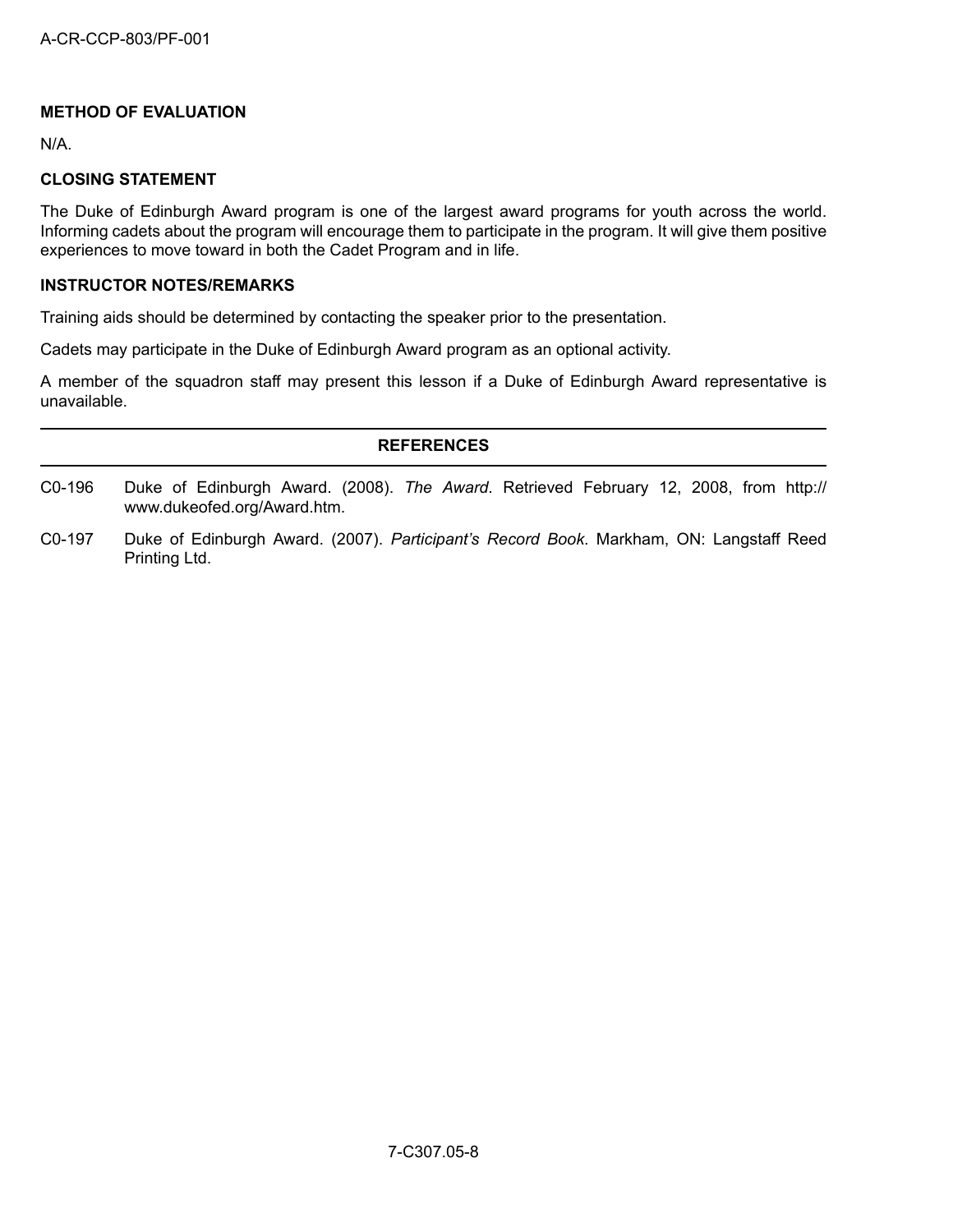# **METHOD OF EVALUATION**

N/A.

## **CLOSING STATEMENT**

The Duke of Edinburgh Award program is one of the largest award programs for youth across the world. Informing cadets about the program will encourage them to participate in the program. It will give them positive experiences to move toward in both the Cadet Program and in life.

## **INSTRUCTOR NOTES/REMARKS**

Training aids should be determined by contacting the speaker prior to the presentation.

Cadets may participate in the Duke of Edinburgh Award program as an optional activity.

A member of the squadron staff may present this lesson if a Duke of Edinburgh Award representative is unavailable.

## **REFERENCES**

- C0-196 Duke of Edinburgh Award. (2008). *The Award*. Retrieved February 12, 2008, from http:// www.dukeofed.org/Award.htm.
- C0-197 Duke of Edinburgh Award. (2007). *Participant's Record Book*. Markham, ON: Langstaff Reed Printing Ltd.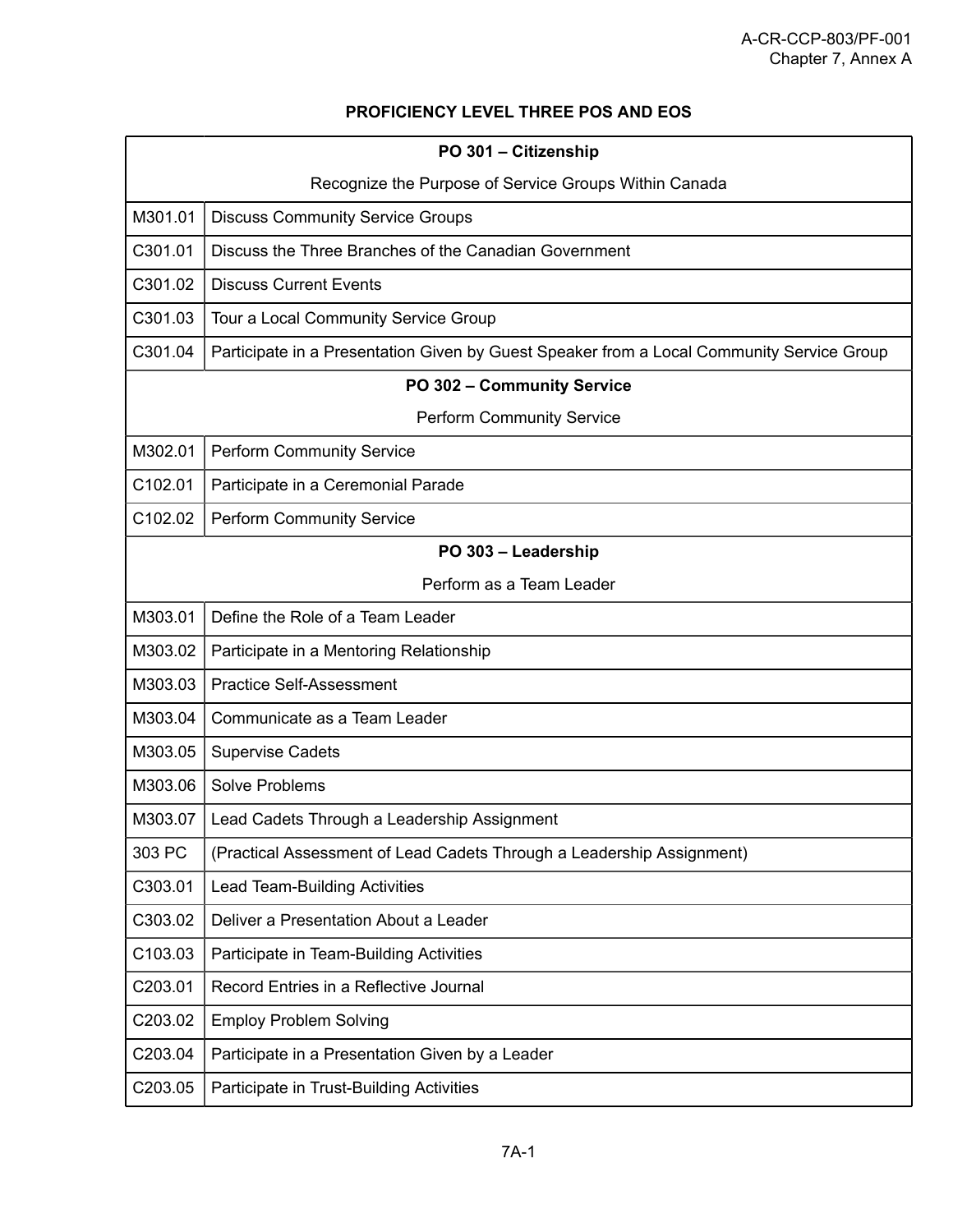# **PROFICIENCY LEVEL THREE POS AND EOS**

| PO 301 - Citizenship                                  |                                                                                           |  |
|-------------------------------------------------------|-------------------------------------------------------------------------------------------|--|
| Recognize the Purpose of Service Groups Within Canada |                                                                                           |  |
| M301.01                                               | <b>Discuss Community Service Groups</b>                                                   |  |
| C301.01                                               | Discuss the Three Branches of the Canadian Government                                     |  |
| C301.02                                               | <b>Discuss Current Events</b>                                                             |  |
| C301.03                                               | Tour a Local Community Service Group                                                      |  |
| C301.04                                               | Participate in a Presentation Given by Guest Speaker from a Local Community Service Group |  |
|                                                       | PO 302 - Community Service                                                                |  |
|                                                       | <b>Perform Community Service</b>                                                          |  |
| M302.01                                               | <b>Perform Community Service</b>                                                          |  |
| C102.01                                               | Participate in a Ceremonial Parade                                                        |  |
| C102.02                                               | <b>Perform Community Service</b>                                                          |  |
|                                                       | PO 303 - Leadership                                                                       |  |
|                                                       | Perform as a Team Leader                                                                  |  |
| M303.01                                               | Define the Role of a Team Leader                                                          |  |
| M303.02                                               | Participate in a Mentoring Relationship                                                   |  |
| M303.03                                               | <b>Practice Self-Assessment</b>                                                           |  |
| M303.04                                               | Communicate as a Team Leader                                                              |  |
| M303.05                                               | <b>Supervise Cadets</b>                                                                   |  |
| M303.06                                               | Solve Problems                                                                            |  |
| M303.07                                               | Lead Cadets Through a Leadership Assignment                                               |  |
| 303 PC                                                | (Practical Assessment of Lead Cadets Through a Leadership Assignment)                     |  |
| C303.01                                               | <b>Lead Team-Building Activities</b>                                                      |  |
| C303.02                                               | Deliver a Presentation About a Leader                                                     |  |
| C103.03                                               | Participate in Team-Building Activities                                                   |  |
| C203.01                                               | Record Entries in a Reflective Journal                                                    |  |
| C203.02                                               | <b>Employ Problem Solving</b>                                                             |  |
| C203.04                                               | Participate in a Presentation Given by a Leader                                           |  |
| C203.05                                               | Participate in Trust-Building Activities                                                  |  |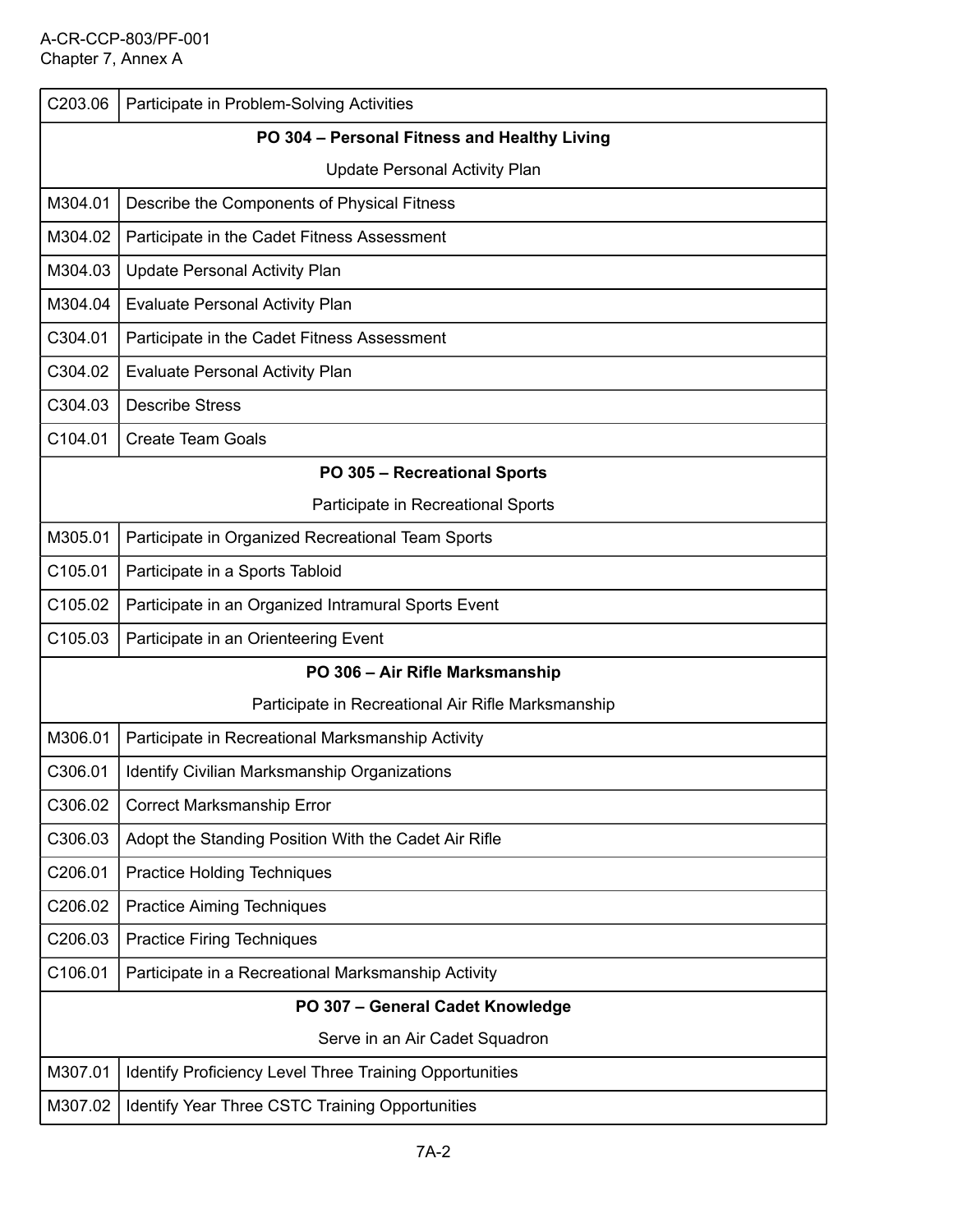| C203.06                                      | Participate in Problem-Solving Activities               |  |
|----------------------------------------------|---------------------------------------------------------|--|
| PO 304 - Personal Fitness and Healthy Living |                                                         |  |
| <b>Update Personal Activity Plan</b>         |                                                         |  |
| M304.01                                      | Describe the Components of Physical Fitness             |  |
| M304.02                                      | Participate in the Cadet Fitness Assessment             |  |
| M304.03                                      | <b>Update Personal Activity Plan</b>                    |  |
| M304.04                                      | <b>Evaluate Personal Activity Plan</b>                  |  |
| C304.01                                      | Participate in the Cadet Fitness Assessment             |  |
| C304.02                                      | <b>Evaluate Personal Activity Plan</b>                  |  |
| C304.03                                      | <b>Describe Stress</b>                                  |  |
| C104.01                                      | <b>Create Team Goals</b>                                |  |
|                                              | PO 305 - Recreational Sports                            |  |
|                                              | Participate in Recreational Sports                      |  |
| M305.01                                      | Participate in Organized Recreational Team Sports       |  |
| C105.01                                      | Participate in a Sports Tabloid                         |  |
| C105.02                                      | Participate in an Organized Intramural Sports Event     |  |
| C105.03                                      | Participate in an Orienteering Event                    |  |
|                                              | PO 306 - Air Rifle Marksmanship                         |  |
|                                              | Participate in Recreational Air Rifle Marksmanship      |  |
| M306.01                                      | Participate in Recreational Marksmanship Activity       |  |
| C306.01                                      | <b>Identify Civilian Marksmanship Organizations</b>     |  |
| C306.02                                      | <b>Correct Marksmanship Error</b>                       |  |
| C306.03                                      | Adopt the Standing Position With the Cadet Air Rifle    |  |
| C206.01                                      | <b>Practice Holding Techniques</b>                      |  |
| C206.02                                      | <b>Practice Aiming Techniques</b>                       |  |
| C206.03                                      | <b>Practice Firing Techniques</b>                       |  |
| C106.01                                      | Participate in a Recreational Marksmanship Activity     |  |
| PO 307 - General Cadet Knowledge             |                                                         |  |
| Serve in an Air Cadet Squadron               |                                                         |  |
| M307.01                                      | Identify Proficiency Level Three Training Opportunities |  |
| M307.02                                      | Identify Year Three CSTC Training Opportunities         |  |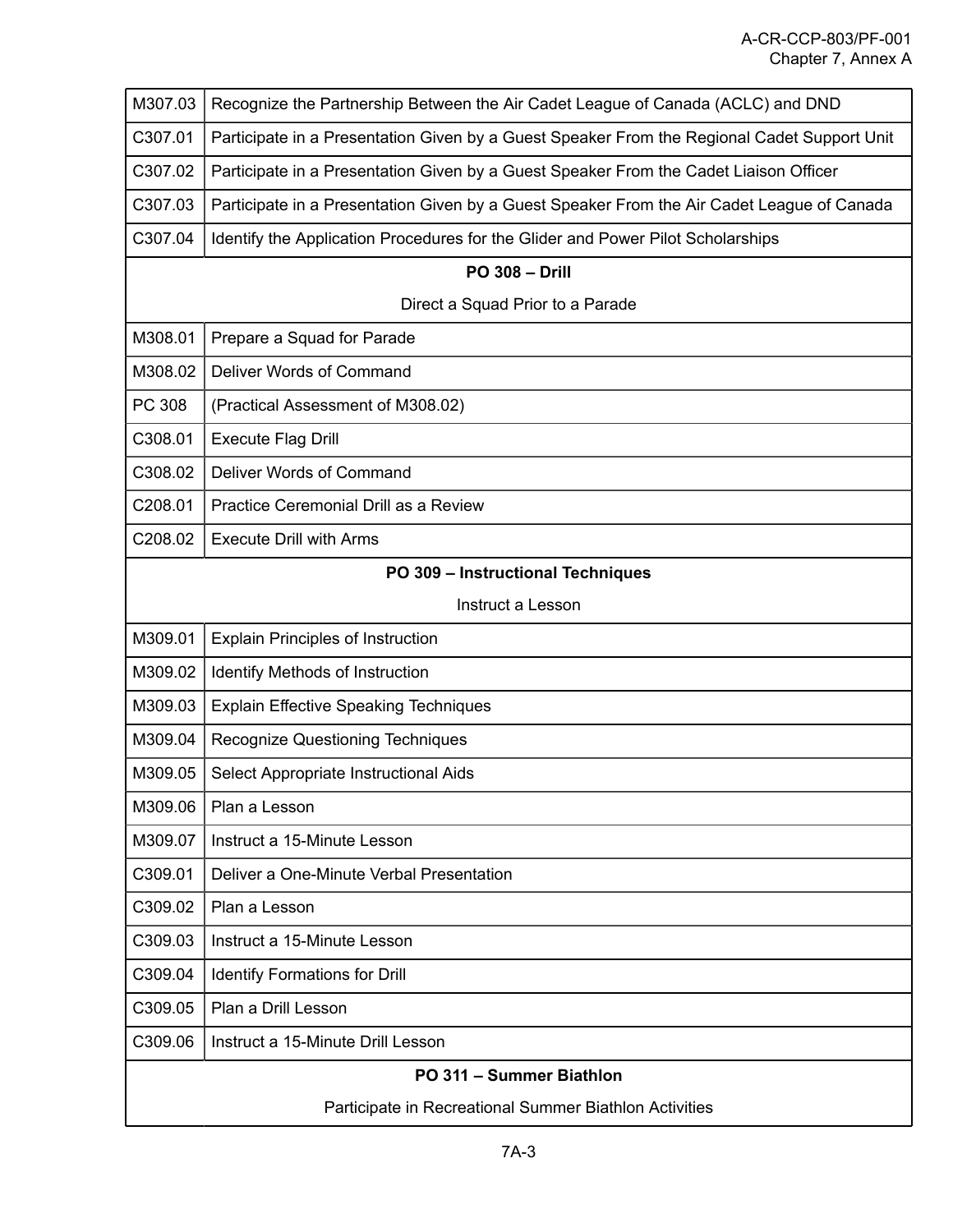| M307.03                                                | Recognize the Partnership Between the Air Cadet League of Canada (ACLC) and DND             |  |
|--------------------------------------------------------|---------------------------------------------------------------------------------------------|--|
| C307.01                                                | Participate in a Presentation Given by a Guest Speaker From the Regional Cadet Support Unit |  |
| C307.02                                                | Participate in a Presentation Given by a Guest Speaker From the Cadet Liaison Officer       |  |
| C307.03                                                | Participate in a Presentation Given by a Guest Speaker From the Air Cadet League of Canada  |  |
| C307.04                                                | Identify the Application Procedures for the Glider and Power Pilot Scholarships             |  |
|                                                        | <b>PO 308 - Drill</b>                                                                       |  |
|                                                        | Direct a Squad Prior to a Parade                                                            |  |
| M308.01                                                | Prepare a Squad for Parade                                                                  |  |
| M308.02                                                | Deliver Words of Command                                                                    |  |
| PC 308                                                 | (Practical Assessment of M308.02)                                                           |  |
| C308.01                                                | <b>Execute Flag Drill</b>                                                                   |  |
| C308.02                                                | Deliver Words of Command                                                                    |  |
| C208.01                                                | Practice Ceremonial Drill as a Review                                                       |  |
| C208.02                                                | <b>Execute Drill with Arms</b>                                                              |  |
|                                                        | PO 309 - Instructional Techniques                                                           |  |
|                                                        | Instruct a Lesson                                                                           |  |
| M309.01                                                | <b>Explain Principles of Instruction</b>                                                    |  |
| M309.02                                                | Identify Methods of Instruction                                                             |  |
| M309.03                                                | <b>Explain Effective Speaking Techniques</b>                                                |  |
| M309.04                                                | Recognize Questioning Techniques                                                            |  |
| M309.05                                                | Select Appropriate Instructional Aids                                                       |  |
| M309.06                                                | Plan a Lesson                                                                               |  |
| M309.07                                                | Instruct a 15-Minute Lesson                                                                 |  |
| C309.01                                                | Deliver a One-Minute Verbal Presentation                                                    |  |
| C309.02                                                | Plan a Lesson                                                                               |  |
| C309.03                                                | Instruct a 15-Minute Lesson                                                                 |  |
| C309.04                                                | <b>Identify Formations for Drill</b>                                                        |  |
| C309.05                                                | Plan a Drill Lesson                                                                         |  |
| C309.06                                                | Instruct a 15-Minute Drill Lesson                                                           |  |
| PO 311 - Summer Biathlon                               |                                                                                             |  |
| Participate in Recreational Summer Biathlon Activities |                                                                                             |  |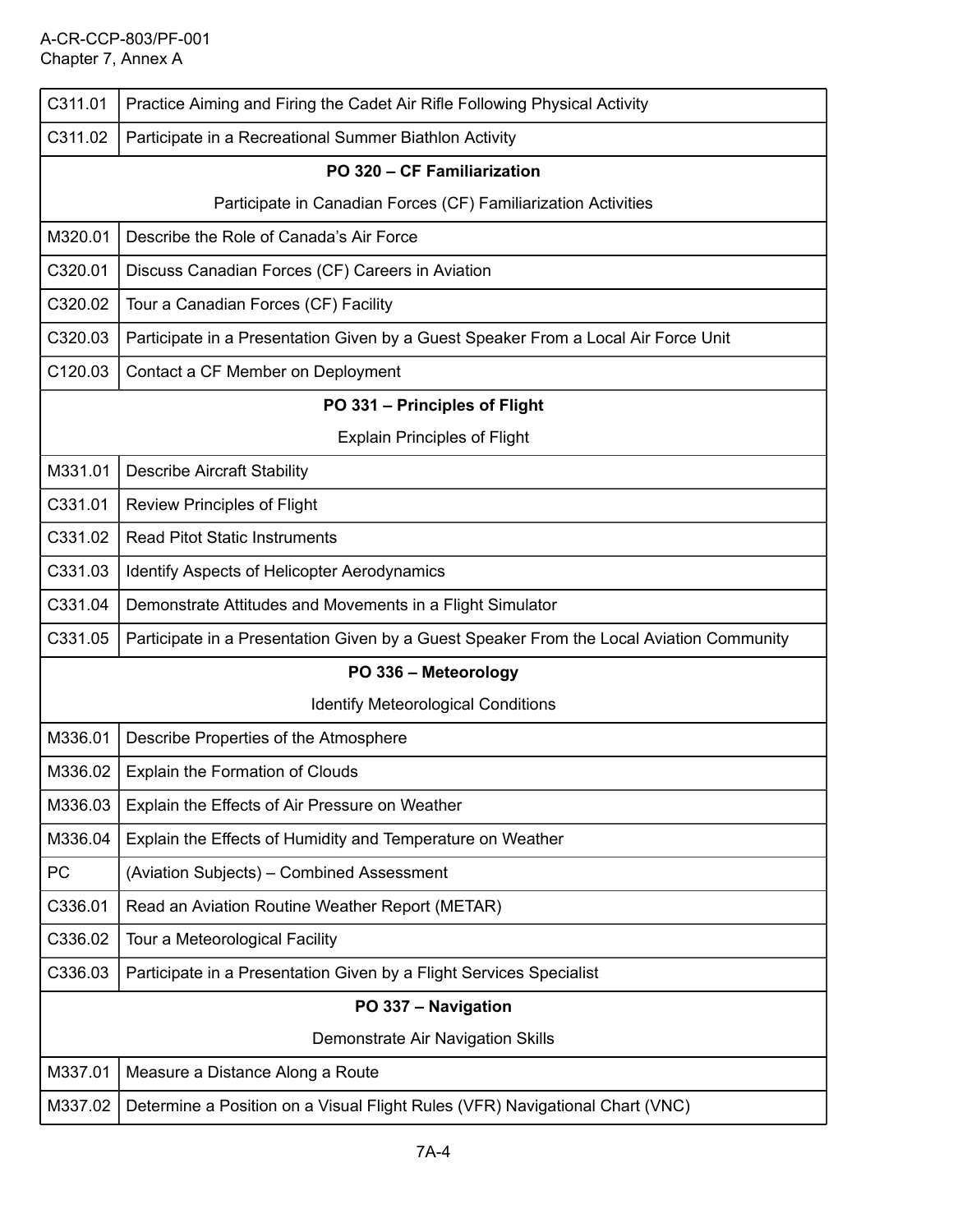| C311.01                           | Practice Aiming and Firing the Cadet Air Rifle Following Physical Activity               |  |  |
|-----------------------------------|------------------------------------------------------------------------------------------|--|--|
| C311.02                           | Participate in a Recreational Summer Biathlon Activity                                   |  |  |
| PO 320 - CF Familiarization       |                                                                                          |  |  |
|                                   | Participate in Canadian Forces (CF) Familiarization Activities                           |  |  |
| M320.01                           | Describe the Role of Canada's Air Force                                                  |  |  |
| C320.01                           | Discuss Canadian Forces (CF) Careers in Aviation                                         |  |  |
| C320.02                           | Tour a Canadian Forces (CF) Facility                                                     |  |  |
| C320.03                           | Participate in a Presentation Given by a Guest Speaker From a Local Air Force Unit       |  |  |
| C120.03                           | Contact a CF Member on Deployment                                                        |  |  |
|                                   | PO 331 - Principles of Flight                                                            |  |  |
|                                   | <b>Explain Principles of Flight</b>                                                      |  |  |
| M331.01                           | <b>Describe Aircraft Stability</b>                                                       |  |  |
| C331.01                           | <b>Review Principles of Flight</b>                                                       |  |  |
| C331.02                           | <b>Read Pitot Static Instruments</b>                                                     |  |  |
| C331.03                           | Identify Aspects of Helicopter Aerodynamics                                              |  |  |
| C331.04                           | Demonstrate Attitudes and Movements in a Flight Simulator                                |  |  |
| C331.05                           | Participate in a Presentation Given by a Guest Speaker From the Local Aviation Community |  |  |
|                                   | PO 336 - Meteorology                                                                     |  |  |
|                                   | <b>Identify Meteorological Conditions</b>                                                |  |  |
| M336.01                           | Describe Properties of the Atmosphere                                                    |  |  |
| M336.02                           | Explain the Formation of Clouds                                                          |  |  |
| M336.03                           | Explain the Effects of Air Pressure on Weather                                           |  |  |
| M336.04                           | Explain the Effects of Humidity and Temperature on Weather                               |  |  |
| PC                                | (Aviation Subjects) - Combined Assessment                                                |  |  |
| C336.01                           | Read an Aviation Routine Weather Report (METAR)                                          |  |  |
| C336.02                           | Tour a Meteorological Facility                                                           |  |  |
| C336.03                           | Participate in a Presentation Given by a Flight Services Specialist                      |  |  |
| PO 337 - Navigation               |                                                                                          |  |  |
| Demonstrate Air Navigation Skills |                                                                                          |  |  |
| M337.01                           | Measure a Distance Along a Route                                                         |  |  |
| M337.02                           | Determine a Position on a Visual Flight Rules (VFR) Navigational Chart (VNC)             |  |  |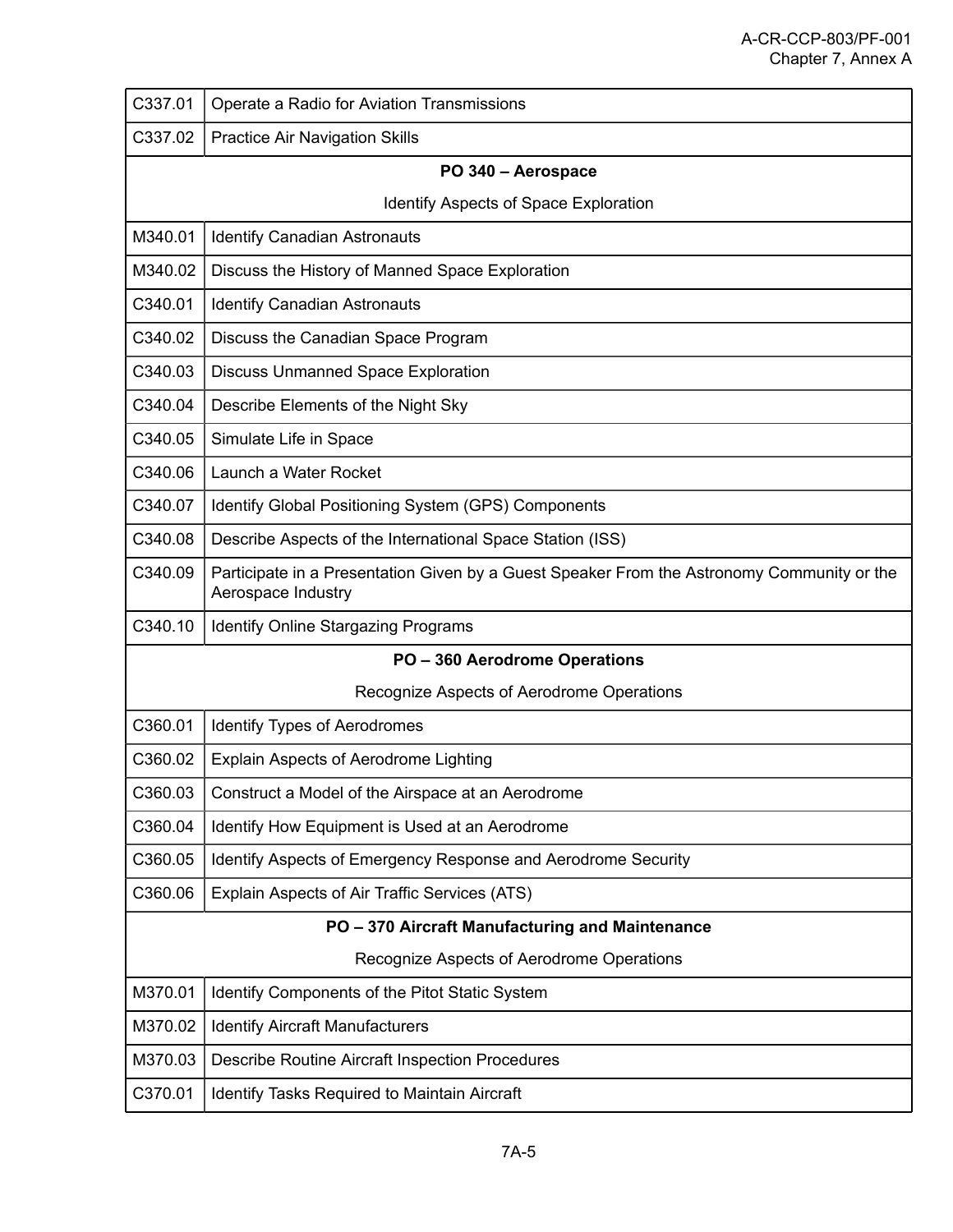| C337.01                                         | Operate a Radio for Aviation Transmissions                                                                       |  |  |
|-------------------------------------------------|------------------------------------------------------------------------------------------------------------------|--|--|
| C337.02                                         | <b>Practice Air Navigation Skills</b>                                                                            |  |  |
| PO 340 - Aerospace                              |                                                                                                                  |  |  |
|                                                 | <b>Identify Aspects of Space Exploration</b>                                                                     |  |  |
| M340.01                                         | <b>Identify Canadian Astronauts</b>                                                                              |  |  |
| M340.02                                         | Discuss the History of Manned Space Exploration                                                                  |  |  |
| C340.01                                         | <b>Identify Canadian Astronauts</b>                                                                              |  |  |
| C340.02                                         | Discuss the Canadian Space Program                                                                               |  |  |
| C340.03                                         | <b>Discuss Unmanned Space Exploration</b>                                                                        |  |  |
| C340.04                                         | Describe Elements of the Night Sky                                                                               |  |  |
| C340.05                                         | Simulate Life in Space                                                                                           |  |  |
| C340.06                                         | Launch a Water Rocket                                                                                            |  |  |
| C340.07                                         | Identify Global Positioning System (GPS) Components                                                              |  |  |
| C340.08                                         | Describe Aspects of the International Space Station (ISS)                                                        |  |  |
| C340.09                                         | Participate in a Presentation Given by a Guest Speaker From the Astronomy Community or the<br>Aerospace Industry |  |  |
| C340.10                                         | <b>Identify Online Stargazing Programs</b>                                                                       |  |  |
|                                                 | PO - 360 Aerodrome Operations                                                                                    |  |  |
|                                                 | Recognize Aspects of Aerodrome Operations                                                                        |  |  |
| C360.01                                         | Identify Types of Aerodromes                                                                                     |  |  |
| C360.02                                         | Explain Aspects of Aerodrome Lighting                                                                            |  |  |
| C360.03                                         | Construct a Model of the Airspace at an Aerodrome                                                                |  |  |
| C360.04                                         | Identify How Equipment is Used at an Aerodrome                                                                   |  |  |
| C360.05                                         | Identify Aspects of Emergency Response and Aerodrome Security                                                    |  |  |
| C360.06                                         | Explain Aspects of Air Traffic Services (ATS)                                                                    |  |  |
| PO - 370 Aircraft Manufacturing and Maintenance |                                                                                                                  |  |  |
| Recognize Aspects of Aerodrome Operations       |                                                                                                                  |  |  |
| M370.01                                         | Identify Components of the Pitot Static System                                                                   |  |  |
| M370.02                                         | <b>Identify Aircraft Manufacturers</b>                                                                           |  |  |
| M370.03                                         | <b>Describe Routine Aircraft Inspection Procedures</b>                                                           |  |  |
| C370.01                                         | Identify Tasks Required to Maintain Aircraft                                                                     |  |  |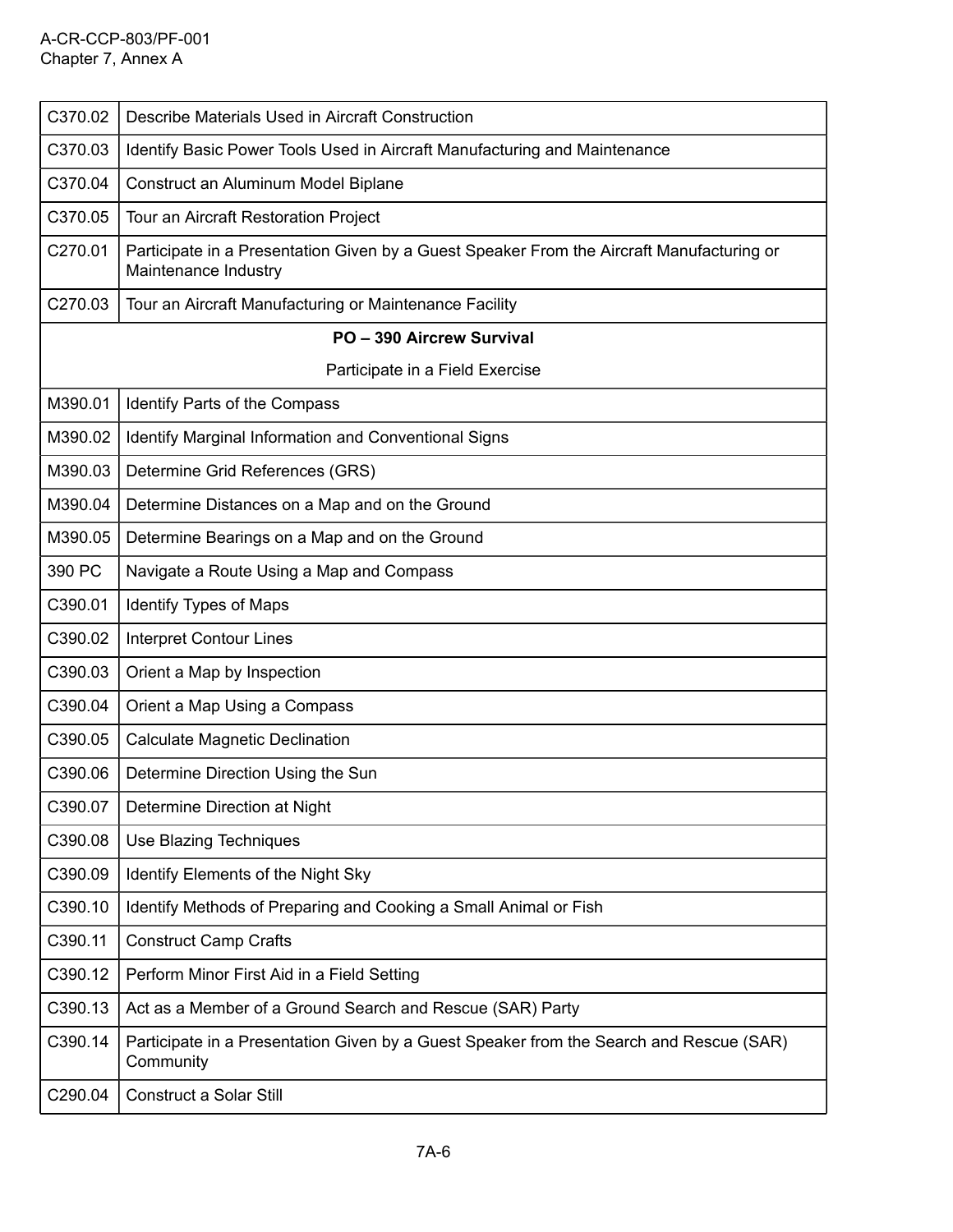| C370.02 | Describe Materials Used in Aircraft Construction                                                                  |
|---------|-------------------------------------------------------------------------------------------------------------------|
| C370.03 | Identify Basic Power Tools Used in Aircraft Manufacturing and Maintenance                                         |
| C370.04 | Construct an Aluminum Model Biplane                                                                               |
| C370.05 | Tour an Aircraft Restoration Project                                                                              |
| C270.01 | Participate in a Presentation Given by a Guest Speaker From the Aircraft Manufacturing or<br>Maintenance Industry |
| C270.03 | Tour an Aircraft Manufacturing or Maintenance Facility                                                            |
|         | PO - 390 Aircrew Survival                                                                                         |
|         | Participate in a Field Exercise                                                                                   |
| M390.01 | Identify Parts of the Compass                                                                                     |
| M390.02 | Identify Marginal Information and Conventional Signs                                                              |
| M390.03 | Determine Grid References (GRS)                                                                                   |
| M390.04 | Determine Distances on a Map and on the Ground                                                                    |
| M390.05 | Determine Bearings on a Map and on the Ground                                                                     |
| 390 PC  | Navigate a Route Using a Map and Compass                                                                          |
| C390.01 | Identify Types of Maps                                                                                            |
| C390.02 | <b>Interpret Contour Lines</b>                                                                                    |
| C390.03 | Orient a Map by Inspection                                                                                        |
| C390.04 | Orient a Map Using a Compass                                                                                      |
| C390.05 | <b>Calculate Magnetic Declination</b>                                                                             |
| C390.06 | Determine Direction Using the Sun                                                                                 |
| C390.07 | Determine Direction at Night                                                                                      |
| C390.08 | Use Blazing Techniques                                                                                            |
| C390.09 | Identify Elements of the Night Sky                                                                                |
| C390.10 | Identify Methods of Preparing and Cooking a Small Animal or Fish                                                  |
| C390.11 | <b>Construct Camp Crafts</b>                                                                                      |
| C390.12 | Perform Minor First Aid in a Field Setting                                                                        |
| C390.13 | Act as a Member of a Ground Search and Rescue (SAR) Party                                                         |
| C390.14 | Participate in a Presentation Given by a Guest Speaker from the Search and Rescue (SAR)<br>Community              |
| C290.04 | Construct a Solar Still                                                                                           |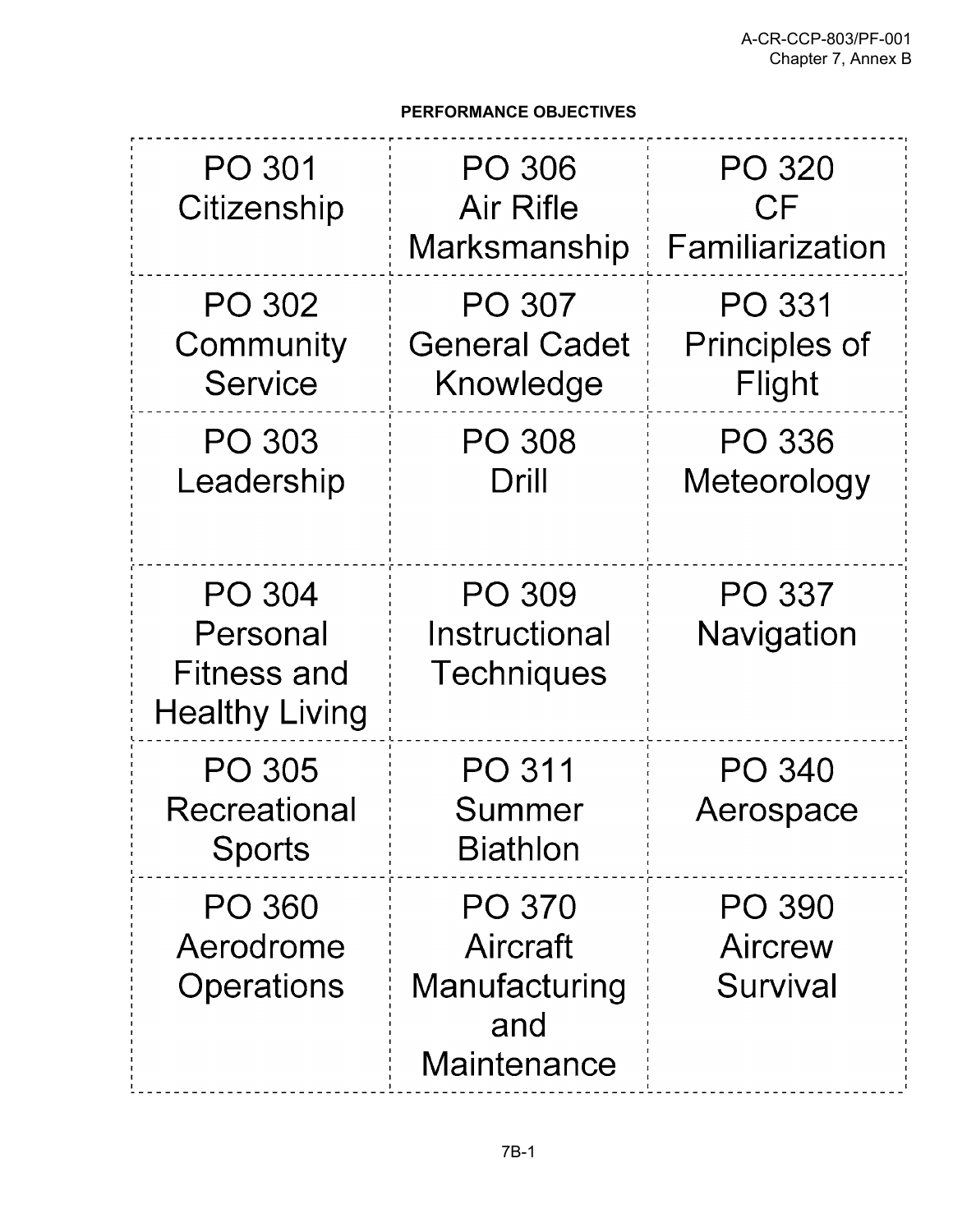# **PERFORMANCE OBJECTIVES**

| PO 301<br>Citizenship                                      | PO 306<br>Air Rifle<br>Marksmanship                              | PO 320<br>CF<br>Familiarization      |
|------------------------------------------------------------|------------------------------------------------------------------|--------------------------------------|
| PO 302<br>Community<br>Service                             | PO 307<br><b>General Cadet</b><br>Knowledge                      | PO 331<br>Principles of<br>Flight    |
| PO 303<br>Leadership                                       | PO 308<br>Drill                                                  | PO 336<br>Meteorology                |
| PO 304<br>Personal<br>Fitness and<br><b>Healthy Living</b> | PO 309<br>Instructional<br><b>Techniques</b>                     | PO 337<br>Navigation                 |
| PO 305<br>Recreational<br><b>Sports</b>                    | PO 311<br>Summer<br><b>Biathlon</b>                              | PO 340<br>Aerospace                  |
| <b>PO 360</b><br>Aerodrome<br>Operations                   | <b>PO 370</b><br>Aircraft<br>Manufacturing<br>and<br>Maintenance | <b>PO 390</b><br>Aircrew<br>Survival |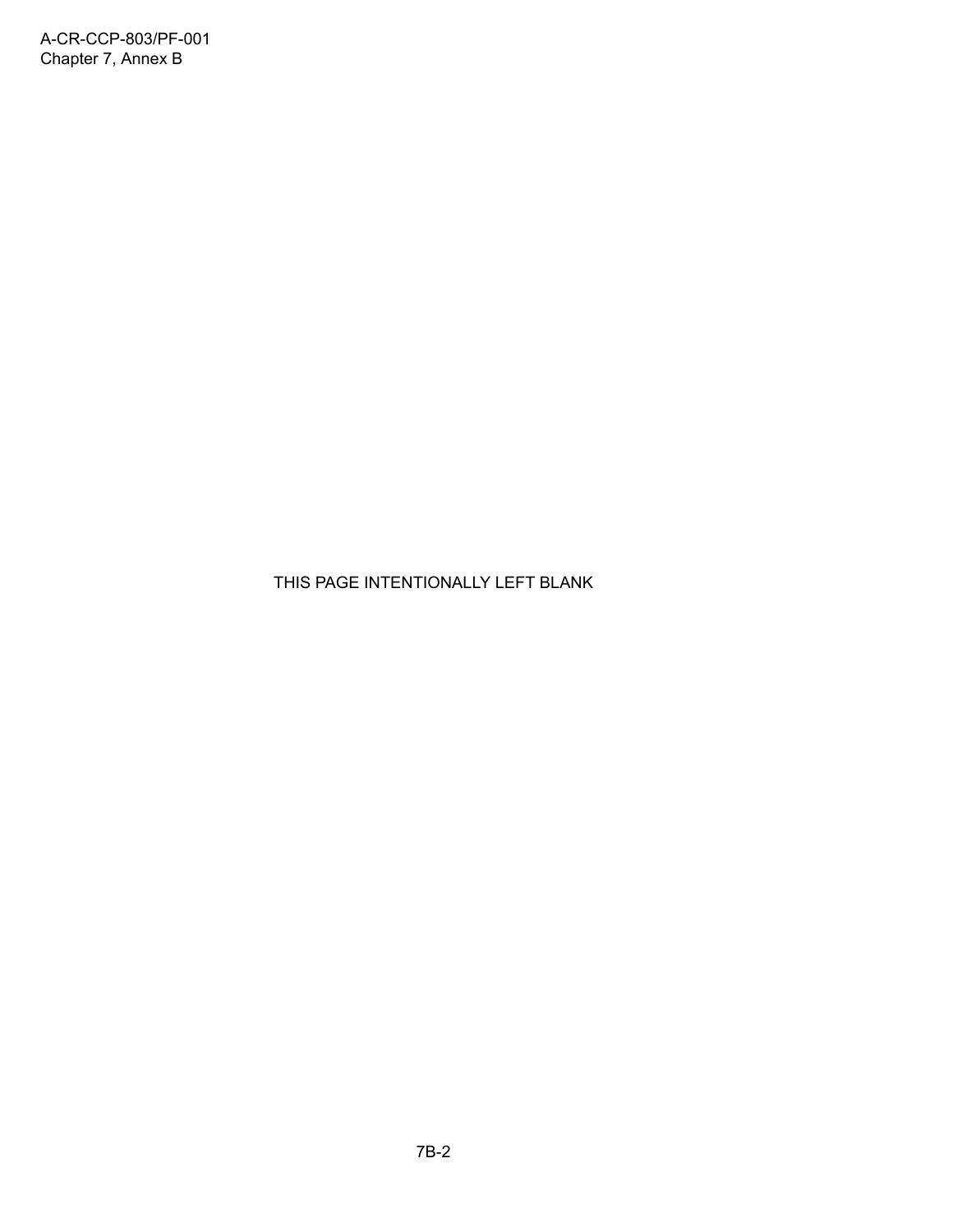THIS PAGE INTENTIONALLY LEFT BLANK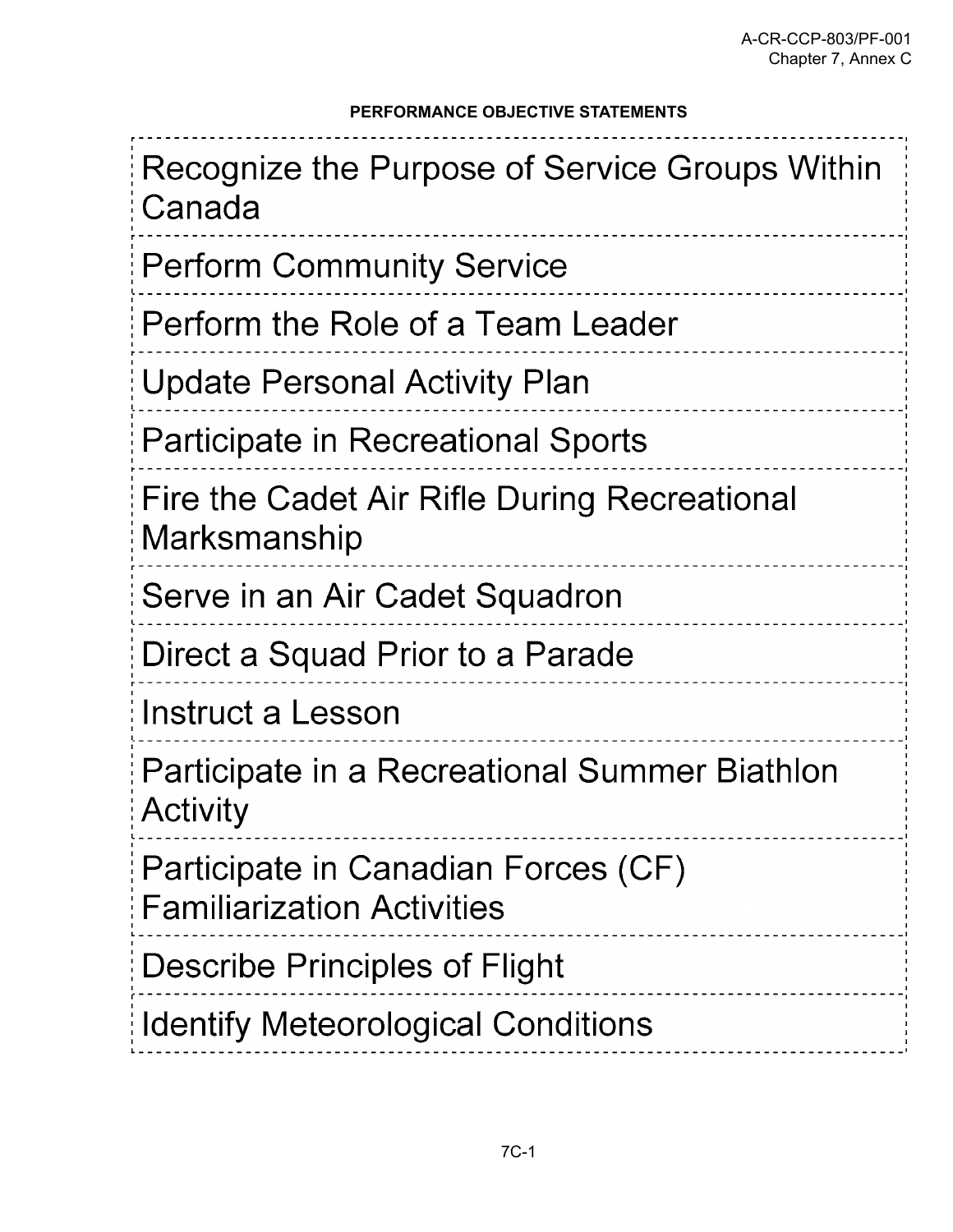# **PERFORMANCE OBJECTIVE STATEMENTS**

| Recognize the Purpose of Service Groups Within<br>Canada                 |
|--------------------------------------------------------------------------|
| <b>Perform Community Service</b>                                         |
| Perform the Role of a Team Leader                                        |
| <b>Update Personal Activity Plan</b>                                     |
| Participate in Recreational Sports                                       |
| Fire the Cadet Air Rifle During Recreational<br>Marksmanship             |
| Serve in an Air Cadet Squadron                                           |
| Direct a Squad Prior to a Parade                                         |
| Instruct a Lesson                                                        |
| Participate in a Recreational Summer Biathlon<br>Activity                |
| Participate in Canadian Forces (CF)<br><b>Familiarization Activities</b> |
| Describe Principles of Flight                                            |
| <b>Identify Meteorological Conditions</b>                                |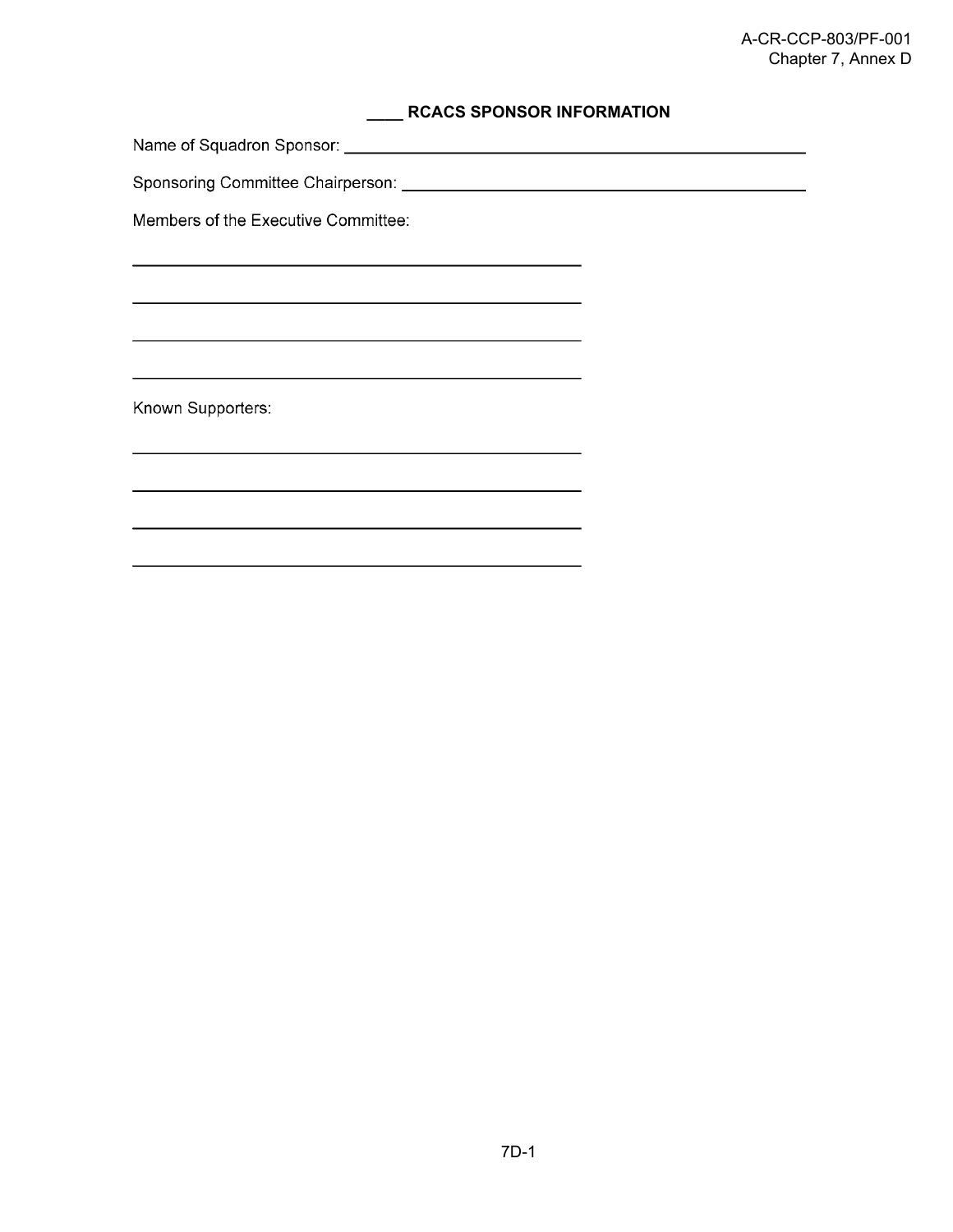# **\_\_\_\_ RCACS SPONSOR INFORMATION**

Members of the Executive Committee:

Known Supporters: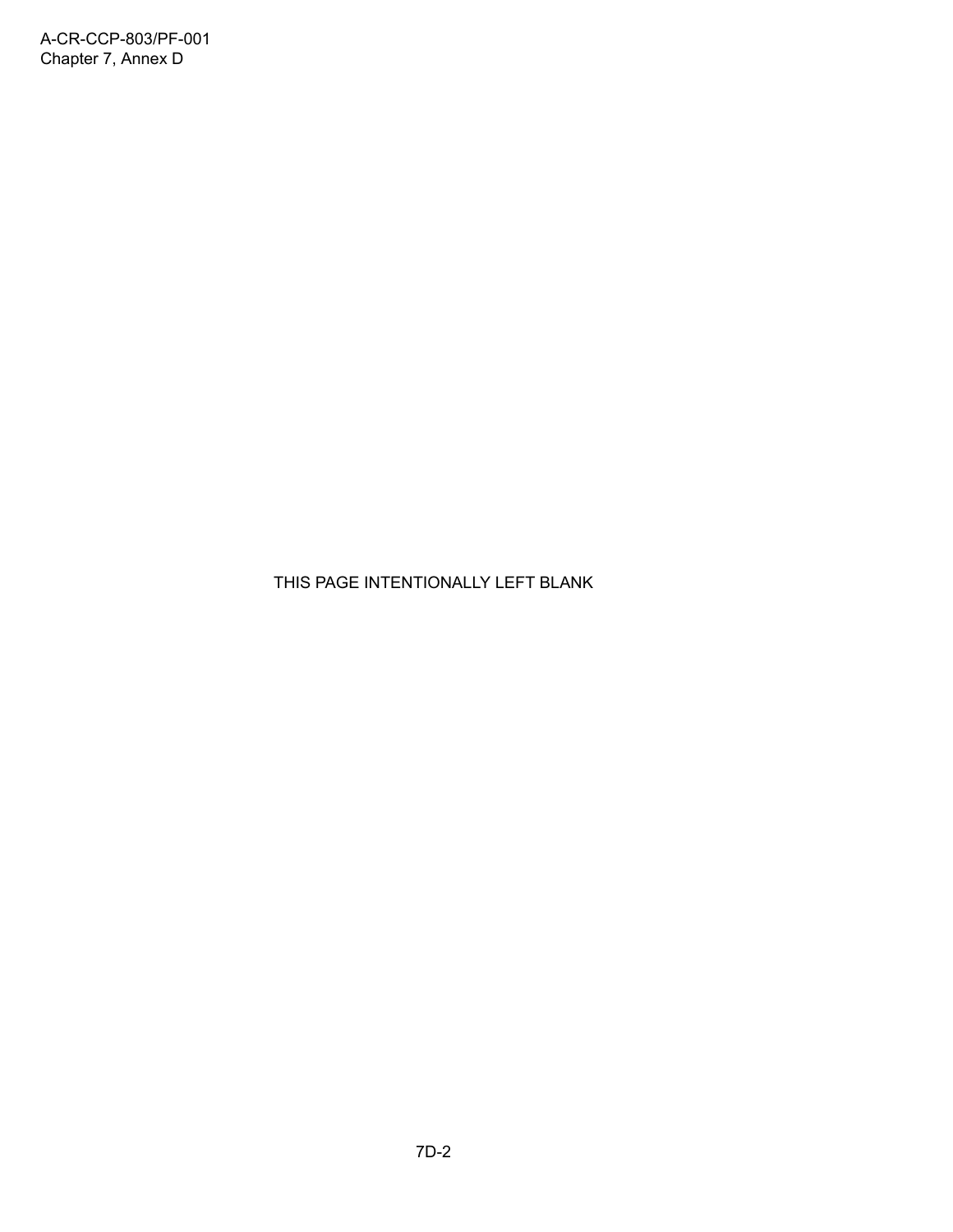THIS PAGE INTENTIONALLY LEFT BLANK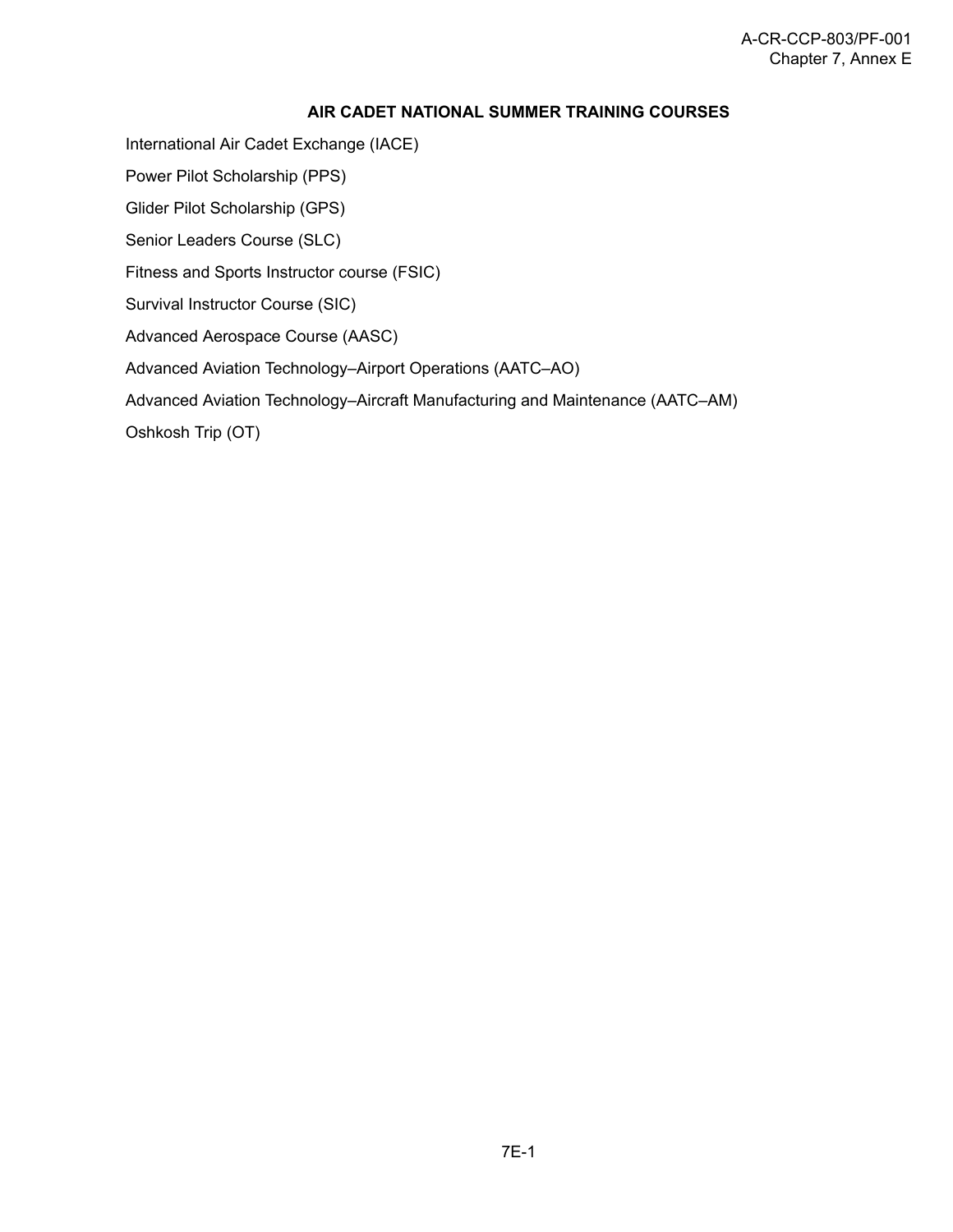#### A-CR-CCP-803/PF-001 Chapter 7, Annex E

## **AIR CADET NATIONAL SUMMER TRAINING COURSES**

International Air Cadet Exchange (IACE)

Power Pilot Scholarship (PPS)

Glider Pilot Scholarship (GPS)

Senior Leaders Course (SLC)

Fitness and Sports Instructor course (FSIC)

Survival Instructor Course (SIC)

Advanced Aerospace Course (AASC)

Advanced Aviation Technology–Airport Operations (AATC–AO)

Advanced Aviation Technology–Aircraft Manufacturing and Maintenance (AATC–AM)

Oshkosh Trip (OT)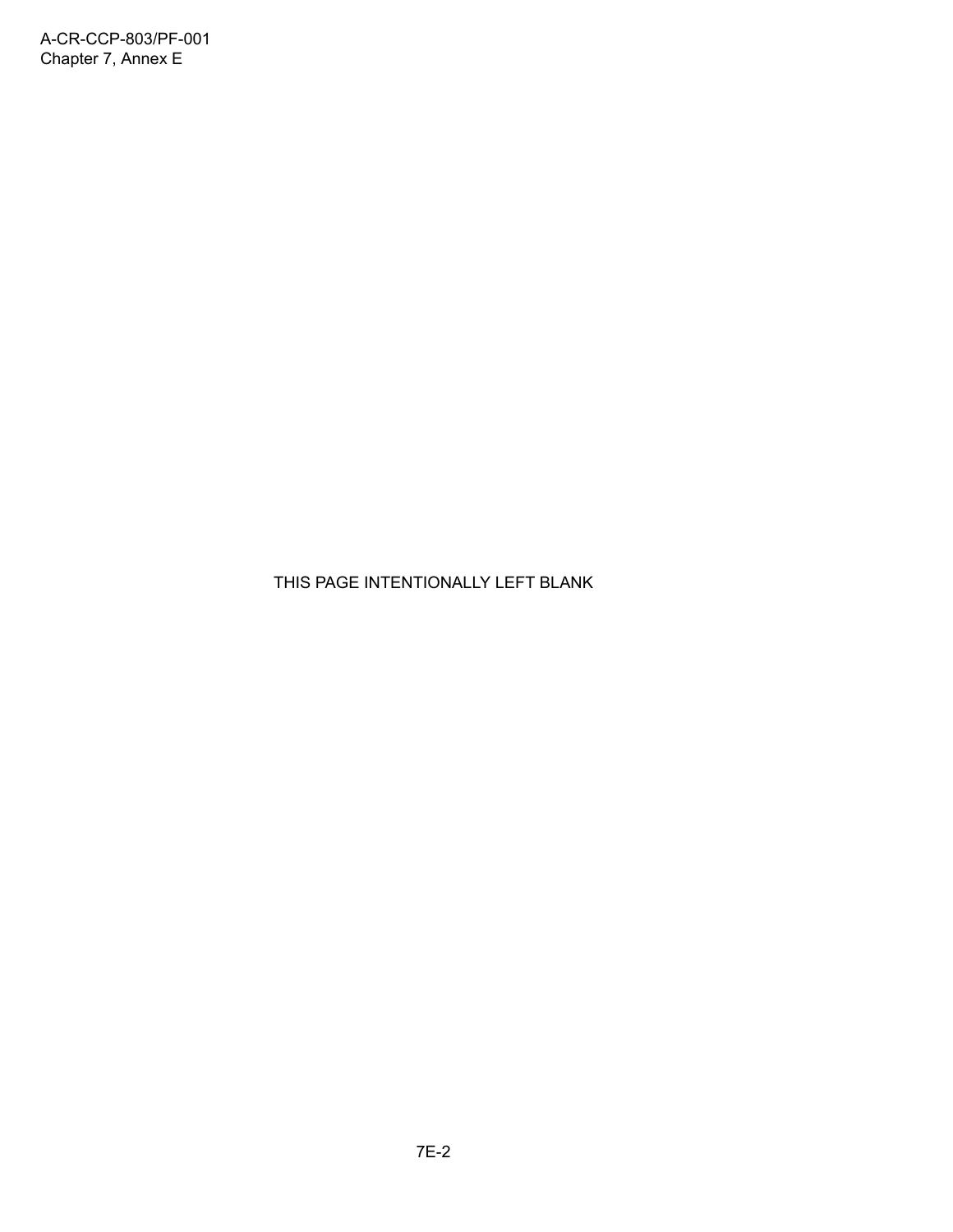THIS PAGE INTENTIONALLY LEFT BLANK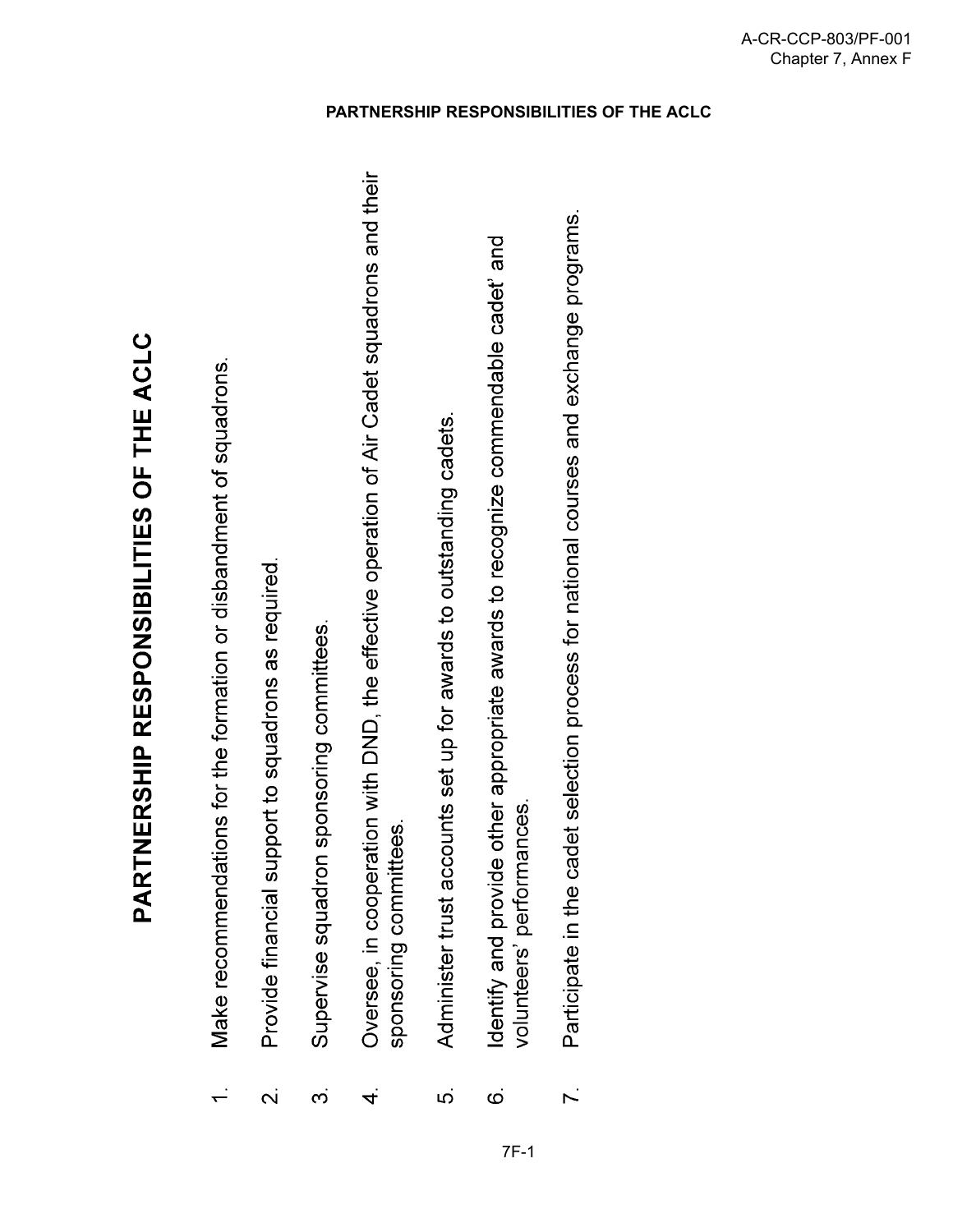PARTNERSHIP RESPONSIBILITIES OF THE ACLC

- Make recommendations for the formation or disbandment of squadrons.  $\div$
- Provide financial support to squadrons as required  $\overline{\mathsf{N}}$
- Supervise squadron sponsoring committees. က
- Oversee, in cooperation with DND, the effective operation of Air Cadet squadrons and their sponsoring committees  $\vec{r}$
- Administer trust accounts set up for awards to outstanding cadets. ယ
- dentify and provide other appropriate awards to recognize commendable cadet' and volunteers' performances.  $\dot{\mathbf{\circ}}$
- Participate in the cadet selection process for national courses and exchange programs.  $\overline{r}$ .

# **PARTNERSHIP RESPONSIBILITIES OF THE ACLC**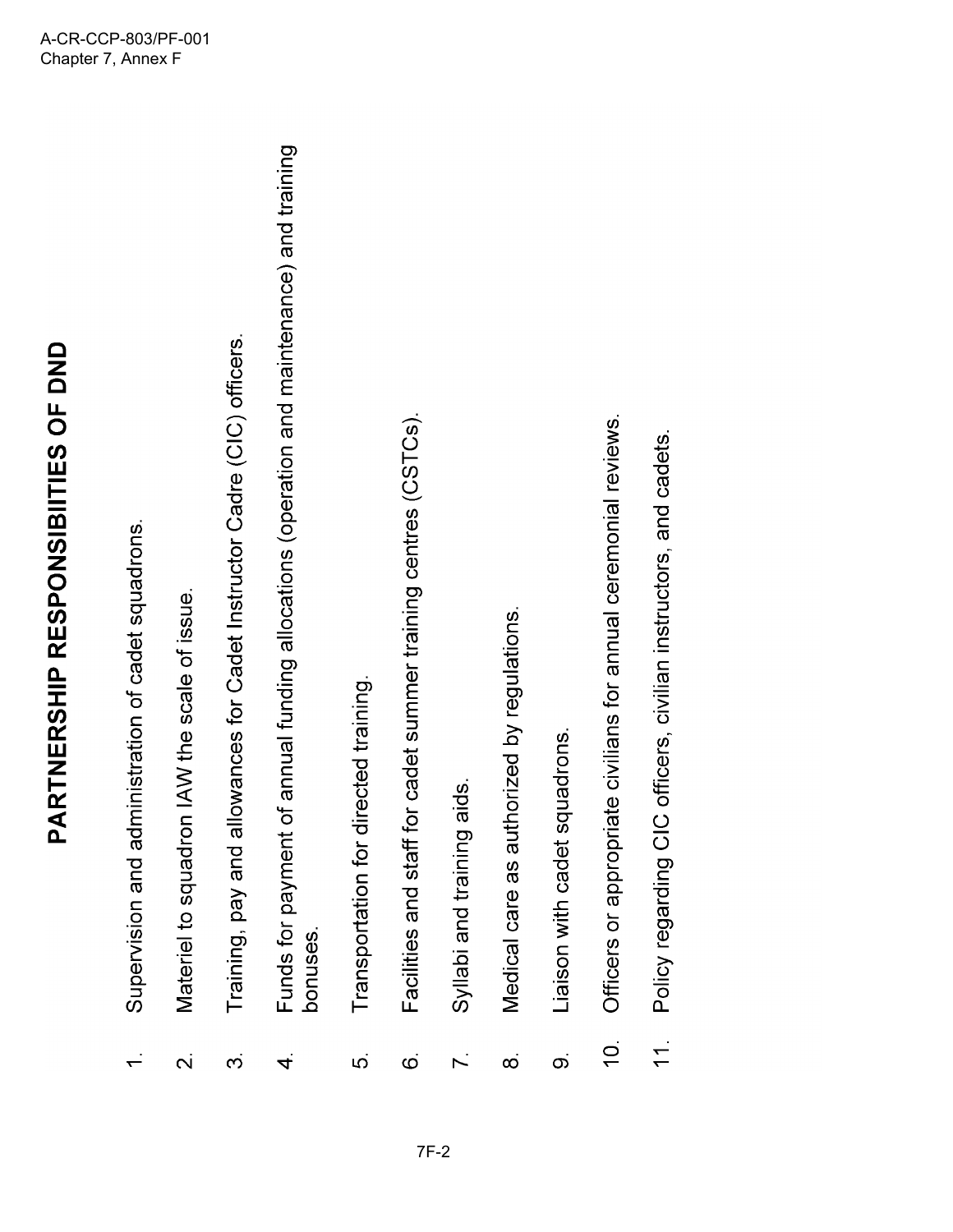- Supervision and administration of cadet squadrons.  $\leftarrow$
- Materiel to squadron IAW the scale of issue.  $\overline{\mathsf{N}}$
- Training, pay and allowances for Cadet Instructor Cadre (CIC) officers.  $\infty$
- Funds for payment of annual funding allocations (operation and maintenance) and training bonuses.  $\overline{4}$
- Transportation for directed training. io.
- Facilities and staff for cadet summer training centres (CSTCs).  $\ddot{\circ}$
- Syllabi and training aids.  $\overline{r}$
- Medical care as authorized by regulations.  $\infty$
- Liaison with cadet squadrons.  $\overline{\mathbf{o}}$
- Officers or appropriate civilians for annual ceremonial reviews.  $10.$
- Policy regarding CIC officers, civilian instructors, and cadets.  $\frac{1}{1}$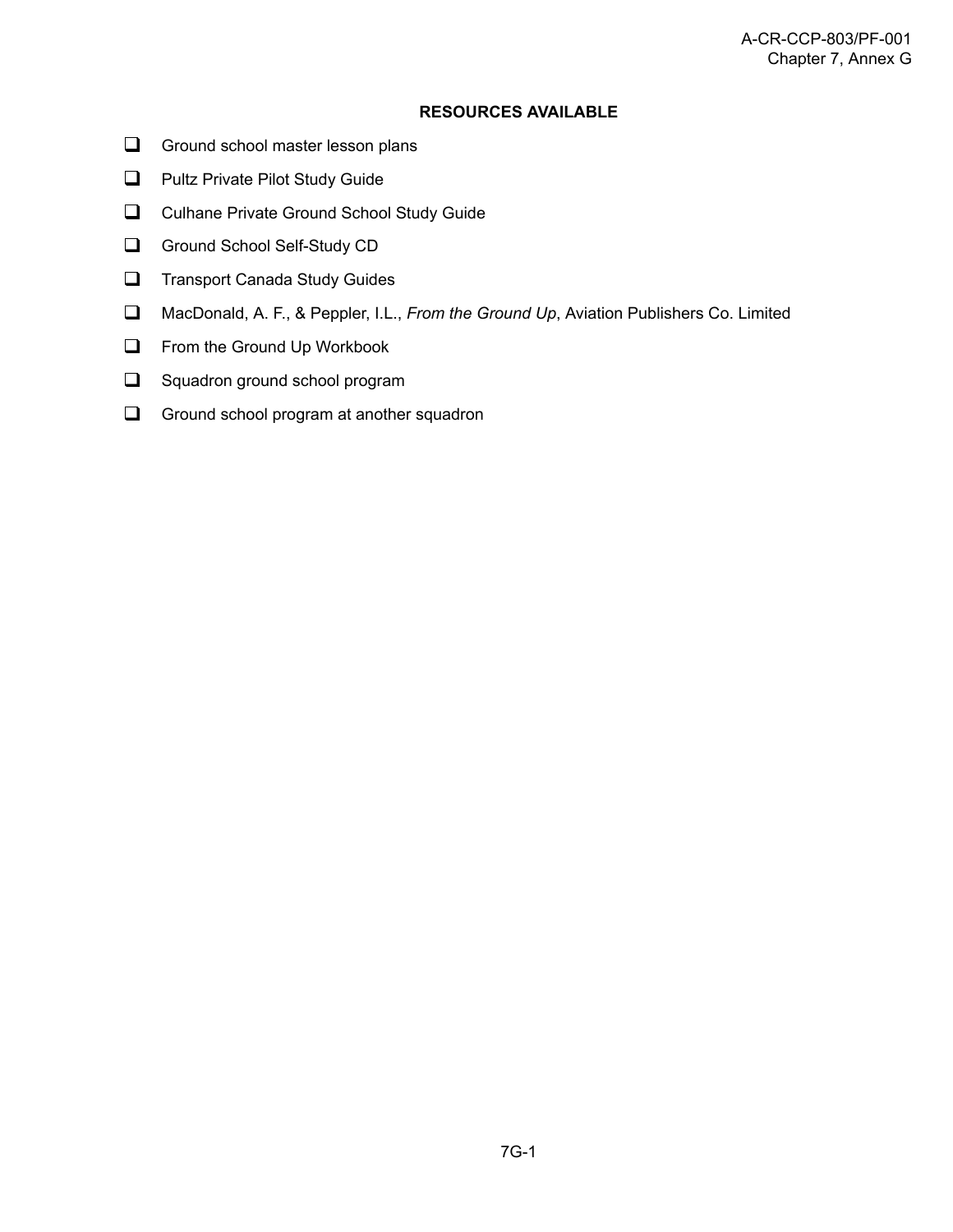# **RESOURCES AVAILABLE**

- $\Box$  Ground school master lesson plans
- **Q** Pultz Private Pilot Study Guide
- **Q** Culhane Private Ground School Study Guide
- Ground School Self-Study CD
- **T** Transport Canada Study Guides
- MacDonald, A. F., & Peppler, I.L., *From the Ground Up*, Aviation Publishers Co. Limited
- **T** From the Ground Up Workbook
- **Squadron ground school program**
- Ground school program at another squadron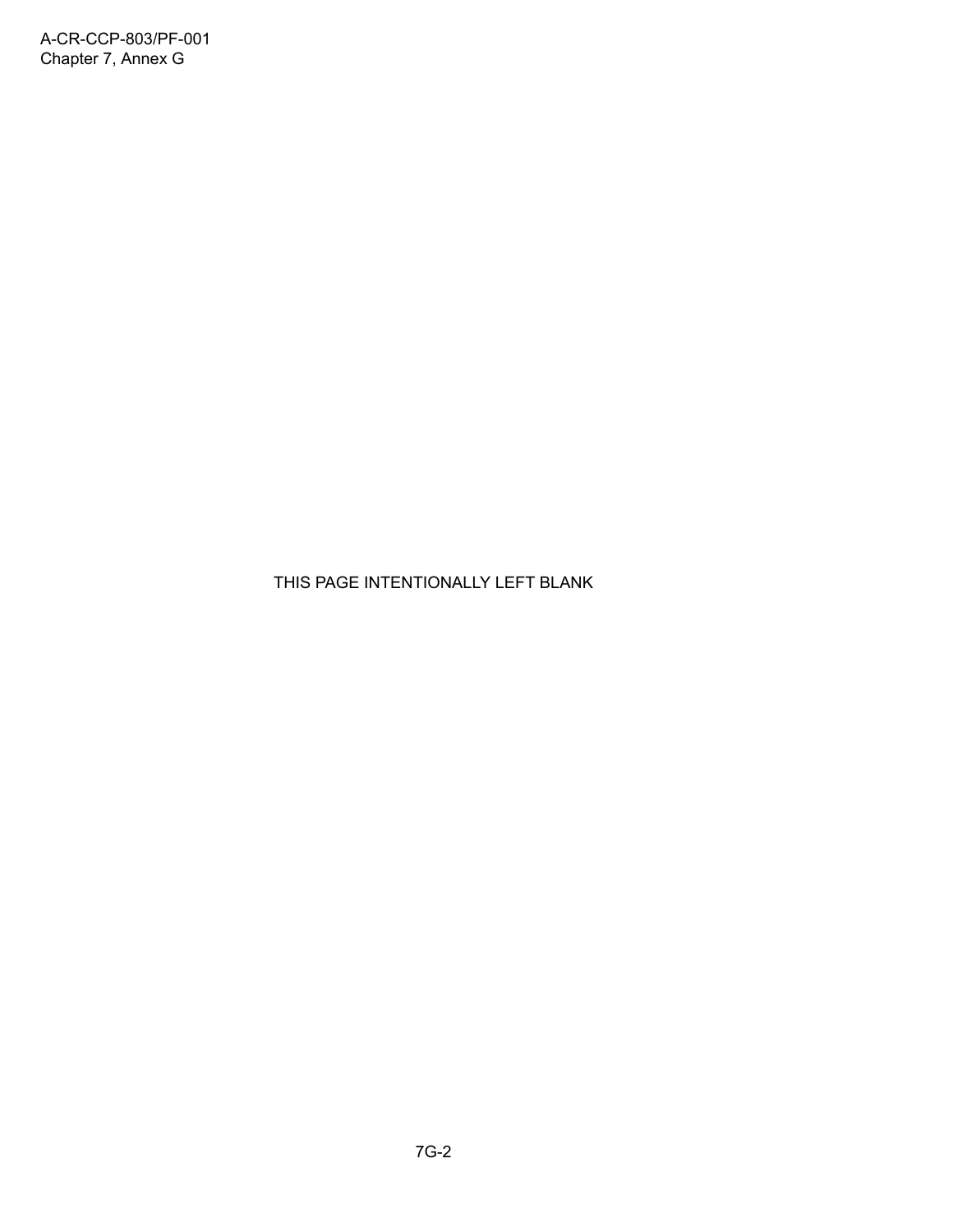THIS PAGE INTENTIONALLY LEFT BLANK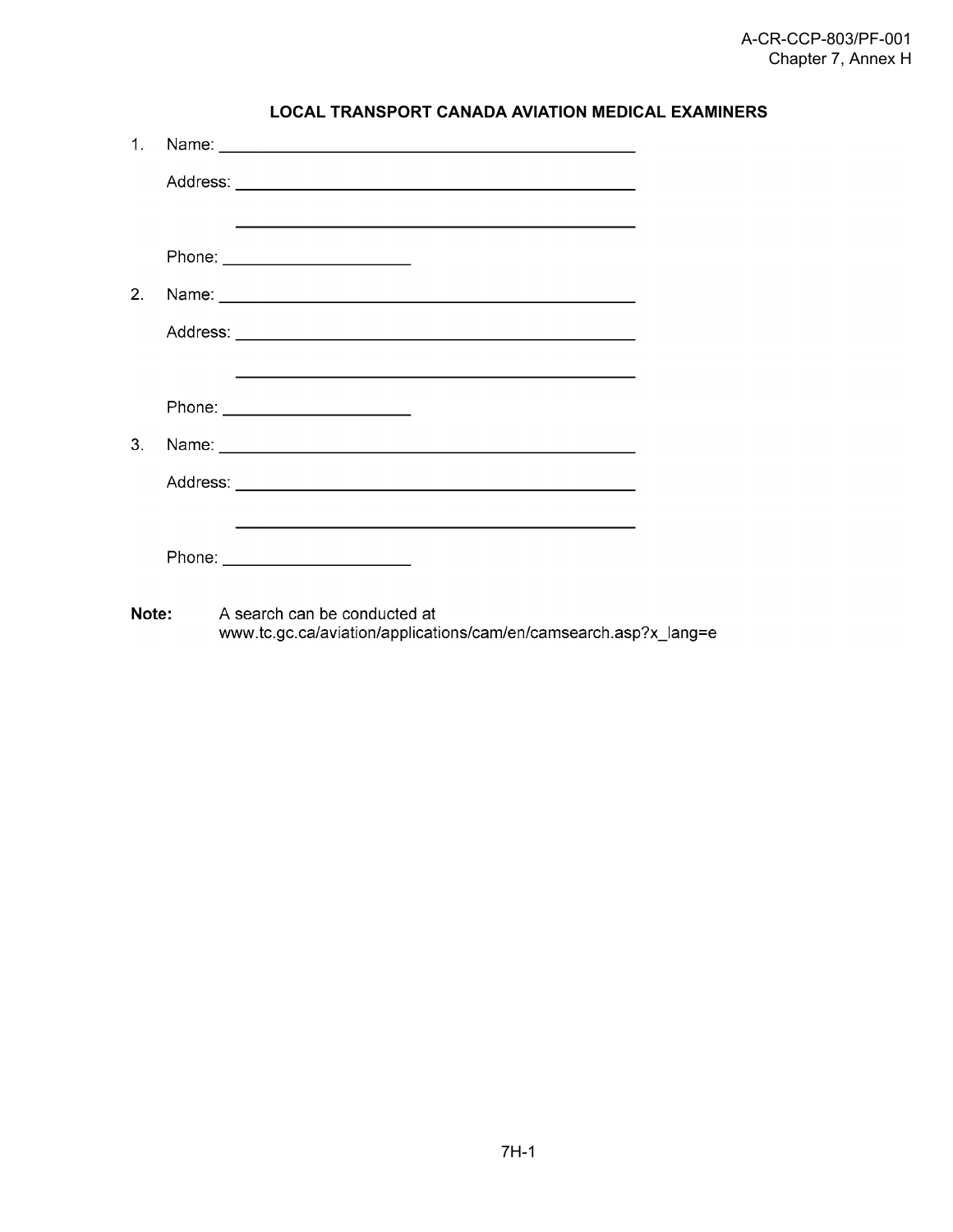| 1.             |                                 |  |
|----------------|---------------------------------|--|
|                |                                 |  |
|                |                                 |  |
|                | Phone: ________________________ |  |
| 2 <sub>1</sub> |                                 |  |
|                |                                 |  |
|                |                                 |  |
|                | Phone: ________________________ |  |
| 3 <sub>1</sub> |                                 |  |
|                |                                 |  |
|                |                                 |  |
|                | Phone: ________________________ |  |
|                |                                 |  |

# **LOCAL TRANSPORT CANADA AVIATION MEDICAL EXAMINERS**

Note: A search can be conducted at www.tc.gc.ca/aviation/applications/cam/en/camsearch.asp?x\_lang=e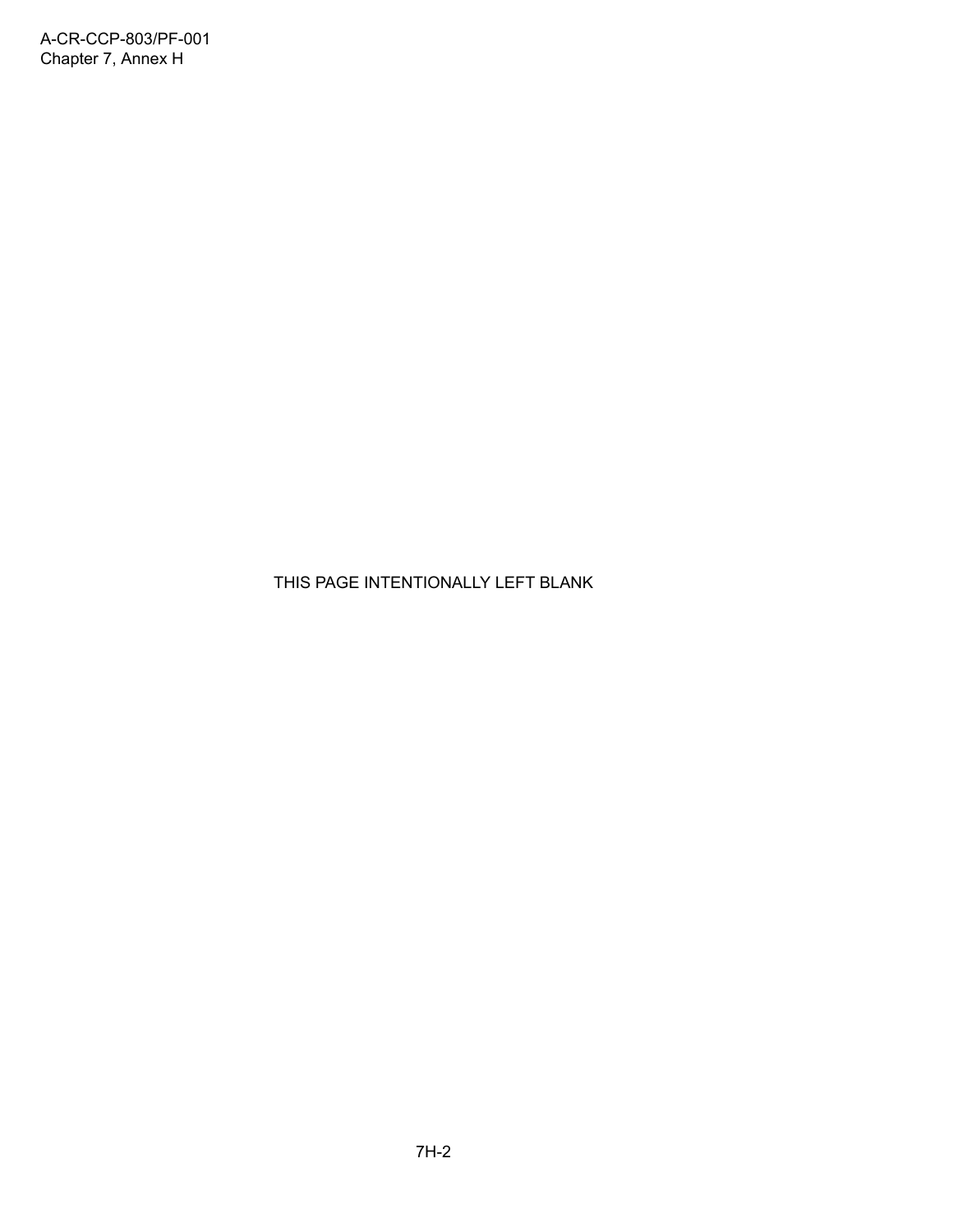THIS PAGE INTENTIONALLY LEFT BLANK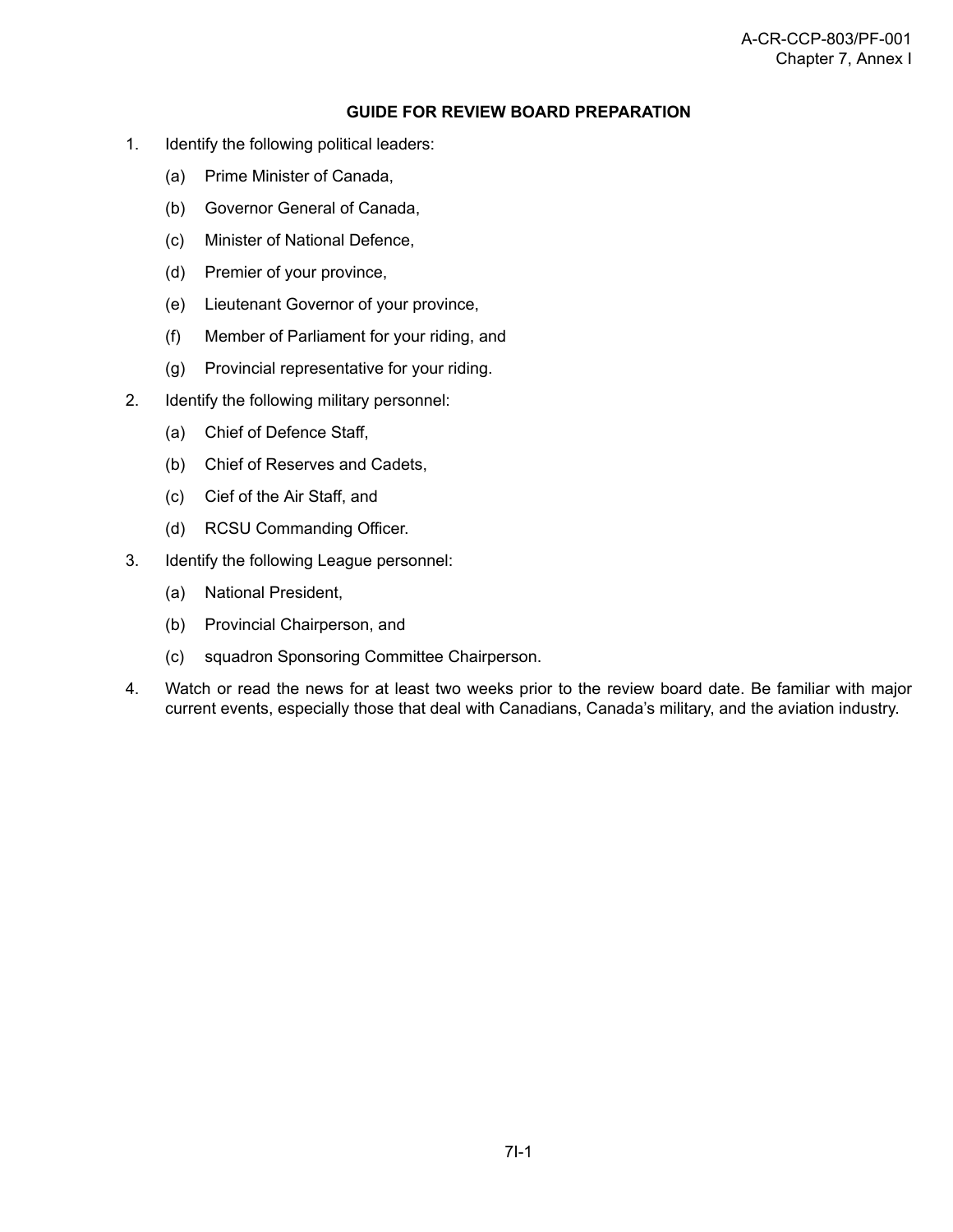## **GUIDE FOR REVIEW BOARD PREPARATION**

- 1. Identify the following political leaders:
	- (a) Prime Minister of Canada,
	- (b) Governor General of Canada,
	- (c) Minister of National Defence,
	- (d) Premier of your province,
	- (e) Lieutenant Governor of your province,
	- (f) Member of Parliament for your riding, and
	- (g) Provincial representative for your riding.
- 2. Identify the following military personnel:
	- (a) Chief of Defence Staff,
	- (b) Chief of Reserves and Cadets,
	- (c) Cief of the Air Staff, and
	- (d) RCSU Commanding Officer.
- 3. Identify the following League personnel:
	- (a) National President,
	- (b) Provincial Chairperson, and
	- (c) squadron Sponsoring Committee Chairperson.
- 4. Watch or read the news for at least two weeks prior to the review board date. Be familiar with major current events, especially those that deal with Canadians, Canada's military, and the aviation industry.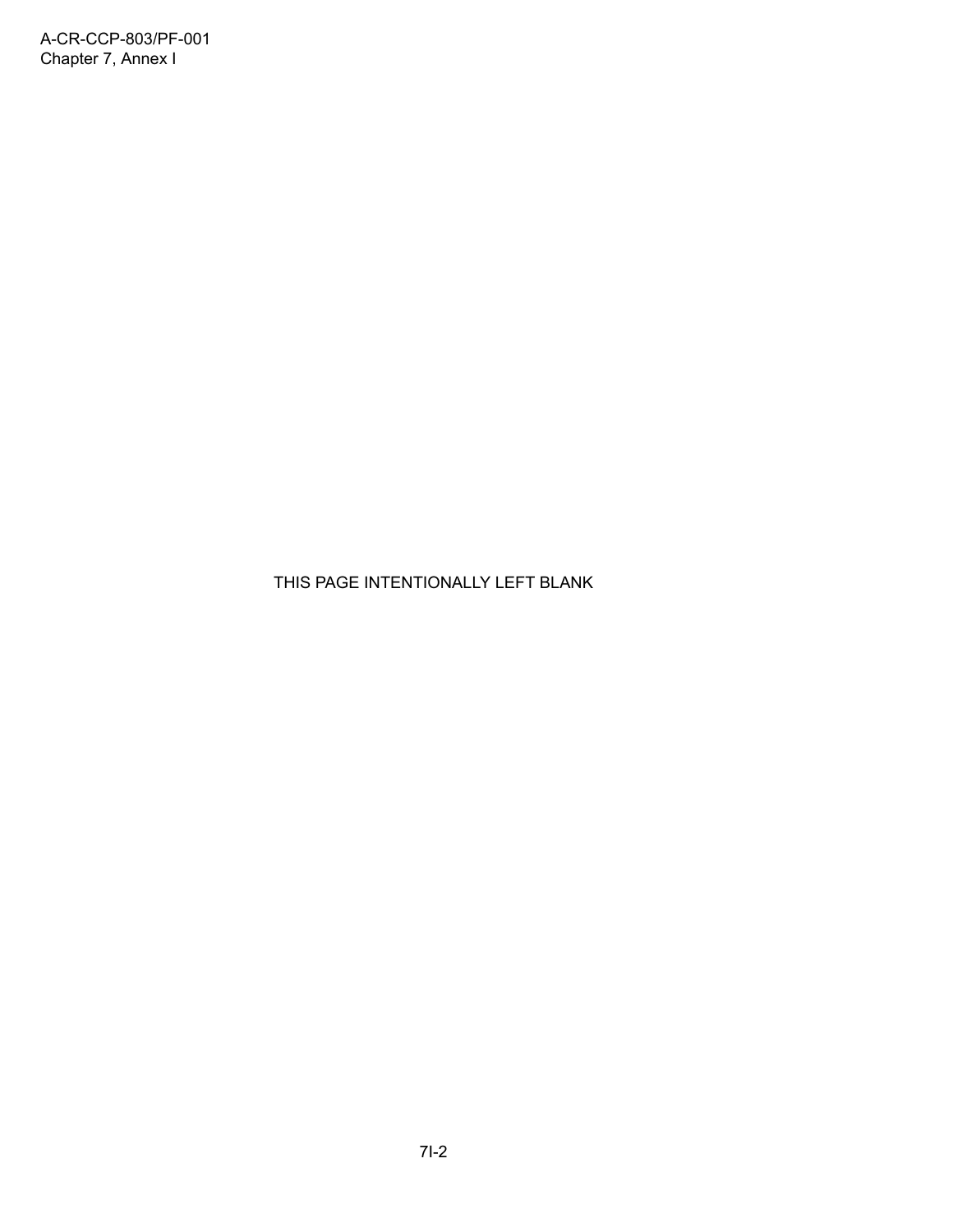A-CR-CCP-803/PF-001 Chapter 7, Annex I

# THIS PAGE INTENTIONALLY LEFT BLANK